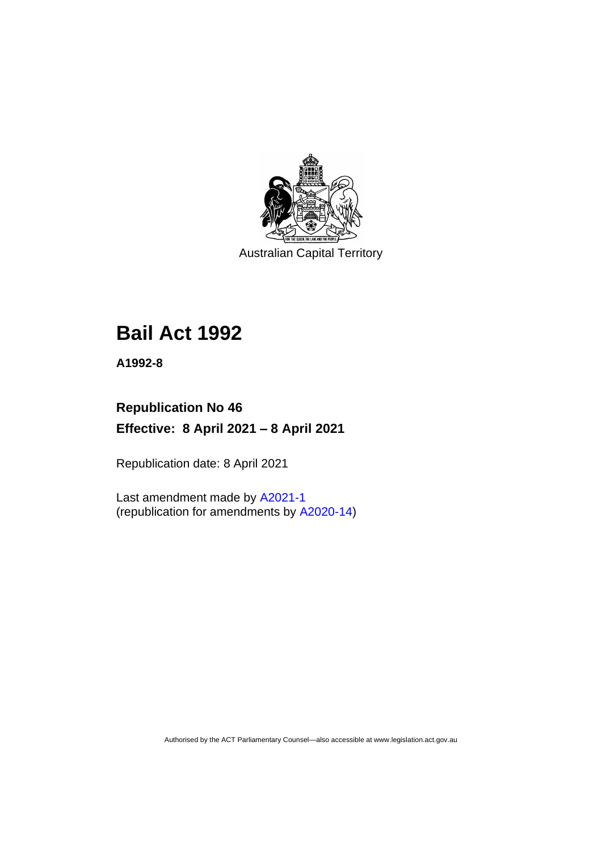

Australian Capital Territory

# **Bail Act 1992**

**A1992-8**

# **Republication No 46 Effective: 8 April 2021 – 8 April 2021**

Republication date: 8 April 2021

Last amendment made by [A2021-1](http://www.legislation.act.gov.au/a/2021-1/) (republication for amendments by [A2020-14\)](http://www.legislation.act.gov.au/a/2020-14/)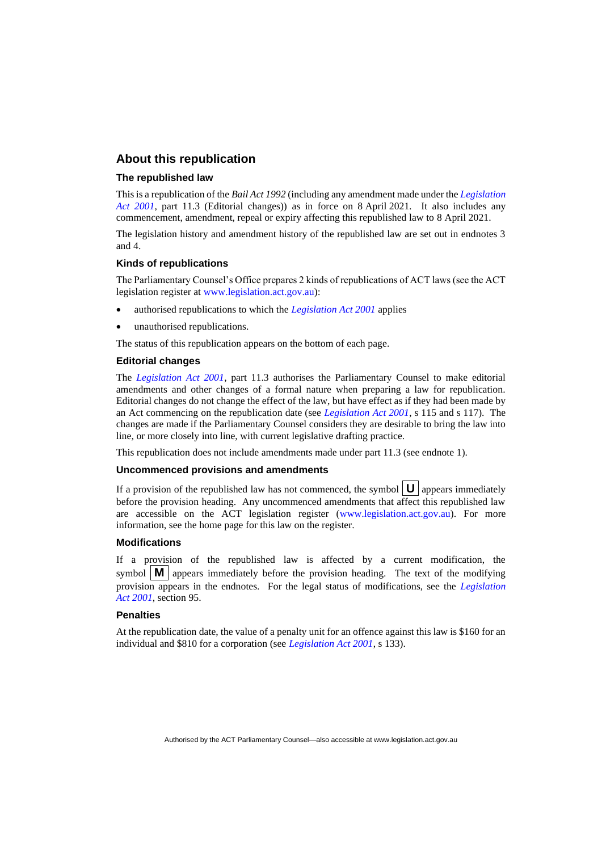#### **About this republication**

#### **The republished law**

This is a republication of the *Bail Act 1992* (including any amendment made under the *[Legislation](http://www.legislation.act.gov.au/a/2001-14)  [Act 2001](http://www.legislation.act.gov.au/a/2001-14)*, part 11.3 (Editorial changes)) as in force on 8 April 2021*.* It also includes any commencement, amendment, repeal or expiry affecting this republished law to 8 April 2021.

The legislation history and amendment history of the republished law are set out in endnotes 3 and 4.

#### **Kinds of republications**

The Parliamentary Counsel's Office prepares 2 kinds of republications of ACT laws (see the ACT legislation register at [www.legislation.act.gov.au\)](http://www.legislation.act.gov.au/):

- authorised republications to which the *[Legislation Act 2001](http://www.legislation.act.gov.au/a/2001-14)* applies
- unauthorised republications.

The status of this republication appears on the bottom of each page.

#### **Editorial changes**

The *[Legislation Act 2001](http://www.legislation.act.gov.au/a/2001-14)*, part 11.3 authorises the Parliamentary Counsel to make editorial amendments and other changes of a formal nature when preparing a law for republication. Editorial changes do not change the effect of the law, but have effect as if they had been made by an Act commencing on the republication date (see *[Legislation Act 2001](http://www.legislation.act.gov.au/a/2001-14)*, s 115 and s 117). The changes are made if the Parliamentary Counsel considers they are desirable to bring the law into line, or more closely into line, with current legislative drafting practice.

This republication does not include amendments made under part 11.3 (see endnote 1).

#### **Uncommenced provisions and amendments**

If a provision of the republished law has not commenced, the symbol  $\mathbf{U}$  appears immediately before the provision heading. Any uncommenced amendments that affect this republished law are accessible on the ACT legislation register [\(www.legislation.act.gov.au\)](http://www.legislation.act.gov.au/). For more information, see the home page for this law on the register.

#### **Modifications**

If a provision of the republished law is affected by a current modification, the symbol  $\mathbf{M}$  appears immediately before the provision heading. The text of the modifying provision appears in the endnotes. For the legal status of modifications, see the *[Legislation](http://www.legislation.act.gov.au/a/2001-14)  Act [2001](http://www.legislation.act.gov.au/a/2001-14)*, section 95.

#### **Penalties**

At the republication date, the value of a penalty unit for an offence against this law is \$160 for an individual and \$810 for a corporation (see *[Legislation Act 2001](http://www.legislation.act.gov.au/a/2001-14)*, s 133).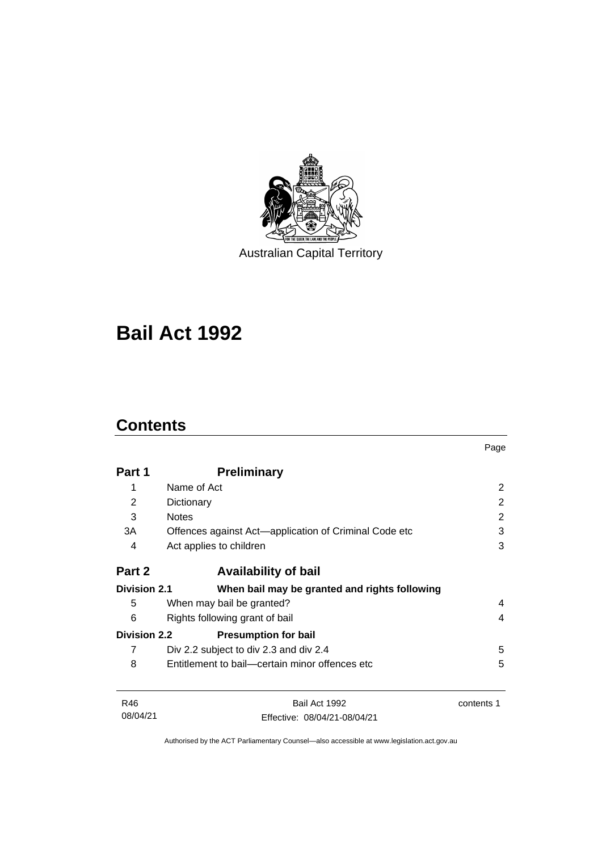

Australian Capital Territory

# **Bail Act 1992**

# **Contents**

|                     |                                                       | Page       |
|---------------------|-------------------------------------------------------|------------|
| Part 1              | <b>Preliminary</b>                                    |            |
| 1                   | Name of Act                                           | 2          |
| 2                   | Dictionary                                            | 2          |
| 3                   | <b>Notes</b>                                          | 2          |
| 3A                  | Offences against Act—application of Criminal Code etc | 3          |
| 4                   | Act applies to children                               | 3          |
| Part 2              | <b>Availability of bail</b>                           |            |
| <b>Division 2.1</b> | When bail may be granted and rights following         |            |
| 5                   | When may bail be granted?                             | 4          |
| 6                   | Rights following grant of bail                        | 4          |
| <b>Division 2.2</b> | <b>Presumption for bail</b>                           |            |
| 7                   | Div 2.2 subject to div 2.3 and div 2.4                | 5          |
| 8                   | Entitlement to bail—certain minor offences etc        | 5          |
| R46                 | Bail Act 1992                                         | contents 1 |
| 08/04/21            | Effective: 08/04/21-08/04/21                          |            |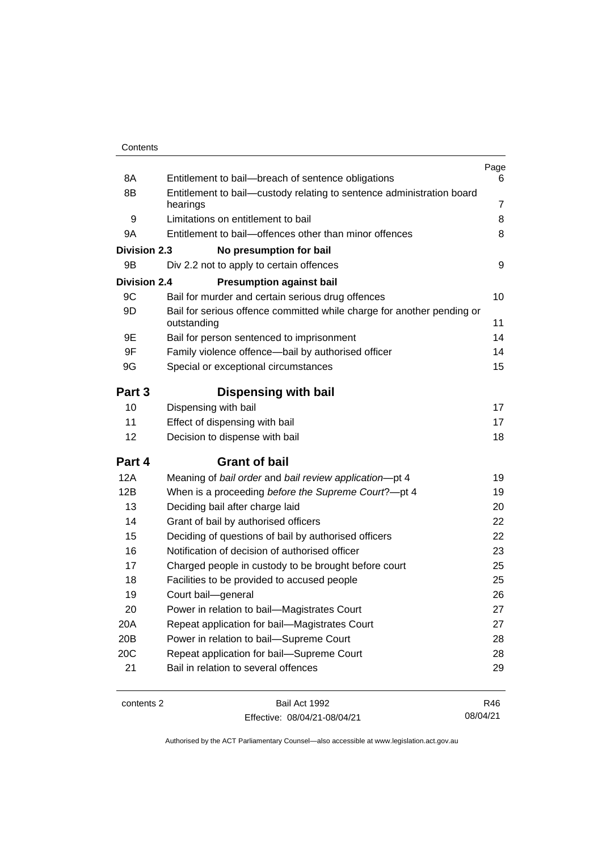| Contents |
|----------|
|----------|

| 8A                  | Entitlement to bail-breach of sentence obligations                                    | Page<br>6      |
|---------------------|---------------------------------------------------------------------------------------|----------------|
| 8B                  | Entitlement to bail-custody relating to sentence administration board                 |                |
|                     | hearings                                                                              | $\overline{7}$ |
| 9                   | Limitations on entitlement to bail                                                    | 8              |
| 9A                  | Entitlement to bail-offences other than minor offences                                | 8              |
| <b>Division 2.3</b> | No presumption for bail                                                               |                |
| 9B                  | Div 2.2 not to apply to certain offences                                              | 9              |
| <b>Division 2.4</b> | <b>Presumption against bail</b>                                                       |                |
| 9C                  | Bail for murder and certain serious drug offences                                     | 10             |
| 9D                  | Bail for serious offence committed while charge for another pending or<br>outstanding | 11             |
| 9E                  | Bail for person sentenced to imprisonment                                             | 14             |
| 9F                  | Family violence offence-bail by authorised officer                                    | 14             |
| 9G                  | Special or exceptional circumstances                                                  | 15             |
| Part 3              | <b>Dispensing with bail</b>                                                           |                |
| 10                  | Dispensing with bail                                                                  | 17             |
| 11                  | Effect of dispensing with bail                                                        | 17             |
| 12                  | Decision to dispense with bail                                                        | 18             |
| Part 4              | <b>Grant of bail</b>                                                                  |                |
| 12A                 | Meaning of bail order and bail review application-pt 4                                | 19             |
| 12B                 | When is a proceeding before the Supreme Court?-pt 4                                   | 19             |
| 13                  | Deciding bail after charge laid                                                       | 20             |
| 14                  | Grant of bail by authorised officers                                                  | 22             |
| 15                  | Deciding of questions of bail by authorised officers                                  | 22             |
| 16                  | Notification of decision of authorised officer                                        | 23             |
| 17                  | Charged people in custody to be brought before court                                  | 25             |
| 18                  | Facilities to be provided to accused people                                           | 25             |
| 19                  | Court bail-general                                                                    | 26             |
| 20                  | Power in relation to bail-Magistrates Court                                           | 27             |
| 20A                 | Repeat application for bail-Magistrates Court                                         | 27             |
| 20B                 | Power in relation to bail-Supreme Court                                               | 28             |
| 20C                 | Repeat application for bail-Supreme Court                                             | 28             |
| 21                  | Bail in relation to several offences                                                  | 29             |

contents 2 Bail Act 1992 Effective: 08/04/21-08/04/21

R46 08/04/21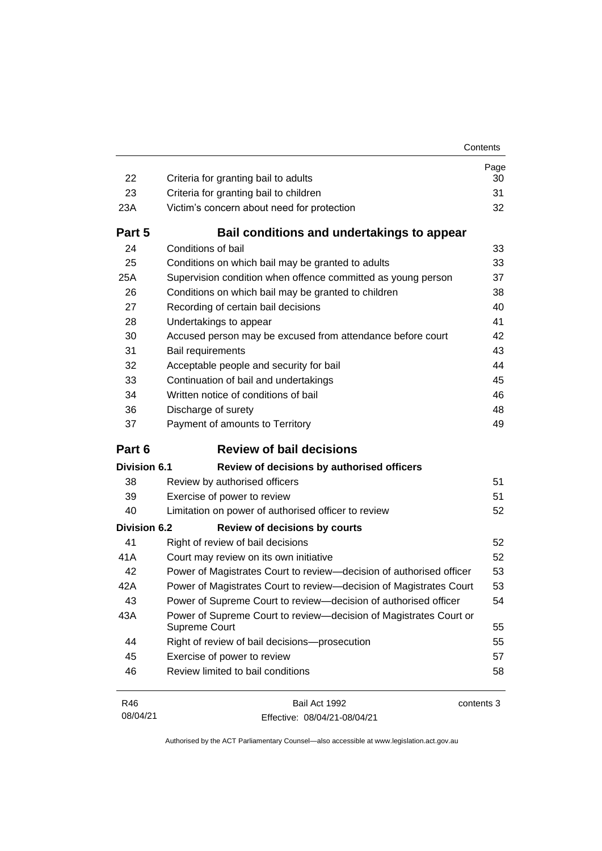| Contents |
|----------|
|          |

| 22                  | Criteria for granting bail to adults                                               | Page<br>30 |
|---------------------|------------------------------------------------------------------------------------|------------|
| 23                  | Criteria for granting bail to children                                             | 31         |
| 23A                 | Victim's concern about need for protection                                         | 32         |
| Part 5              | Bail conditions and undertakings to appear                                         |            |
| 24                  | Conditions of bail                                                                 | 33         |
| 25                  | Conditions on which bail may be granted to adults                                  | 33         |
| 25A                 | Supervision condition when offence committed as young person                       | 37         |
| 26                  | Conditions on which bail may be granted to children                                | 38         |
| 27                  | Recording of certain bail decisions                                                | 40         |
| 28                  | Undertakings to appear                                                             | 41         |
| 30                  | Accused person may be excused from attendance before court                         | 42         |
| 31                  | Bail requirements                                                                  | 43         |
| 32                  | Acceptable people and security for bail                                            | 44         |
| 33                  | Continuation of bail and undertakings                                              | 45         |
| 34                  | Written notice of conditions of bail                                               | 46         |
| 36                  | Discharge of surety                                                                | 48         |
| 37                  | Payment of amounts to Territory                                                    | 49         |
| Part 6              | <b>Review of bail decisions</b>                                                    |            |
| Division 6.1        | Review of decisions by authorised officers                                         |            |
| 38                  | Review by authorised officers                                                      | 51         |
| 39                  | Exercise of power to review                                                        | 51         |
| 40                  | Limitation on power of authorised officer to review                                | 52         |
| <b>Division 6.2</b> | <b>Review of decisions by courts</b>                                               |            |
| 41                  | Right of review of bail decisions                                                  | 52         |
| 41A                 | Court may review on its own initiative                                             | 52         |
| 42                  | Power of Magistrates Court to review-decision of authorised officer                | 53         |
| 42A                 |                                                                                    | 53         |
|                     | Power of Magistrates Court to review-decision of Magistrates Court                 |            |
| 43                  | Power of Supreme Court to review—decision of authorised officer                    | 54         |
| 43A                 | Power of Supreme Court to review-decision of Magistrates Court or<br>Supreme Court | 55         |
| 44                  | Right of review of bail decisions-prosecution                                      | 55         |
| 45                  | Exercise of power to review                                                        | 57         |
| 46                  | Review limited to bail conditions                                                  | 58         |

| R46      | Bail Act 1992                | contents 3 |
|----------|------------------------------|------------|
| 08/04/21 | Effective: 08/04/21-08/04/21 |            |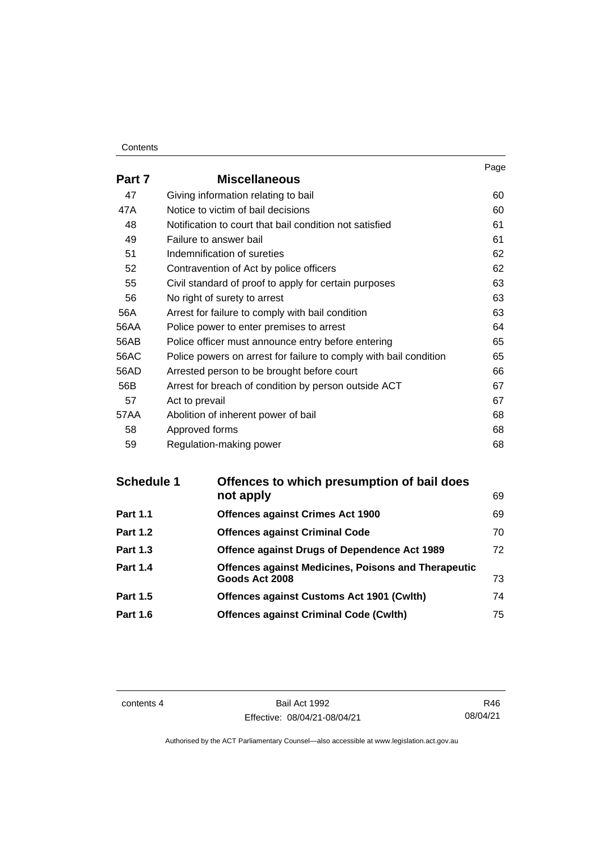#### **Contents**

|        |                                                                   | Page |
|--------|-------------------------------------------------------------------|------|
| Part 7 | <b>Miscellaneous</b>                                              |      |
| 47     | Giving information relating to bail                               | 60   |
| 47A    | Notice to victim of bail decisions                                | 60   |
| 48     | Notification to court that bail condition not satisfied           | 61   |
| 49     | Failure to answer bail                                            | 61   |
| 51     | Indemnification of sureties                                       | 62   |
| 52     | Contravention of Act by police officers                           | 62   |
| 55     | Civil standard of proof to apply for certain purposes             | 63   |
| 56     | No right of surety to arrest                                      | 63   |
| 56A    | Arrest for failure to comply with bail condition                  | 63   |
| 56AA   | Police power to enter premises to arrest                          | 64   |
| 56AB   | Police officer must announce entry before entering                | 65   |
| 56AC   | Police powers on arrest for failure to comply with bail condition | 65   |
| 56AD   | Arrested person to be brought before court                        | 66   |
| 56B    | Arrest for breach of condition by person outside ACT              | 67   |
| 57     | Act to prevail                                                    | 67   |
| 57AA   | Abolition of inherent power of bail                               | 68   |
| 58     | Approved forms                                                    | 68   |
| 59     | Regulation-making power                                           | 68   |

| Offences to which presumption of bail does                 |    |
|------------------------------------------------------------|----|
| not apply                                                  | 69 |
| <b>Offences against Crimes Act 1900</b>                    | 69 |
| <b>Offences against Criminal Code</b>                      | 70 |
| Offence against Drugs of Dependence Act 1989               | 72 |
| <b>Offences against Medicines, Poisons and Therapeutic</b> |    |
| Goods Act 2008                                             | 73 |
| <b>Offences against Customs Act 1901 (Cwith)</b>           | 74 |
| <b>Offences against Criminal Code (Cwlth)</b>              | 75 |
|                                                            |    |

contents 4 Bail Act 1992 Effective: 08/04/21-08/04/21

R46 08/04/21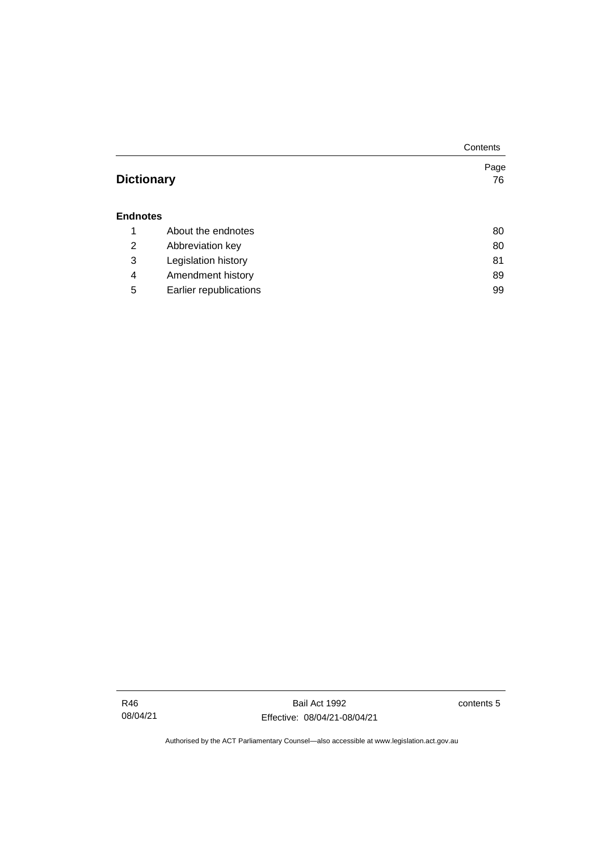|                   |                        | Contents |
|-------------------|------------------------|----------|
|                   |                        | Page     |
| <b>Dictionary</b> |                        | 76       |
|                   |                        |          |
| <b>Endnotes</b>   |                        |          |
| 1                 | About the endnotes     | 80       |
| 2                 | Abbreviation key       | 80       |
| 3                 | Legislation history    | 81       |
| 4                 | Amendment history      | 89       |
| 5                 | Earlier republications | 99       |

contents 5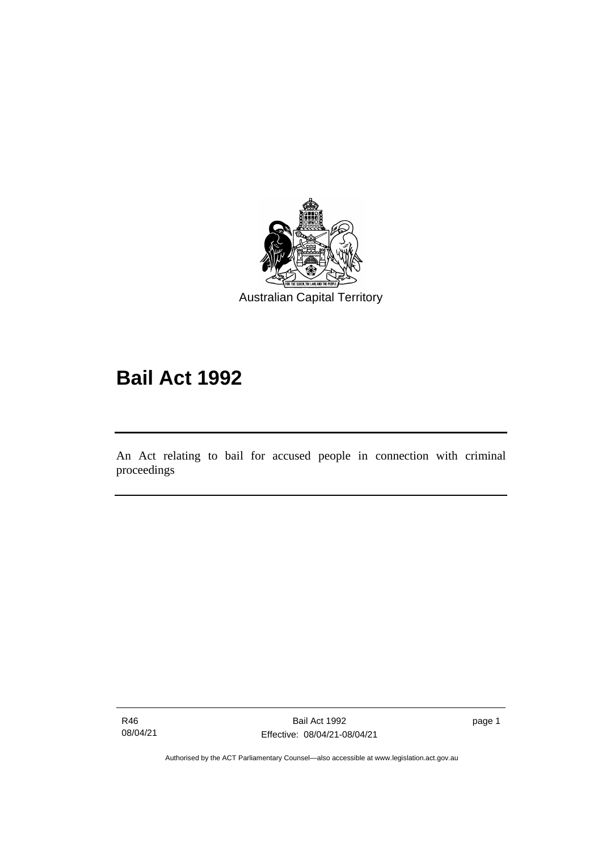

# **Bail Act 1992**

An Act relating to bail for accused people in connection with criminal proceedings

R46 08/04/21

ׅ֖֖֚֚֡֡֬֝֬

page 1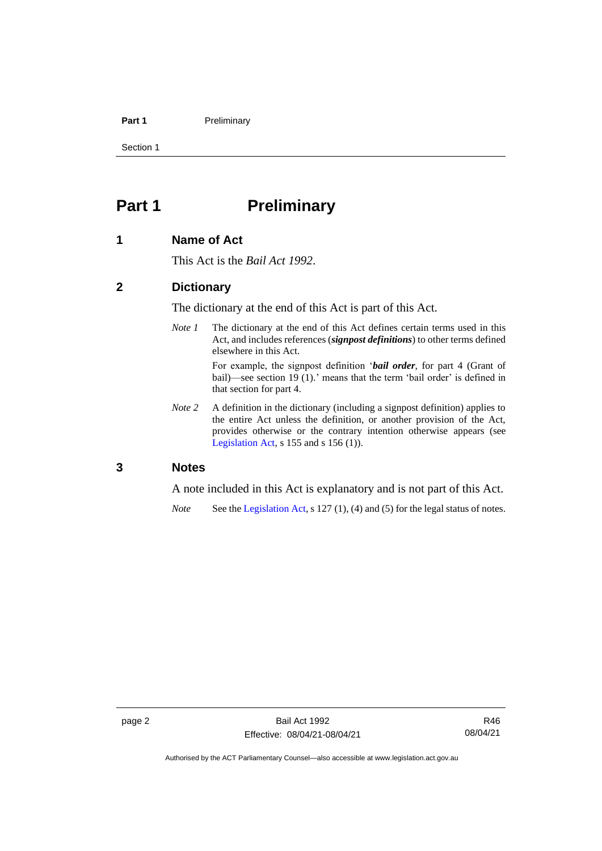#### **Part 1** Preliminary

Section 1

# <span id="page-9-0"></span>**Part 1 Preliminary**

#### <span id="page-9-1"></span>**1 Name of Act**

This Act is the *Bail Act 1992*.

#### <span id="page-9-2"></span>**2 Dictionary**

The dictionary at the end of this Act is part of this Act.

*Note 1* The dictionary at the end of this Act defines certain terms used in this Act, and includes references (*signpost definitions*) to other terms defined elsewhere in this Act.

> For example, the signpost definition '*bail order*, for part 4 (Grant of bail)—see section 19 (1).' means that the term 'bail order' is defined in that section for part 4.

*Note 2* A definition in the dictionary (including a signpost definition) applies to the entire Act unless the definition, or another provision of the Act, provides otherwise or the contrary intention otherwise appears (see [Legislation Act,](http://www.legislation.act.gov.au/a/2001-14) s  $155$  and s  $156$  (1)).

#### <span id="page-9-3"></span>**3 Notes**

A note included in this Act is explanatory and is not part of this Act.

*Note* See the [Legislation Act,](http://www.legislation.act.gov.au/a/2001-14) s 127 (1), (4) and (5) for the legal status of notes.

R46 08/04/21

Authorised by the ACT Parliamentary Counsel—also accessible at www.legislation.act.gov.au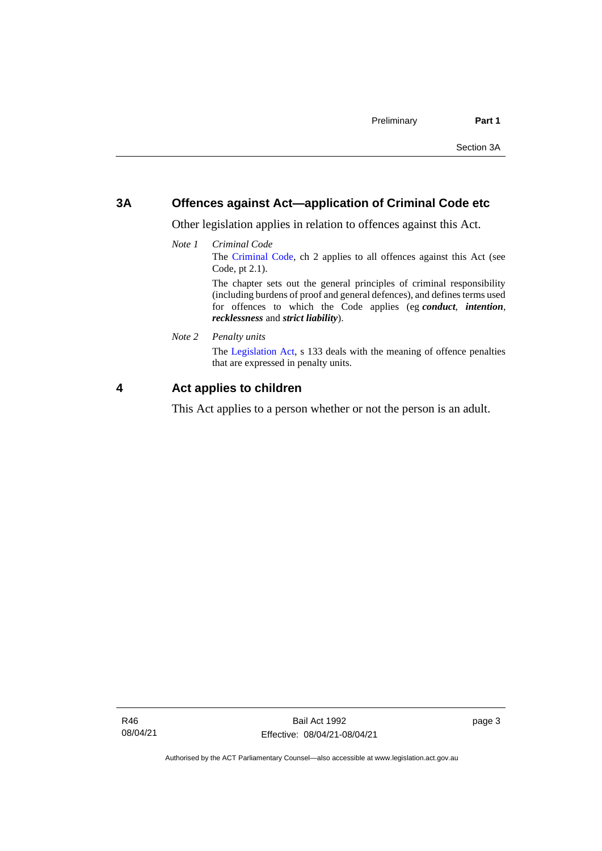#### <span id="page-10-0"></span>**3A Offences against Act—application of Criminal Code etc**

Other legislation applies in relation to offences against this Act.

*Note 1 Criminal Code* The [Criminal Code,](http://www.legislation.act.gov.au/a/2002-51) ch 2 applies to all offences against this Act (see Code, pt 2.1). The chapter sets out the general principles of criminal responsibility

(including burdens of proof and general defences), and defines terms used for offences to which the Code applies (eg *conduct*, *intention*, *recklessness* and *strict liability*).

*Note 2 Penalty units*

The [Legislation Act,](http://www.legislation.act.gov.au/a/2001-14) s 133 deals with the meaning of offence penalties that are expressed in penalty units.

#### <span id="page-10-1"></span>**4 Act applies to children**

This Act applies to a person whether or not the person is an adult.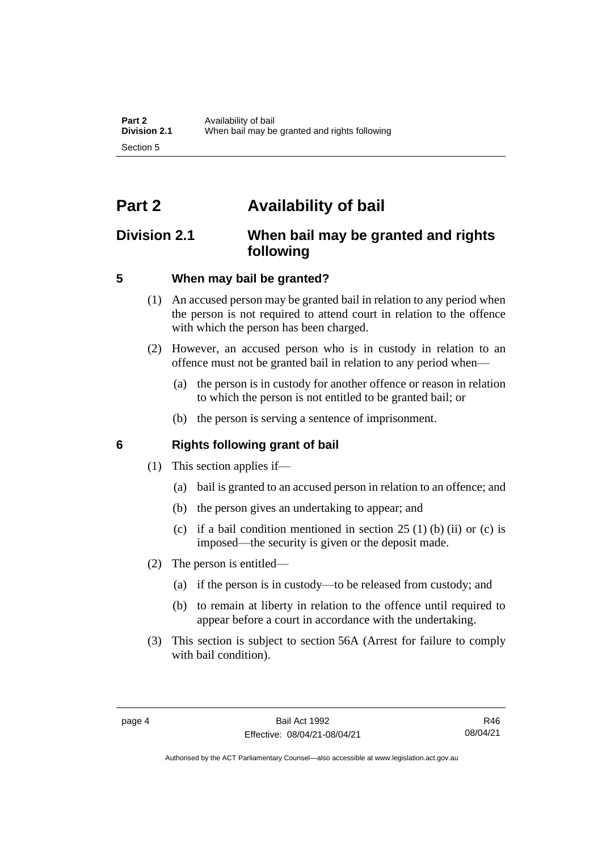# <span id="page-11-0"></span>**Part 2 Availability of bail**

# <span id="page-11-1"></span>**Division 2.1 When bail may be granted and rights following**

## <span id="page-11-2"></span>**5 When may bail be granted?**

- (1) An accused person may be granted bail in relation to any period when the person is not required to attend court in relation to the offence with which the person has been charged.
- (2) However, an accused person who is in custody in relation to an offence must not be granted bail in relation to any period when—
	- (a) the person is in custody for another offence or reason in relation to which the person is not entitled to be granted bail; or
	- (b) the person is serving a sentence of imprisonment.

# <span id="page-11-3"></span>**6 Rights following grant of bail**

- (1) This section applies if—
	- (a) bail is granted to an accused person in relation to an offence; and
	- (b) the person gives an undertaking to appear; and
	- (c) if a bail condition mentioned in section  $25(1)$  (b) (ii) or (c) is imposed—the security is given or the deposit made.
- (2) The person is entitled—
	- (a) if the person is in custody—to be released from custody; and
	- (b) to remain at liberty in relation to the offence until required to appear before a court in accordance with the undertaking.
- (3) This section is subject to section 56A (Arrest for failure to comply with bail condition).

Authorised by the ACT Parliamentary Counsel—also accessible at www.legislation.act.gov.au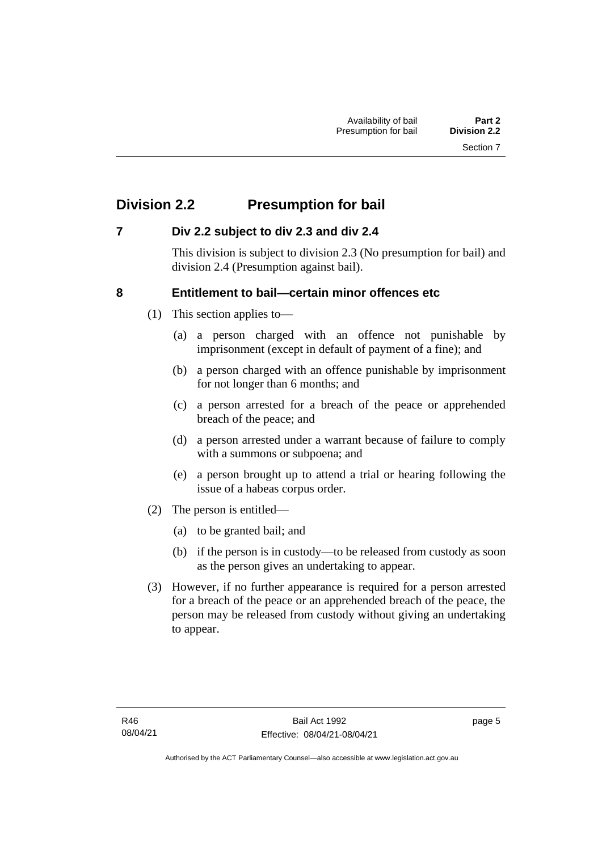# <span id="page-12-0"></span>**Division 2.2 Presumption for bail**

## <span id="page-12-1"></span>**7 Div 2.2 subject to div 2.3 and div 2.4**

This division is subject to division 2.3 (No presumption for bail) and division 2.4 (Presumption against bail).

### <span id="page-12-2"></span>**8 Entitlement to bail—certain minor offences etc**

- (1) This section applies to—
	- (a) a person charged with an offence not punishable by imprisonment (except in default of payment of a fine); and
	- (b) a person charged with an offence punishable by imprisonment for not longer than 6 months; and
	- (c) a person arrested for a breach of the peace or apprehended breach of the peace; and
	- (d) a person arrested under a warrant because of failure to comply with a summons or subpoena; and
	- (e) a person brought up to attend a trial or hearing following the issue of a habeas corpus order.
- (2) The person is entitled—
	- (a) to be granted bail; and
	- (b) if the person is in custody—to be released from custody as soon as the person gives an undertaking to appear.
- (3) However, if no further appearance is required for a person arrested for a breach of the peace or an apprehended breach of the peace, the person may be released from custody without giving an undertaking to appear.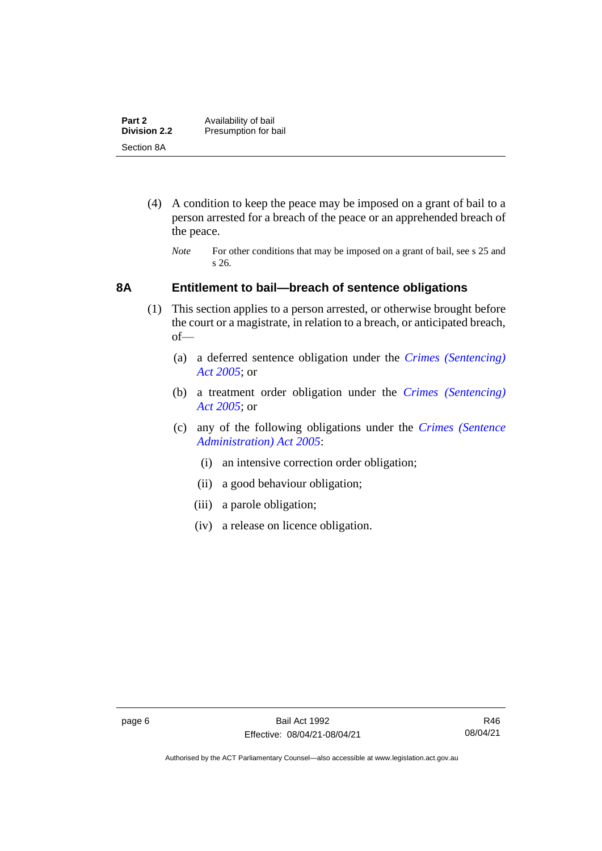| Part 2              | Availability of bail |
|---------------------|----------------------|
| <b>Division 2.2</b> | Presumption for bail |
| Section 8A          |                      |

- (4) A condition to keep the peace may be imposed on a grant of bail to a person arrested for a breach of the peace or an apprehended breach of the peace.
	- *Note* For other conditions that may be imposed on a grant of bail, see s 25 and s 26.

#### <span id="page-13-0"></span>**8A Entitlement to bail—breach of sentence obligations**

- (1) This section applies to a person arrested, or otherwise brought before the court or a magistrate, in relation to a breach, or anticipated breach, of—
	- (a) a deferred sentence obligation under the *[Crimes \(Sentencing\)](http://www.legislation.act.gov.au/a/2005-58)  [Act 2005](http://www.legislation.act.gov.au/a/2005-58)*; or
	- (b) a treatment order obligation under the *[Crimes \(Sentencing\)](http://www.legislation.act.gov.au/a/2005-58)  Act [2005](http://www.legislation.act.gov.au/a/2005-58)*; or
	- (c) any of the following obligations under the *[Crimes \(Sentence](http://www.legislation.act.gov.au/a/2005-59)  [Administration\) Act 2005](http://www.legislation.act.gov.au/a/2005-59)*:
		- (i) an intensive correction order obligation;
		- (ii) a good behaviour obligation;
		- (iii) a parole obligation;
		- (iv) a release on licence obligation.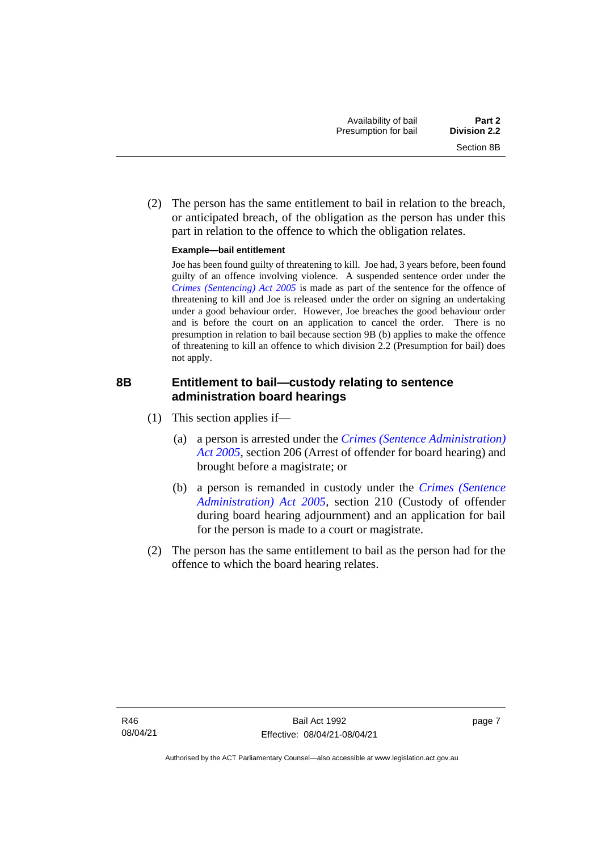(2) The person has the same entitlement to bail in relation to the breach, or anticipated breach, of the obligation as the person has under this part in relation to the offence to which the obligation relates.

#### **Example—bail entitlement**

Joe has been found guilty of threatening to kill. Joe had, 3 years before, been found guilty of an offence involving violence. A suspended sentence order under the *[Crimes \(Sentencing\) Act 2005](http://www.legislation.act.gov.au/a/2005-58)* is made as part of the sentence for the offence of threatening to kill and Joe is released under the order on signing an undertaking under a good behaviour order. However, Joe breaches the good behaviour order and is before the court on an application to cancel the order. There is no presumption in relation to bail because section 9B (b) applies to make the offence of threatening to kill an offence to which division 2.2 (Presumption for bail) does not apply.

## <span id="page-14-0"></span>**8B Entitlement to bail—custody relating to sentence administration board hearings**

- (1) This section applies if—
	- (a) a person is arrested under the *[Crimes \(Sentence Administration\)](http://www.legislation.act.gov.au/a/2005-59)  [Act 2005](http://www.legislation.act.gov.au/a/2005-59)*, section 206 (Arrest of offender for board hearing) and brought before a magistrate; or
	- (b) a person is remanded in custody under the *[Crimes \(Sentence](http://www.legislation.act.gov.au/a/2005-59)  [Administration\) Act 2005](http://www.legislation.act.gov.au/a/2005-59)*, section 210 (Custody of offender during board hearing adjournment) and an application for bail for the person is made to a court or magistrate.
- (2) The person has the same entitlement to bail as the person had for the offence to which the board hearing relates.

page 7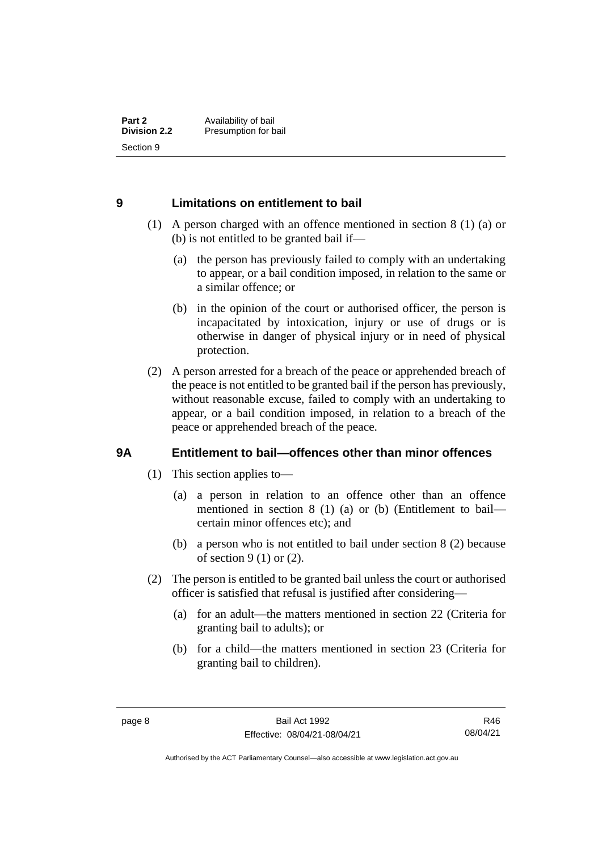### <span id="page-15-0"></span>**9 Limitations on entitlement to bail**

- (1) A person charged with an offence mentioned in section 8 (1) (a) or (b) is not entitled to be granted bail if—
	- (a) the person has previously failed to comply with an undertaking to appear, or a bail condition imposed, in relation to the same or a similar offence; or
	- (b) in the opinion of the court or authorised officer, the person is incapacitated by intoxication, injury or use of drugs or is otherwise in danger of physical injury or in need of physical protection.
- (2) A person arrested for a breach of the peace or apprehended breach of the peace is not entitled to be granted bail if the person has previously, without reasonable excuse, failed to comply with an undertaking to appear, or a bail condition imposed, in relation to a breach of the peace or apprehended breach of the peace.

## <span id="page-15-1"></span>**9A Entitlement to bail—offences other than minor offences**

- (1) This section applies to—
	- (a) a person in relation to an offence other than an offence mentioned in section 8 (1) (a) or (b) (Entitlement to bail certain minor offences etc); and
	- (b) a person who is not entitled to bail under section 8 (2) because of section 9 (1) or (2).
- (2) The person is entitled to be granted bail unless the court or authorised officer is satisfied that refusal is justified after considering—
	- (a) for an adult—the matters mentioned in section 22 (Criteria for granting bail to adults); or
	- (b) for a child—the matters mentioned in section 23 (Criteria for granting bail to children).

R46 08/04/21

Authorised by the ACT Parliamentary Counsel—also accessible at www.legislation.act.gov.au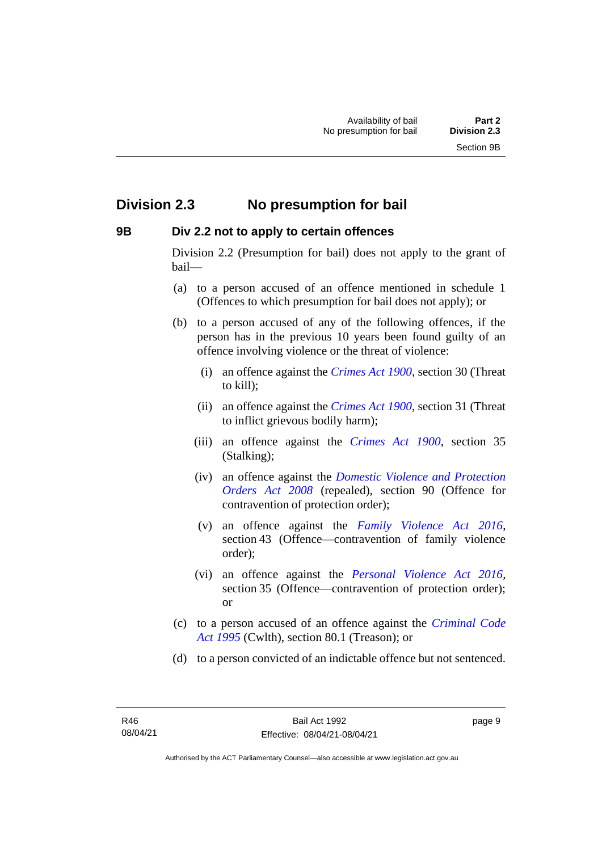# <span id="page-16-0"></span>**Division 2.3 No presumption for bail**

#### <span id="page-16-1"></span>**9B Div 2.2 not to apply to certain offences**

Division 2.2 (Presumption for bail) does not apply to the grant of bail—

- (a) to a person accused of an offence mentioned in schedule 1 (Offences to which presumption for bail does not apply); or
- (b) to a person accused of any of the following offences, if the person has in the previous 10 years been found guilty of an offence involving violence or the threat of violence:
	- (i) an offence against the *[Crimes Act 1900](http://www.legislation.act.gov.au/a/1900-40)*, section 30 (Threat to kill);
	- (ii) an offence against the *[Crimes Act 1900](http://www.legislation.act.gov.au/a/1900-40)*, section 31 (Threat to inflict grievous bodily harm);
	- (iii) an offence against the *[Crimes Act 1900](http://www.legislation.act.gov.au/a/1900-40)*, section 35 (Stalking);
	- (iv) an offence against the *[Domestic Violence and Protection](http://www.legislation.act.gov.au/a/2008-46)  [Orders Act 2008](http://www.legislation.act.gov.au/a/2008-46)* (repealed), section 90 (Offence for contravention of protection order);
	- (v) an offence against the *[Family Violence Act 2016](http://www.legislation.act.gov.au/a/2016-42)*, section 43 (Offence—contravention of family violence order);
	- (vi) an offence against the *[Personal Violence Act 2016](http://www.legislation.act.gov.au/a/2016-43)*, section 35 (Offence—contravention of protection order); or
- (c) to a person accused of an offence against the *[Criminal Code](http://www.comlaw.gov.au/Details/C2013C00138)  Act [1995](http://www.comlaw.gov.au/Details/C2013C00138)* (Cwlth), section 80.1 (Treason); or
- (d) to a person convicted of an indictable offence but not sentenced.

page 9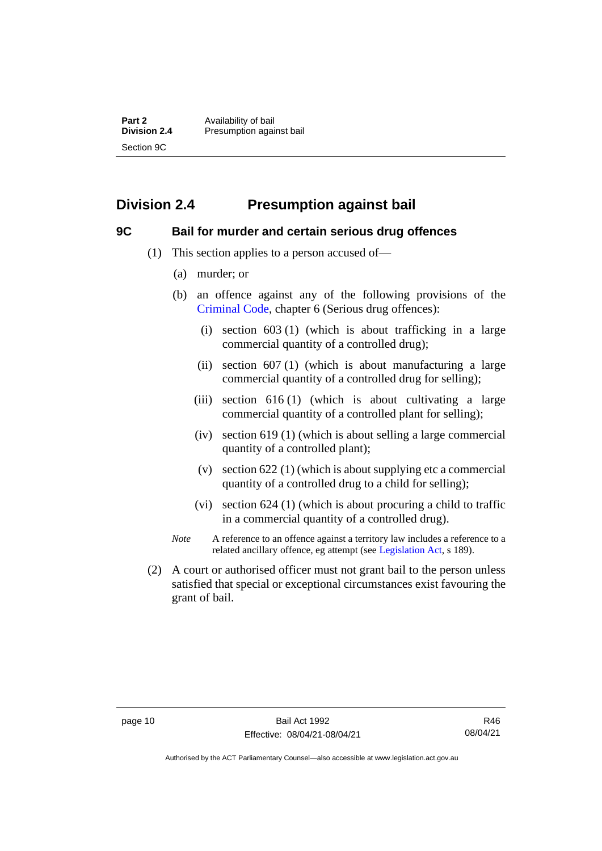**Part 2** Availability of bail<br> **Division 2.4** Presumption again **Division 2.4** Presumption against bail Section 9C

# <span id="page-17-0"></span>**Division 2.4 Presumption against bail**

#### <span id="page-17-1"></span>**9C Bail for murder and certain serious drug offences**

- (1) This section applies to a person accused of—
	- (a) murder; or
	- (b) an offence against any of the following provisions of the [Criminal Code,](http://www.legislation.act.gov.au/a/2002-51) chapter 6 (Serious drug offences):
		- (i) section 603 (1) (which is about trafficking in a large commercial quantity of a controlled drug);
		- (ii) section 607 (1) (which is about manufacturing a large commercial quantity of a controlled drug for selling);
		- (iii) section 616 (1) (which is about cultivating a large commercial quantity of a controlled plant for selling);
		- (iv) section 619 (1) (which is about selling a large commercial quantity of a controlled plant);
		- (v) section 622 (1) (which is about supplying etc a commercial quantity of a controlled drug to a child for selling);
		- (vi) section 624 (1) (which is about procuring a child to traffic in a commercial quantity of a controlled drug).
	- *Note* A reference to an offence against a territory law includes a reference to a related ancillary offence, eg attempt (see [Legislation Act,](http://www.legislation.act.gov.au/a/2001-14) s 189).
- (2) A court or authorised officer must not grant bail to the person unless satisfied that special or exceptional circumstances exist favouring the grant of bail.

Authorised by the ACT Parliamentary Counsel—also accessible at www.legislation.act.gov.au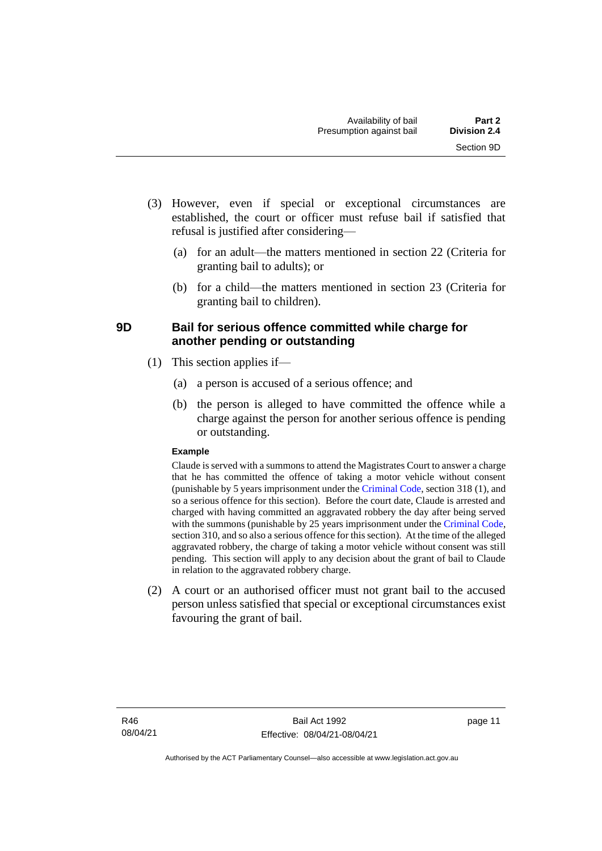- (3) However, even if special or exceptional circumstances are established, the court or officer must refuse bail if satisfied that refusal is justified after considering—
	- (a) for an adult—the matters mentioned in section 22 (Criteria for granting bail to adults); or
	- (b) for a child—the matters mentioned in section 23 (Criteria for granting bail to children).

## <span id="page-18-0"></span>**9D Bail for serious offence committed while charge for another pending or outstanding**

- (1) This section applies if—
	- (a) a person is accused of a serious offence; and
	- (b) the person is alleged to have committed the offence while a charge against the person for another serious offence is pending or outstanding.

#### **Example**

Claude is served with a summons to attend the Magistrates Court to answer a charge that he has committed the offence of taking a motor vehicle without consent (punishable by 5 years imprisonment under the [Criminal Code,](http://www.legislation.act.gov.au/a/2002-51) section 318 (1), and so a serious offence for this section). Before the court date, Claude is arrested and charged with having committed an aggravated robbery the day after being served with the summons (punishable by 25 years imprisonment under the [Criminal Code,](http://www.legislation.act.gov.au/a/2002-51) section 310, and so also a serious offence for this section). At the time of the alleged aggravated robbery, the charge of taking a motor vehicle without consent was still pending. This section will apply to any decision about the grant of bail to Claude in relation to the aggravated robbery charge.

(2) A court or an authorised officer must not grant bail to the accused person unless satisfied that special or exceptional circumstances exist favouring the grant of bail.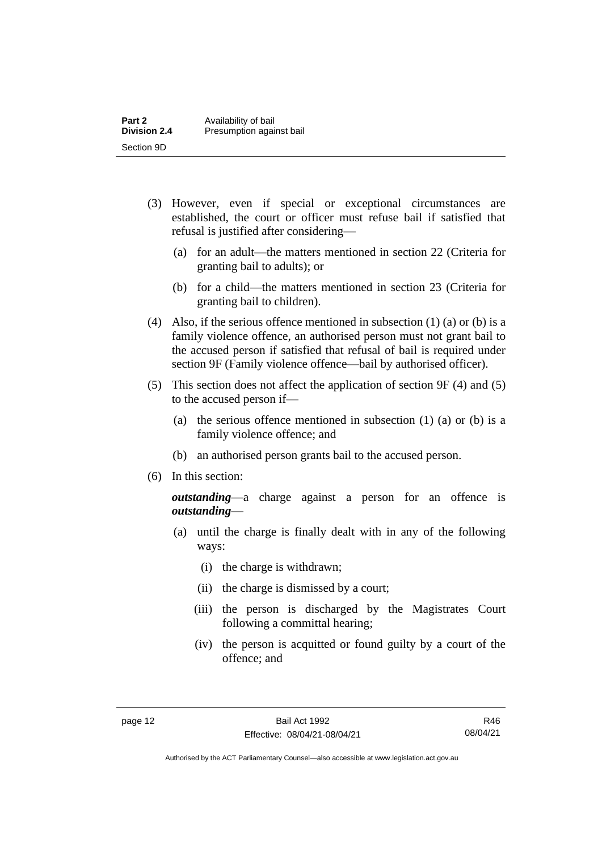| Part 2              | Availability of bail     |
|---------------------|--------------------------|
| <b>Division 2.4</b> | Presumption against bail |
| Section 9D          |                          |

- (3) However, even if special or exceptional circumstances are established, the court or officer must refuse bail if satisfied that refusal is justified after considering—
	- (a) for an adult—the matters mentioned in section 22 (Criteria for granting bail to adults); or
	- (b) for a child—the matters mentioned in section 23 (Criteria for granting bail to children).
- (4) Also, if the serious offence mentioned in subsection (1) (a) or (b) is a family violence offence, an authorised person must not grant bail to the accused person if satisfied that refusal of bail is required under section 9F (Family violence offence—bail by authorised officer).
- (5) This section does not affect the application of section 9F (4) and (5) to the accused person if—
	- (a) the serious offence mentioned in subsection (1) (a) or (b) is a family violence offence; and
	- (b) an authorised person grants bail to the accused person.
- (6) In this section:

*outstanding*—a charge against a person for an offence is *outstanding*—

- (a) until the charge is finally dealt with in any of the following ways:
	- (i) the charge is withdrawn;
	- (ii) the charge is dismissed by a court;
	- (iii) the person is discharged by the Magistrates Court following a committal hearing;
	- (iv) the person is acquitted or found guilty by a court of the offence; and

Authorised by the ACT Parliamentary Counsel—also accessible at www.legislation.act.gov.au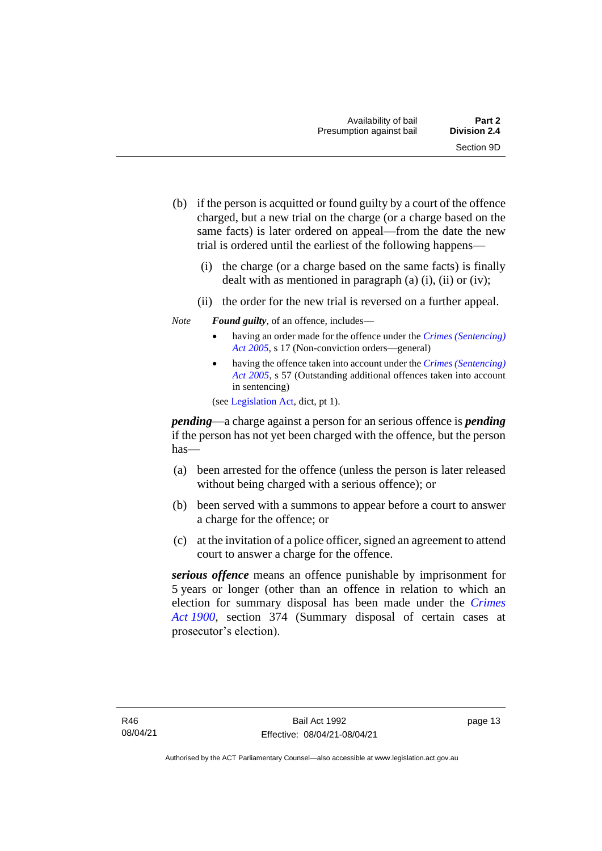- (b) if the person is acquitted or found guilty by a court of the offence charged, but a new trial on the charge (or a charge based on the same facts) is later ordered on appeal—from the date the new trial is ordered until the earliest of the following happens—
	- (i) the charge (or a charge based on the same facts) is finally dealt with as mentioned in paragraph  $(a)$   $(i)$ ,  $(ii)$  or  $(iv)$ ;
	- (ii) the order for the new trial is reversed on a further appeal.
- *Note Found guilty*, of an offence, includes—
	- having an order made for the offence under the *[Crimes \(Sentencing\)](http://www.legislation.act.gov.au/a/2005-58)  [Act 2005](http://www.legislation.act.gov.au/a/2005-58)*, s 17 (Non-conviction orders—general)
	- having the offence taken into account under the *[Crimes \(Sentencing\)](http://www.legislation.act.gov.au/a/2005-58)  [Act 2005](http://www.legislation.act.gov.au/a/2005-58)*, s 57 (Outstanding additional offences taken into account in sentencing)

(se[e Legislation Act,](http://www.legislation.act.gov.au/a/2001-14) dict, pt 1).

*pending*—a charge against a person for an serious offence is *pending*  if the person has not yet been charged with the offence, but the person has—

- (a) been arrested for the offence (unless the person is later released without being charged with a serious offence); or
- (b) been served with a summons to appear before a court to answer a charge for the offence; or
- (c) at the invitation of a police officer, signed an agreement to attend court to answer a charge for the offence.

*serious offence* means an offence punishable by imprisonment for 5 years or longer (other than an offence in relation to which an election for summary disposal has been made under the *[Crimes](http://www.legislation.act.gov.au/a/1900-40)  Act [1900](http://www.legislation.act.gov.au/a/1900-40)*, section 374 (Summary disposal of certain cases at prosecutor's election).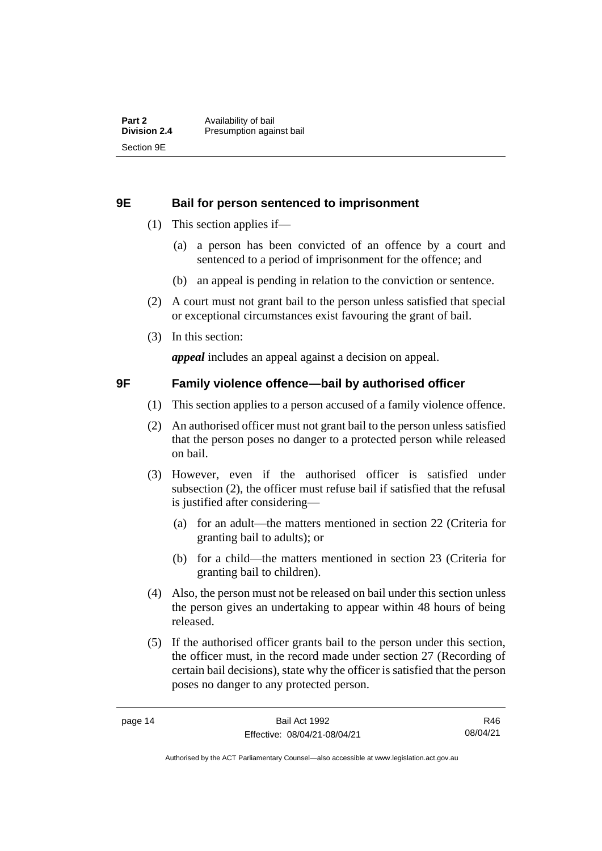#### <span id="page-21-0"></span>**9E Bail for person sentenced to imprisonment**

- (1) This section applies if—
	- (a) a person has been convicted of an offence by a court and sentenced to a period of imprisonment for the offence; and
	- (b) an appeal is pending in relation to the conviction or sentence.
- (2) A court must not grant bail to the person unless satisfied that special or exceptional circumstances exist favouring the grant of bail.
- (3) In this section:

*appeal* includes an appeal against a decision on appeal.

#### <span id="page-21-1"></span>**9F Family violence offence—bail by authorised officer**

- (1) This section applies to a person accused of a family violence offence.
- (2) An authorised officer must not grant bail to the person unless satisfied that the person poses no danger to a protected person while released on bail.
- (3) However, even if the authorised officer is satisfied under subsection (2), the officer must refuse bail if satisfied that the refusal is justified after considering—
	- (a) for an adult—the matters mentioned in section 22 (Criteria for granting bail to adults); or
	- (b) for a child—the matters mentioned in section 23 (Criteria for granting bail to children).
- (4) Also, the person must not be released on bail under this section unless the person gives an undertaking to appear within 48 hours of being released.
- (5) If the authorised officer grants bail to the person under this section, the officer must, in the record made under section 27 (Recording of certain bail decisions), state why the officer is satisfied that the person poses no danger to any protected person.

R46 08/04/21

Authorised by the ACT Parliamentary Counsel—also accessible at www.legislation.act.gov.au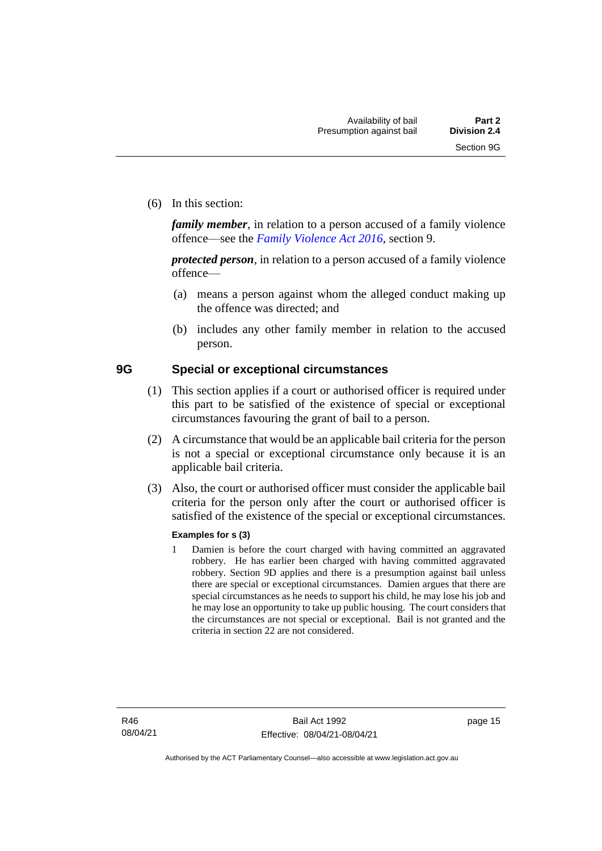(6) In this section:

*family member*, in relation to a person accused of a family violence offence—see the *[Family Violence Act 2016](http://www.legislation.act.gov.au/a/2016-42)*, section 9.

*protected person*, in relation to a person accused of a family violence offence—

- (a) means a person against whom the alleged conduct making up the offence was directed; and
- (b) includes any other family member in relation to the accused person.

#### <span id="page-22-0"></span>**9G Special or exceptional circumstances**

- (1) This section applies if a court or authorised officer is required under this part to be satisfied of the existence of special or exceptional circumstances favouring the grant of bail to a person.
- (2) A circumstance that would be an applicable bail criteria for the person is not a special or exceptional circumstance only because it is an applicable bail criteria.
- (3) Also, the court or authorised officer must consider the applicable bail criteria for the person only after the court or authorised officer is satisfied of the existence of the special or exceptional circumstances.

#### **Examples for s (3)**

1 Damien is before the court charged with having committed an aggravated robbery. He has earlier been charged with having committed aggravated robbery. Section 9D applies and there is a presumption against bail unless there are special or exceptional circumstances. Damien argues that there are special circumstances as he needs to support his child, he may lose his job and he may lose an opportunity to take up public housing. The court considers that the circumstances are not special or exceptional. Bail is not granted and the criteria in section 22 are not considered.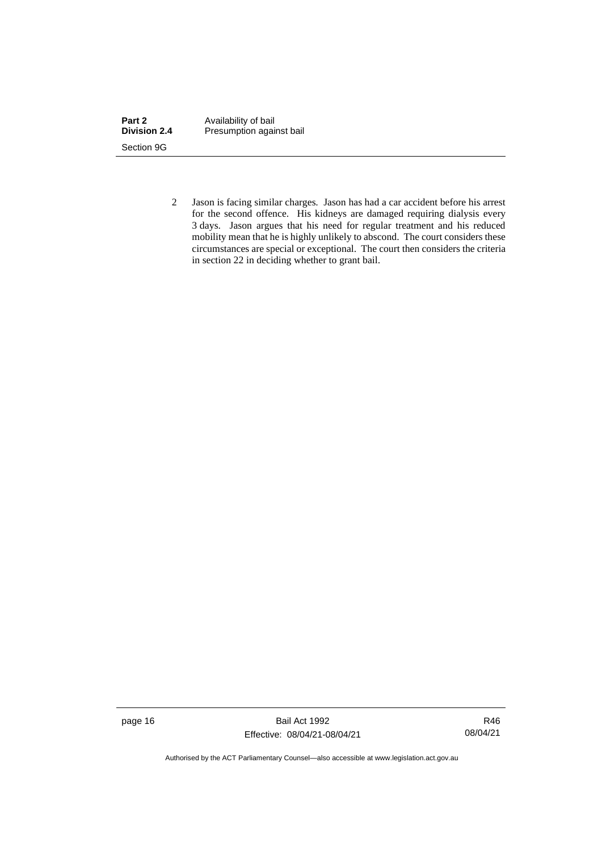| Part 2              | Availability of bail     |
|---------------------|--------------------------|
| <b>Division 2.4</b> | Presumption against bail |
| Section 9G          |                          |

2 Jason is facing similar charges. Jason has had a car accident before his arrest for the second offence. His kidneys are damaged requiring dialysis every 3 days. Jason argues that his need for regular treatment and his reduced mobility mean that he is highly unlikely to abscond. The court considers these circumstances are special or exceptional. The court then considers the criteria in section 22 in deciding whether to grant bail.

page 16 Bail Act 1992 Effective: 08/04/21-08/04/21

R46 08/04/21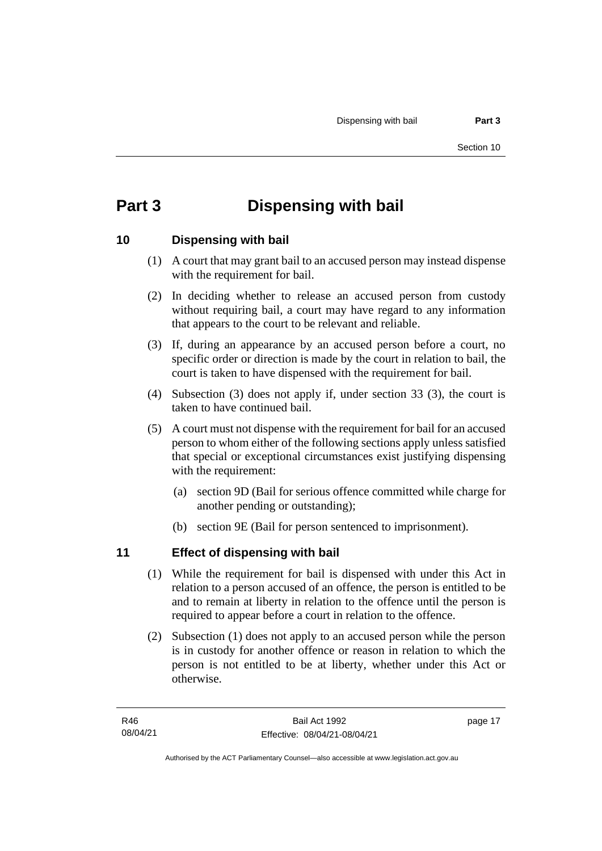# <span id="page-24-0"></span>**Part 3 Dispensing with bail**

## <span id="page-24-1"></span>**10 Dispensing with bail**

- (1) A court that may grant bail to an accused person may instead dispense with the requirement for bail.
- (2) In deciding whether to release an accused person from custody without requiring bail, a court may have regard to any information that appears to the court to be relevant and reliable.
- (3) If, during an appearance by an accused person before a court, no specific order or direction is made by the court in relation to bail, the court is taken to have dispensed with the requirement for bail.
- (4) Subsection (3) does not apply if, under section 33 (3), the court is taken to have continued bail.
- (5) A court must not dispense with the requirement for bail for an accused person to whom either of the following sections apply unless satisfied that special or exceptional circumstances exist justifying dispensing with the requirement:
	- (a) section 9D (Bail for serious offence committed while charge for another pending or outstanding);
	- (b) section 9E (Bail for person sentenced to imprisonment).

# <span id="page-24-2"></span>**11 Effect of dispensing with bail**

- (1) While the requirement for bail is dispensed with under this Act in relation to a person accused of an offence, the person is entitled to be and to remain at liberty in relation to the offence until the person is required to appear before a court in relation to the offence.
- (2) Subsection (1) does not apply to an accused person while the person is in custody for another offence or reason in relation to which the person is not entitled to be at liberty, whether under this Act or otherwise.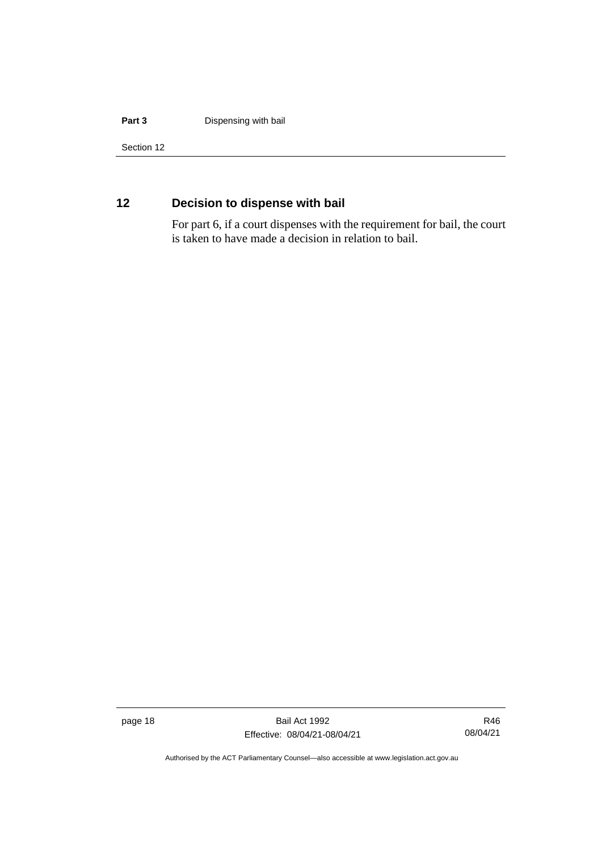#### **Part 3 Dispensing with bail**

Section 12

# <span id="page-25-0"></span>**12 Decision to dispense with bail**

For part 6, if a court dispenses with the requirement for bail, the court is taken to have made a decision in relation to bail.

page 18 Bail Act 1992 Effective: 08/04/21-08/04/21

R46 08/04/21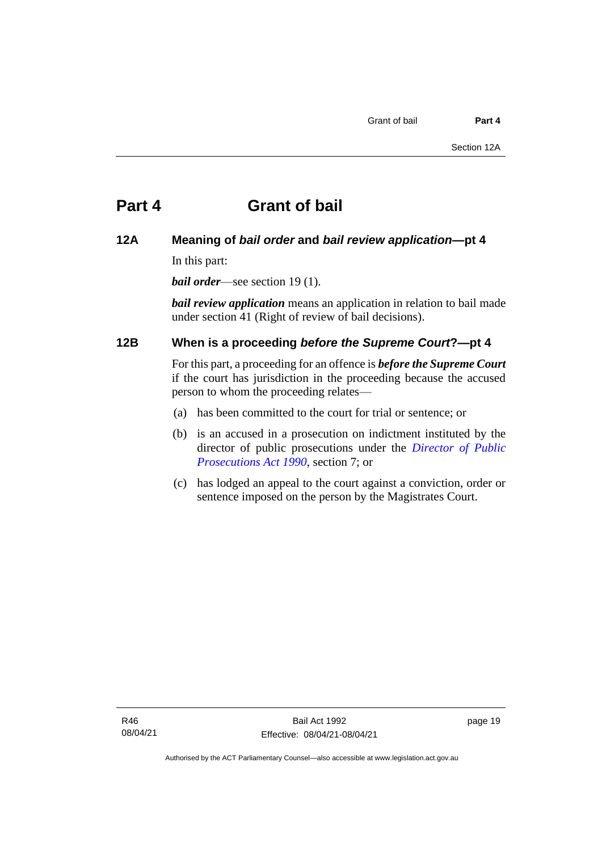### <span id="page-26-1"></span><span id="page-26-0"></span>**12A Meaning of** *bail order* **and** *bail review application***—pt 4**

In this part:

*bail order*—see section 19 (1).

*bail review application* means an application in relation to bail made under section 41 (Right of review of bail decisions).

### <span id="page-26-2"></span>**12B When is a proceeding** *before the Supreme Court***?—pt 4**

For this part, a proceeding for an offence is *before the Supreme Court* if the court has jurisdiction in the proceeding because the accused person to whom the proceeding relates—

- (a) has been committed to the court for trial or sentence; or
- (b) is an accused in a prosecution on indictment instituted by the director of public prosecutions under the *[Director of Public](http://www.legislation.act.gov.au/a/1990-22)  [Prosecutions Act 1990](http://www.legislation.act.gov.au/a/1990-22)*, section 7; or
- (c) has lodged an appeal to the court against a conviction, order or sentence imposed on the person by the Magistrates Court.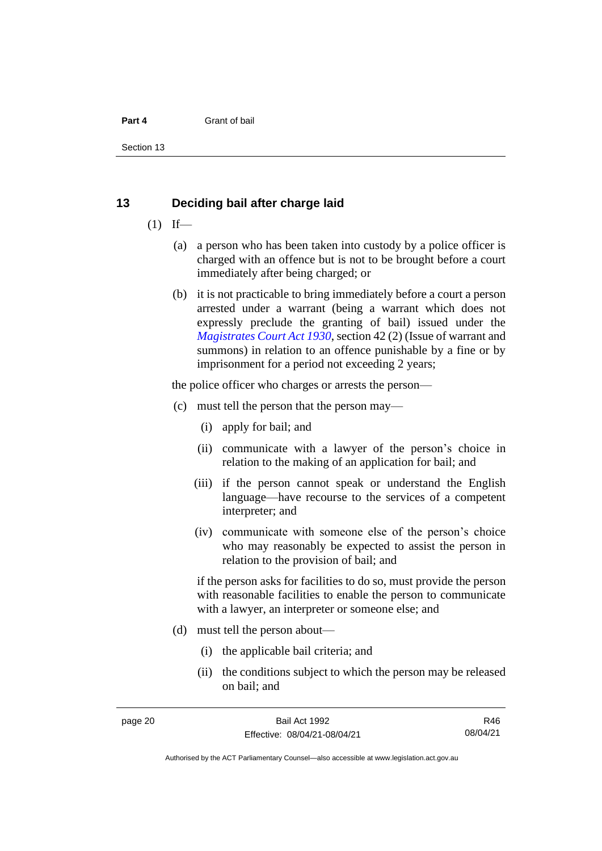Section 13

#### <span id="page-27-0"></span>**13 Deciding bail after charge laid**

- $(1)$  If—
	- (a) a person who has been taken into custody by a police officer is charged with an offence but is not to be brought before a court immediately after being charged; or
	- (b) it is not practicable to bring immediately before a court a person arrested under a warrant (being a warrant which does not expressly preclude the granting of bail) issued under the *[Magistrates Court Act 1930](http://www.legislation.act.gov.au/a/1930-21)*, section 42 (2) (Issue of warrant and summons) in relation to an offence punishable by a fine or by imprisonment for a period not exceeding 2 years;

the police officer who charges or arrests the person—

- (c) must tell the person that the person may—
	- (i) apply for bail; and
	- (ii) communicate with a lawyer of the person's choice in relation to the making of an application for bail; and
	- (iii) if the person cannot speak or understand the English language—have recourse to the services of a competent interpreter; and
	- (iv) communicate with someone else of the person's choice who may reasonably be expected to assist the person in relation to the provision of bail; and

if the person asks for facilities to do so, must provide the person with reasonable facilities to enable the person to communicate with a lawyer, an interpreter or someone else; and

- (d) must tell the person about—
	- (i) the applicable bail criteria; and
	- (ii) the conditions subject to which the person may be released on bail; and

R46 08/04/21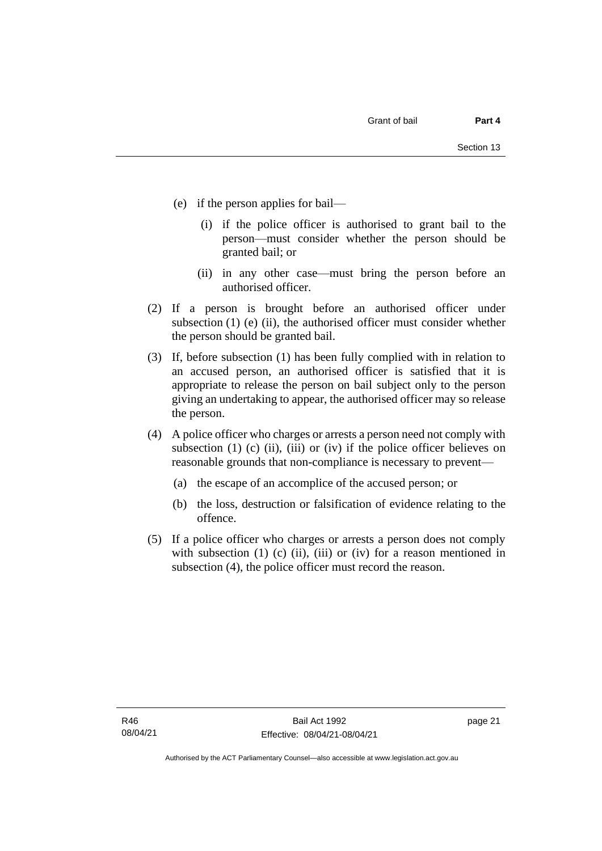- (e) if the person applies for bail—
	- (i) if the police officer is authorised to grant bail to the person—must consider whether the person should be granted bail; or
	- (ii) in any other case—must bring the person before an authorised officer.
- (2) If a person is brought before an authorised officer under subsection  $(1)$  (e)  $(ii)$ , the authorised officer must consider whether the person should be granted bail.
- (3) If, before subsection (1) has been fully complied with in relation to an accused person, an authorised officer is satisfied that it is appropriate to release the person on bail subject only to the person giving an undertaking to appear, the authorised officer may so release the person.
- (4) A police officer who charges or arrests a person need not comply with subsection (1) (c) (ii), (iii) or (iv) if the police officer believes on reasonable grounds that non-compliance is necessary to prevent—
	- (a) the escape of an accomplice of the accused person; or
	- (b) the loss, destruction or falsification of evidence relating to the offence.
- (5) If a police officer who charges or arrests a person does not comply with subsection  $(1)$   $(c)$   $(ii)$ ,  $(iii)$  or  $(iv)$  for a reason mentioned in subsection (4), the police officer must record the reason.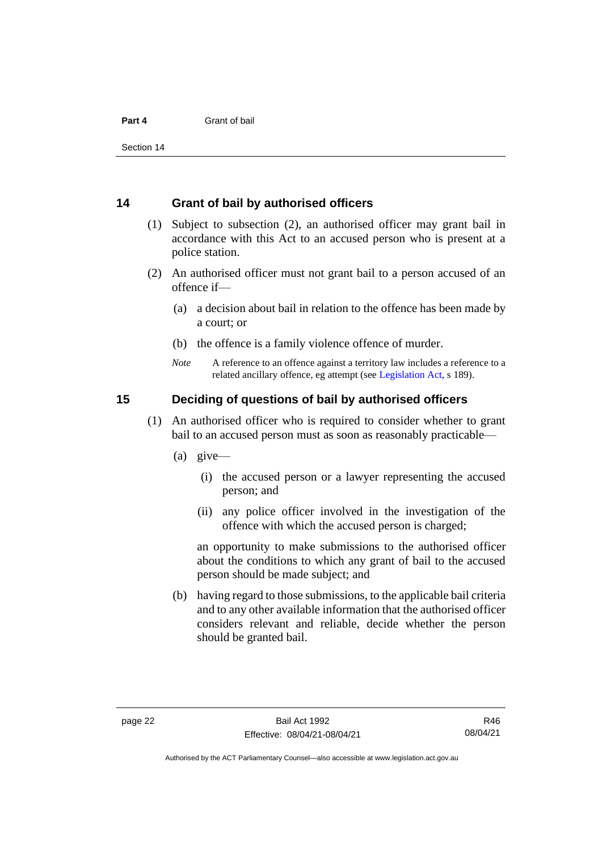Section 14

#### <span id="page-29-0"></span>**14 Grant of bail by authorised officers**

- (1) Subject to subsection (2), an authorised officer may grant bail in accordance with this Act to an accused person who is present at a police station.
- (2) An authorised officer must not grant bail to a person accused of an offence if—
	- (a) a decision about bail in relation to the offence has been made by a court; or
	- (b) the offence is a family violence offence of murder.
	- *Note* A reference to an offence against a territory law includes a reference to a related ancillary offence, eg attempt (see [Legislation Act,](http://www.legislation.act.gov.au/a/2001-14) s 189).

#### <span id="page-29-1"></span>**15 Deciding of questions of bail by authorised officers**

- (1) An authorised officer who is required to consider whether to grant bail to an accused person must as soon as reasonably practicable—
	- (a) give—
		- (i) the accused person or a lawyer representing the accused person; and
		- (ii) any police officer involved in the investigation of the offence with which the accused person is charged;

an opportunity to make submissions to the authorised officer about the conditions to which any grant of bail to the accused person should be made subject; and

(b) having regard to those submissions, to the applicable bail criteria and to any other available information that the authorised officer considers relevant and reliable, decide whether the person should be granted bail.

Authorised by the ACT Parliamentary Counsel—also accessible at www.legislation.act.gov.au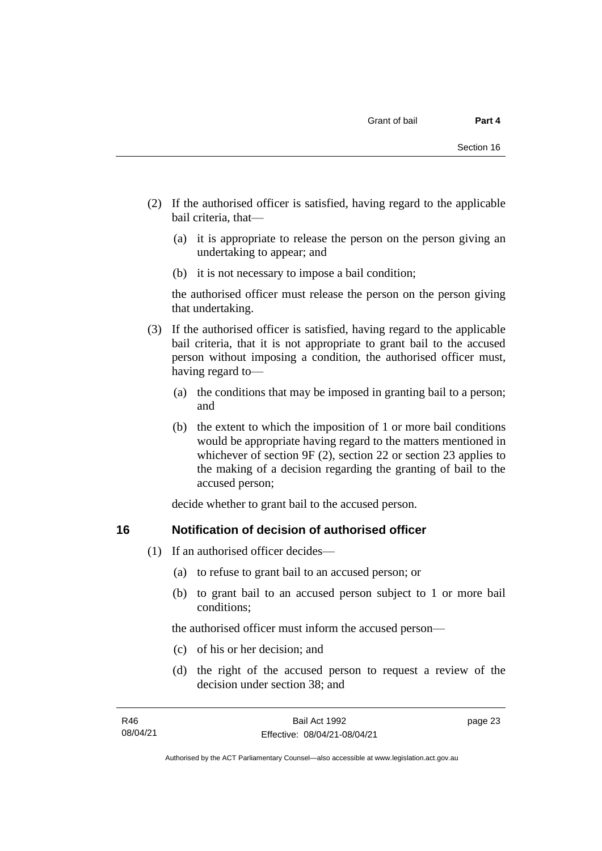- (2) If the authorised officer is satisfied, having regard to the applicable bail criteria, that—
	- (a) it is appropriate to release the person on the person giving an undertaking to appear; and
	- (b) it is not necessary to impose a bail condition;

the authorised officer must release the person on the person giving that undertaking.

- (3) If the authorised officer is satisfied, having regard to the applicable bail criteria, that it is not appropriate to grant bail to the accused person without imposing a condition, the authorised officer must, having regard to—
	- (a) the conditions that may be imposed in granting bail to a person; and
	- (b) the extent to which the imposition of 1 or more bail conditions would be appropriate having regard to the matters mentioned in whichever of section 9F (2), section 22 or section 23 applies to the making of a decision regarding the granting of bail to the accused person;

decide whether to grant bail to the accused person.

### <span id="page-30-0"></span>**16 Notification of decision of authorised officer**

- (1) If an authorised officer decides—
	- (a) to refuse to grant bail to an accused person; or
	- (b) to grant bail to an accused person subject to 1 or more bail conditions;

the authorised officer must inform the accused person—

- (c) of his or her decision; and
- (d) the right of the accused person to request a review of the decision under section 38; and

page 23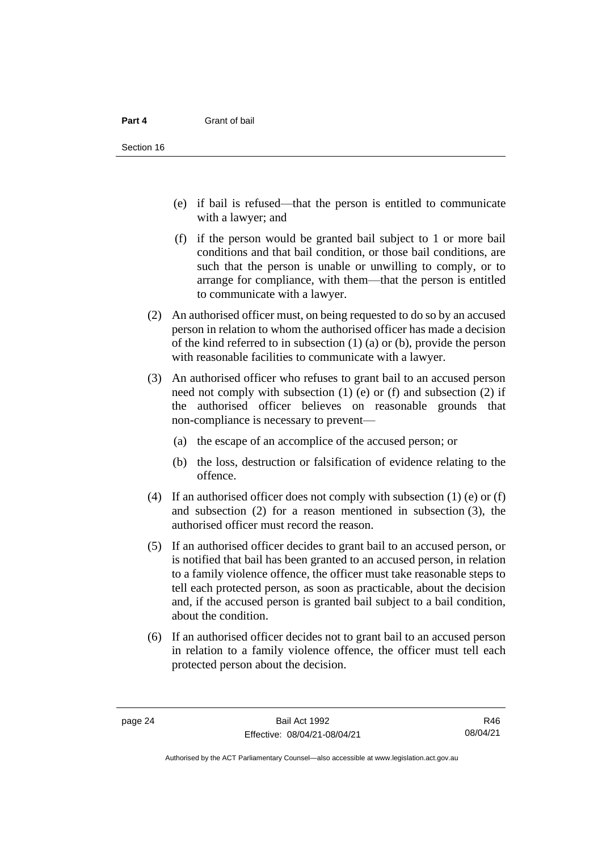- (e) if bail is refused—that the person is entitled to communicate with a lawyer; and
- (f) if the person would be granted bail subject to 1 or more bail conditions and that bail condition, or those bail conditions, are such that the person is unable or unwilling to comply, or to arrange for compliance, with them—that the person is entitled to communicate with a lawyer.
- (2) An authorised officer must, on being requested to do so by an accused person in relation to whom the authorised officer has made a decision of the kind referred to in subsection (1) (a) or (b), provide the person with reasonable facilities to communicate with a lawyer.
- (3) An authorised officer who refuses to grant bail to an accused person need not comply with subsection (1) (e) or (f) and subsection (2) if the authorised officer believes on reasonable grounds that non-compliance is necessary to prevent—
	- (a) the escape of an accomplice of the accused person; or
	- (b) the loss, destruction or falsification of evidence relating to the offence.
- (4) If an authorised officer does not comply with subsection (1) (e) or (f) and subsection (2) for a reason mentioned in subsection (3), the authorised officer must record the reason.
- (5) If an authorised officer decides to grant bail to an accused person, or is notified that bail has been granted to an accused person, in relation to a family violence offence, the officer must take reasonable steps to tell each protected person, as soon as practicable, about the decision and, if the accused person is granted bail subject to a bail condition, about the condition.
- (6) If an authorised officer decides not to grant bail to an accused person in relation to a family violence offence, the officer must tell each protected person about the decision.

R46 08/04/21

Authorised by the ACT Parliamentary Counsel—also accessible at www.legislation.act.gov.au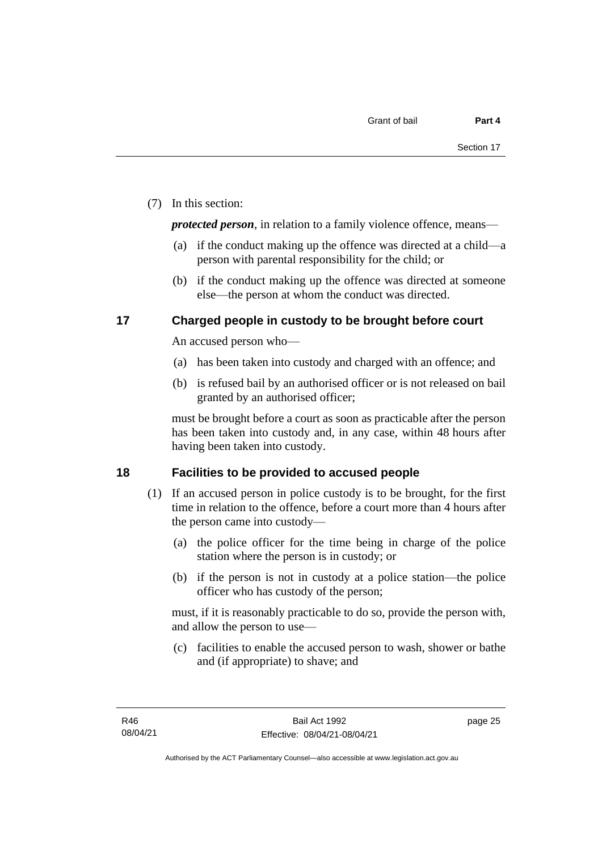(7) In this section:

*protected person*, in relation to a family violence offence, means—

- (a) if the conduct making up the offence was directed at a child—a person with parental responsibility for the child; or
- (b) if the conduct making up the offence was directed at someone else—the person at whom the conduct was directed.

### <span id="page-32-0"></span>**17 Charged people in custody to be brought before court**

An accused person who—

- (a) has been taken into custody and charged with an offence; and
- (b) is refused bail by an authorised officer or is not released on bail granted by an authorised officer;

must be brought before a court as soon as practicable after the person has been taken into custody and, in any case, within 48 hours after having been taken into custody.

## <span id="page-32-1"></span>**18 Facilities to be provided to accused people**

- (1) If an accused person in police custody is to be brought, for the first time in relation to the offence, before a court more than 4 hours after the person came into custody—
	- (a) the police officer for the time being in charge of the police station where the person is in custody; or
	- (b) if the person is not in custody at a police station—the police officer who has custody of the person;

must, if it is reasonably practicable to do so, provide the person with, and allow the person to use—

(c) facilities to enable the accused person to wash, shower or bathe and (if appropriate) to shave; and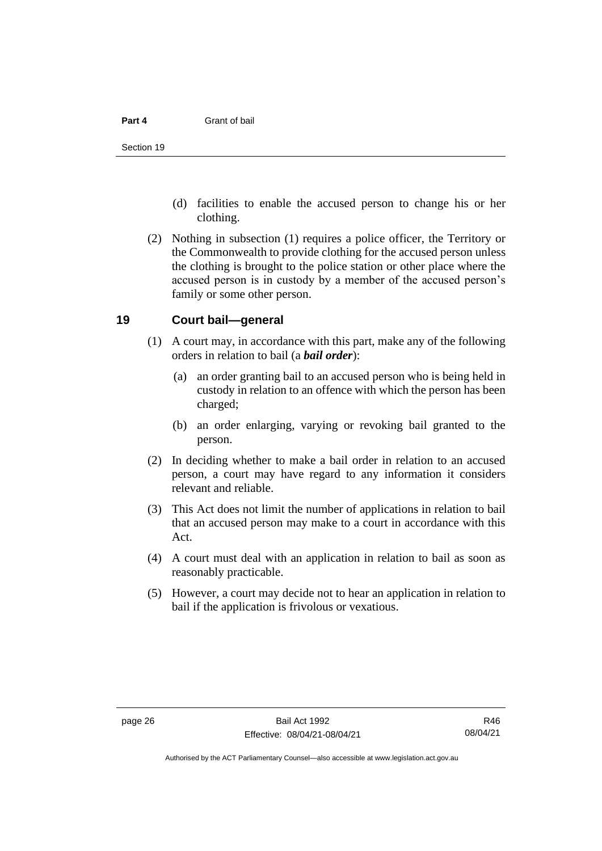- (d) facilities to enable the accused person to change his or her clothing.
- (2) Nothing in subsection (1) requires a police officer, the Territory or the Commonwealth to provide clothing for the accused person unless the clothing is brought to the police station or other place where the accused person is in custody by a member of the accused person's family or some other person.

#### <span id="page-33-0"></span>**19 Court bail—general**

- (1) A court may, in accordance with this part, make any of the following orders in relation to bail (a *bail order*):
	- (a) an order granting bail to an accused person who is being held in custody in relation to an offence with which the person has been charged;
	- (b) an order enlarging, varying or revoking bail granted to the person.
- (2) In deciding whether to make a bail order in relation to an accused person, a court may have regard to any information it considers relevant and reliable.
- (3) This Act does not limit the number of applications in relation to bail that an accused person may make to a court in accordance with this Act.
- (4) A court must deal with an application in relation to bail as soon as reasonably practicable.
- (5) However, a court may decide not to hear an application in relation to bail if the application is frivolous or vexatious.

Authorised by the ACT Parliamentary Counsel—also accessible at www.legislation.act.gov.au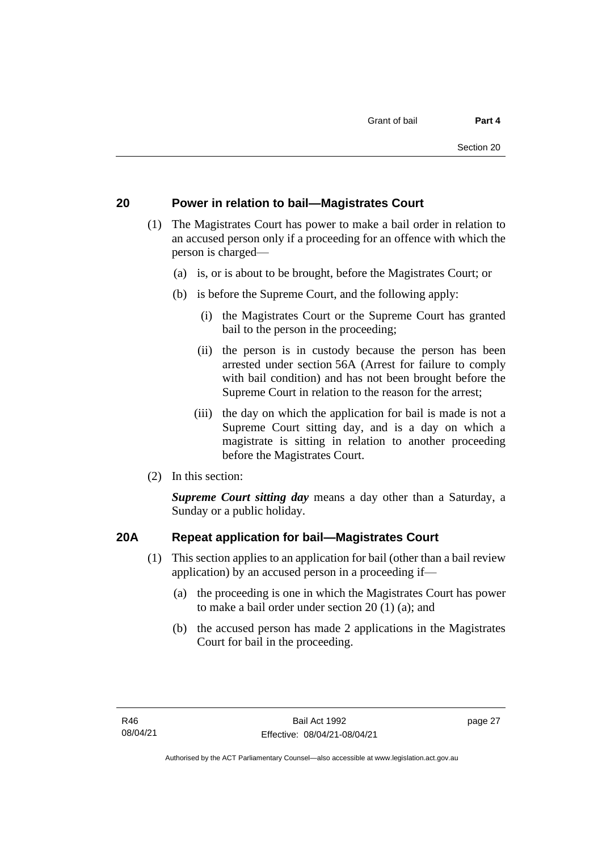## <span id="page-34-0"></span>**20 Power in relation to bail—Magistrates Court**

- (1) The Magistrates Court has power to make a bail order in relation to an accused person only if a proceeding for an offence with which the person is charged—
	- (a) is, or is about to be brought, before the Magistrates Court; or
	- (b) is before the Supreme Court, and the following apply:
		- (i) the Magistrates Court or the Supreme Court has granted bail to the person in the proceeding;
		- (ii) the person is in custody because the person has been arrested under section 56A (Arrest for failure to comply with bail condition) and has not been brought before the Supreme Court in relation to the reason for the arrest;
		- (iii) the day on which the application for bail is made is not a Supreme Court sitting day, and is a day on which a magistrate is sitting in relation to another proceeding before the Magistrates Court.
- (2) In this section:

*Supreme Court sitting day* means a day other than a Saturday, a Sunday or a public holiday.

## <span id="page-34-1"></span>**20A Repeat application for bail—Magistrates Court**

- (1) This section applies to an application for bail (other than a bail review application) by an accused person in a proceeding if—
	- (a) the proceeding is one in which the Magistrates Court has power to make a bail order under section 20 (1) (a); and
	- (b) the accused person has made 2 applications in the Magistrates Court for bail in the proceeding.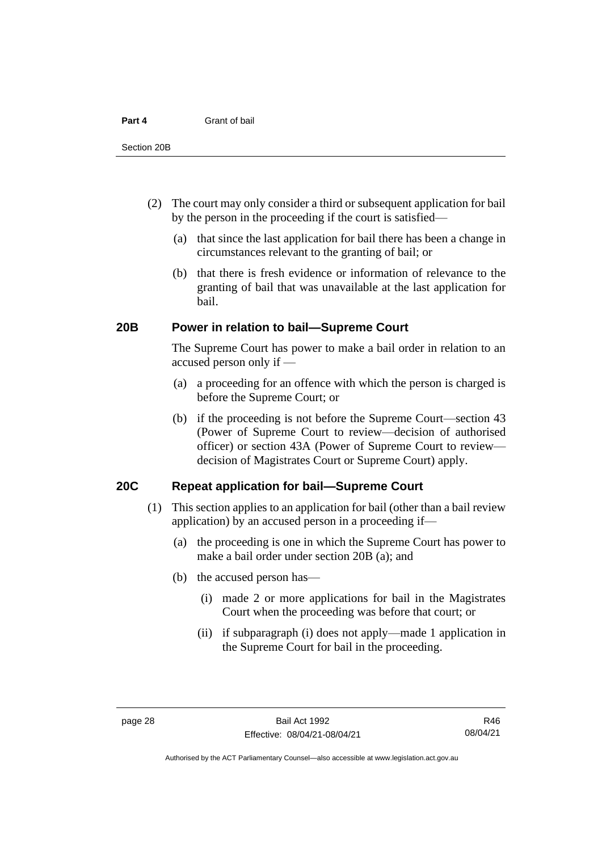- (2) The court may only consider a third or subsequent application for bail by the person in the proceeding if the court is satisfied—
	- (a) that since the last application for bail there has been a change in circumstances relevant to the granting of bail; or
	- (b) that there is fresh evidence or information of relevance to the granting of bail that was unavailable at the last application for bail.

#### <span id="page-35-0"></span>**20B Power in relation to bail—Supreme Court**

The Supreme Court has power to make a bail order in relation to an accused person only if —

- (a) a proceeding for an offence with which the person is charged is before the Supreme Court; or
- (b) if the proceeding is not before the Supreme Court—section 43 (Power of Supreme Court to review—decision of authorised officer) or section 43A (Power of Supreme Court to review decision of Magistrates Court or Supreme Court) apply.

### <span id="page-35-1"></span>**20C Repeat application for bail—Supreme Court**

- (1) This section applies to an application for bail (other than a bail review application) by an accused person in a proceeding if—
	- (a) the proceeding is one in which the Supreme Court has power to make a bail order under section 20B (a); and
	- (b) the accused person has—
		- (i) made 2 or more applications for bail in the Magistrates Court when the proceeding was before that court; or
		- (ii) if subparagraph (i) does not apply—made 1 application in the Supreme Court for bail in the proceeding.

R46 08/04/21

Authorised by the ACT Parliamentary Counsel—also accessible at www.legislation.act.gov.au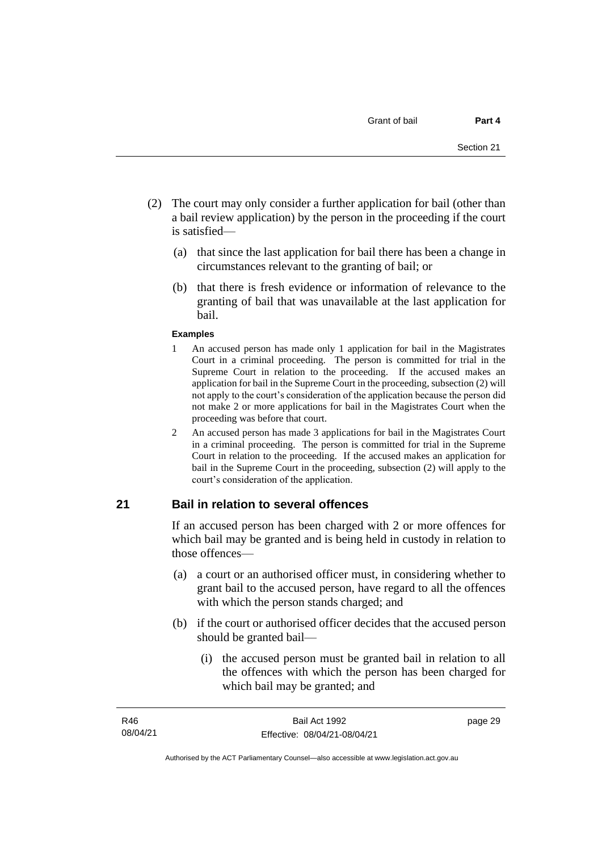- (2) The court may only consider a further application for bail (other than a bail review application) by the person in the proceeding if the court is satisfied—
	- (a) that since the last application for bail there has been a change in circumstances relevant to the granting of bail; or
	- (b) that there is fresh evidence or information of relevance to the granting of bail that was unavailable at the last application for bail.

#### **Examples**

- 1 An accused person has made only 1 application for bail in the Magistrates Court in a criminal proceeding. The person is committed for trial in the Supreme Court in relation to the proceeding. If the accused makes an application for bail in the Supreme Court in the proceeding, subsection (2) will not apply to the court's consideration of the application because the person did not make 2 or more applications for bail in the Magistrates Court when the proceeding was before that court.
- 2 An accused person has made 3 applications for bail in the Magistrates Court in a criminal proceeding. The person is committed for trial in the Supreme Court in relation to the proceeding. If the accused makes an application for bail in the Supreme Court in the proceeding, subsection (2) will apply to the court's consideration of the application.

## **21 Bail in relation to several offences**

If an accused person has been charged with 2 or more offences for which bail may be granted and is being held in custody in relation to those offences—

- (a) a court or an authorised officer must, in considering whether to grant bail to the accused person, have regard to all the offences with which the person stands charged; and
- (b) if the court or authorised officer decides that the accused person should be granted bail—
	- (i) the accused person must be granted bail in relation to all the offences with which the person has been charged for which bail may be granted; and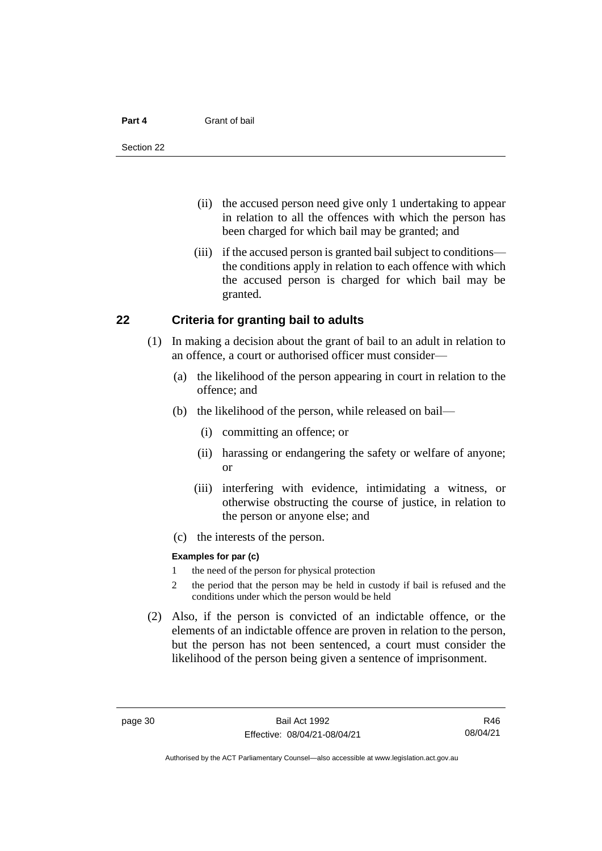#### **Part 4** Grant of bail

- (ii) the accused person need give only 1 undertaking to appear in relation to all the offences with which the person has been charged for which bail may be granted; and
- (iii) if the accused person is granted bail subject to conditions the conditions apply in relation to each offence with which the accused person is charged for which bail may be granted.

### **22 Criteria for granting bail to adults**

- (1) In making a decision about the grant of bail to an adult in relation to an offence, a court or authorised officer must consider—
	- (a) the likelihood of the person appearing in court in relation to the offence; and
	- (b) the likelihood of the person, while released on bail—
		- (i) committing an offence; or
		- (ii) harassing or endangering the safety or welfare of anyone; or
		- (iii) interfering with evidence, intimidating a witness, or otherwise obstructing the course of justice, in relation to the person or anyone else; and
	- (c) the interests of the person.

#### **Examples for par (c)**

- 1 the need of the person for physical protection
- 2 the period that the person may be held in custody if bail is refused and the conditions under which the person would be held
- (2) Also, if the person is convicted of an indictable offence, or the elements of an indictable offence are proven in relation to the person, but the person has not been sentenced, a court must consider the likelihood of the person being given a sentence of imprisonment.

R46 08/04/21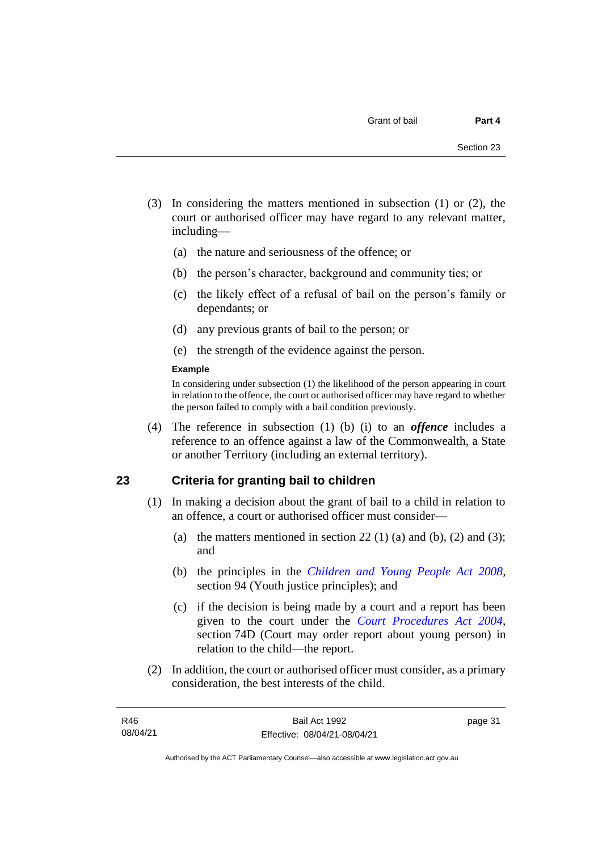- (3) In considering the matters mentioned in subsection (1) or (2), the court or authorised officer may have regard to any relevant matter, including—
	- (a) the nature and seriousness of the offence; or
	- (b) the person's character, background and community ties; or
	- (c) the likely effect of a refusal of bail on the person's family or dependants; or
	- (d) any previous grants of bail to the person; or
	- (e) the strength of the evidence against the person.

#### **Example**

In considering under subsection (1) the likelihood of the person appearing in court in relation to the offence, the court or authorised officer may have regard to whether the person failed to comply with a bail condition previously.

(4) The reference in subsection (1) (b) (i) to an *offence* includes a reference to an offence against a law of the Commonwealth, a State or another Territory (including an external territory).

### **23 Criteria for granting bail to children**

- (1) In making a decision about the grant of bail to a child in relation to an offence, a court or authorised officer must consider—
	- (a) the matters mentioned in section 22 (1) (a) and (b), (2) and (3); and
	- (b) the principles in the *[Children and Young People Act 2008](http://www.legislation.act.gov.au/a/2008-19)*, section 94 (Youth justice principles); and
	- (c) if the decision is being made by a court and a report has been given to the court under the *[Court Procedures Act 2004](http://www.legislation.act.gov.au/a/2004-59)*, section 74D (Court may order report about young person) in relation to the child—the report.
- (2) In addition, the court or authorised officer must consider, as a primary consideration, the best interests of the child.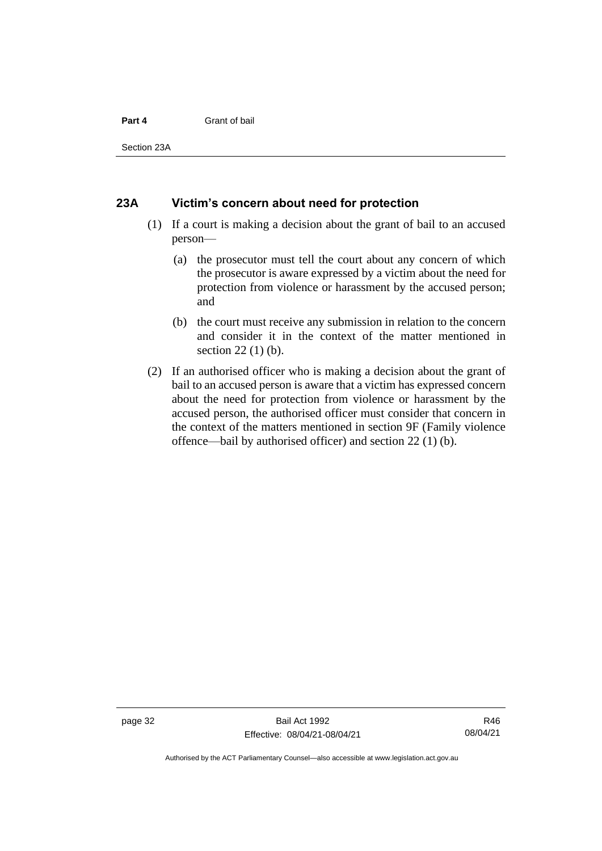#### **Part 4** Grant of bail

Section 23A

### **23A Victim's concern about need for protection**

- (1) If a court is making a decision about the grant of bail to an accused person—
	- (a) the prosecutor must tell the court about any concern of which the prosecutor is aware expressed by a victim about the need for protection from violence or harassment by the accused person; and
	- (b) the court must receive any submission in relation to the concern and consider it in the context of the matter mentioned in section 22 (1) (b).
- (2) If an authorised officer who is making a decision about the grant of bail to an accused person is aware that a victim has expressed concern about the need for protection from violence or harassment by the accused person, the authorised officer must consider that concern in the context of the matters mentioned in section 9F (Family violence offence—bail by authorised officer) and section 22 (1) (b).

page 32 Bail Act 1992 Effective: 08/04/21-08/04/21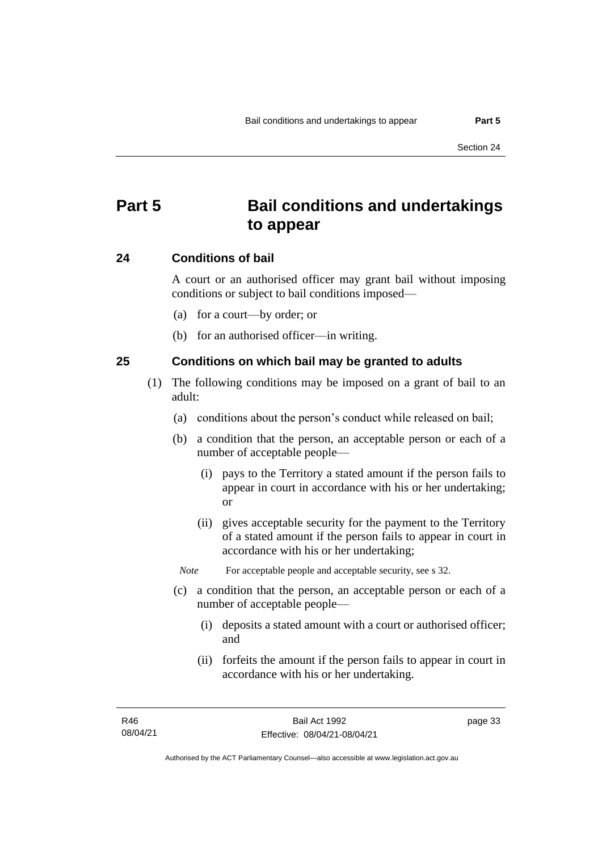# **Part 5 Bail conditions and undertakings to appear**

### **24 Conditions of bail**

A court or an authorised officer may grant bail without imposing conditions or subject to bail conditions imposed—

- (a) for a court—by order; or
- (b) for an authorised officer—in writing.

### **25 Conditions on which bail may be granted to adults**

- (1) The following conditions may be imposed on a grant of bail to an adult:
	- (a) conditions about the person's conduct while released on bail;
	- (b) a condition that the person, an acceptable person or each of a number of acceptable people—
		- (i) pays to the Territory a stated amount if the person fails to appear in court in accordance with his or her undertaking; or
		- (ii) gives acceptable security for the payment to the Territory of a stated amount if the person fails to appear in court in accordance with his or her undertaking;

*Note* For acceptable people and acceptable security, see s 32.

- (c) a condition that the person, an acceptable person or each of a number of acceptable people—
	- (i) deposits a stated amount with a court or authorised officer; and
	- (ii) forfeits the amount if the person fails to appear in court in accordance with his or her undertaking.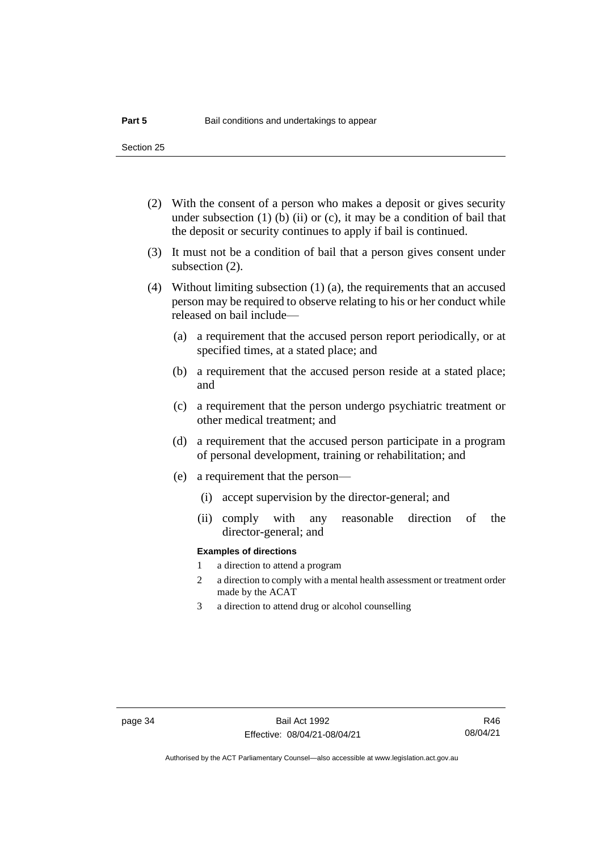- (2) With the consent of a person who makes a deposit or gives security under subsection  $(1)$  (b)  $(ii)$  or  $(c)$ , it may be a condition of bail that the deposit or security continues to apply if bail is continued.
- (3) It must not be a condition of bail that a person gives consent under subsection (2).
- (4) Without limiting subsection (1) (a), the requirements that an accused person may be required to observe relating to his or her conduct while released on bail include—
	- (a) a requirement that the accused person report periodically, or at specified times, at a stated place; and
	- (b) a requirement that the accused person reside at a stated place; and
	- (c) a requirement that the person undergo psychiatric treatment or other medical treatment; and
	- (d) a requirement that the accused person participate in a program of personal development, training or rehabilitation; and
	- (e) a requirement that the person—
		- (i) accept supervision by the director-general; and
		- (ii) comply with any reasonable direction of the director-general; and

#### **Examples of directions**

- 1 a direction to attend a program
- 2 a direction to comply with a mental health assessment or treatment order made by the ACAT
- 3 a direction to attend drug or alcohol counselling

R46 08/04/21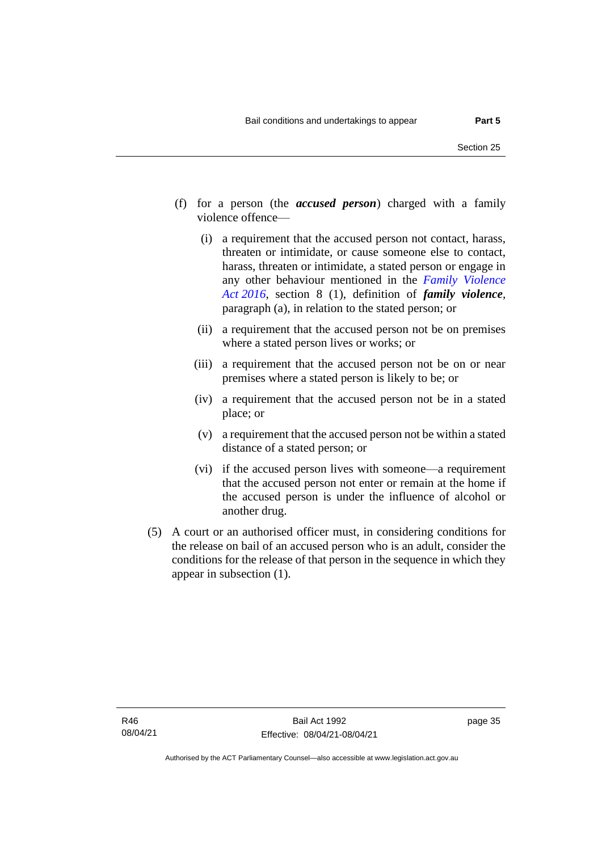- (f) for a person (the *accused person*) charged with a family violence offence—
	- (i) a requirement that the accused person not contact, harass, threaten or intimidate, or cause someone else to contact, harass, threaten or intimidate, a stated person or engage in any other behaviour mentioned in the *[Family Violence](http://www.legislation.act.gov.au/a/2016-42)  Act [2016](http://www.legislation.act.gov.au/a/2016-42)*, section 8 (1), definition of *family violence*, paragraph (a), in relation to the stated person; or
	- (ii) a requirement that the accused person not be on premises where a stated person lives or works; or
	- (iii) a requirement that the accused person not be on or near premises where a stated person is likely to be; or
	- (iv) a requirement that the accused person not be in a stated place; or
	- (v) a requirement that the accused person not be within a stated distance of a stated person; or
	- (vi) if the accused person lives with someone—a requirement that the accused person not enter or remain at the home if the accused person is under the influence of alcohol or another drug.
- (5) A court or an authorised officer must, in considering conditions for the release on bail of an accused person who is an adult, consider the conditions for the release of that person in the sequence in which they appear in subsection (1).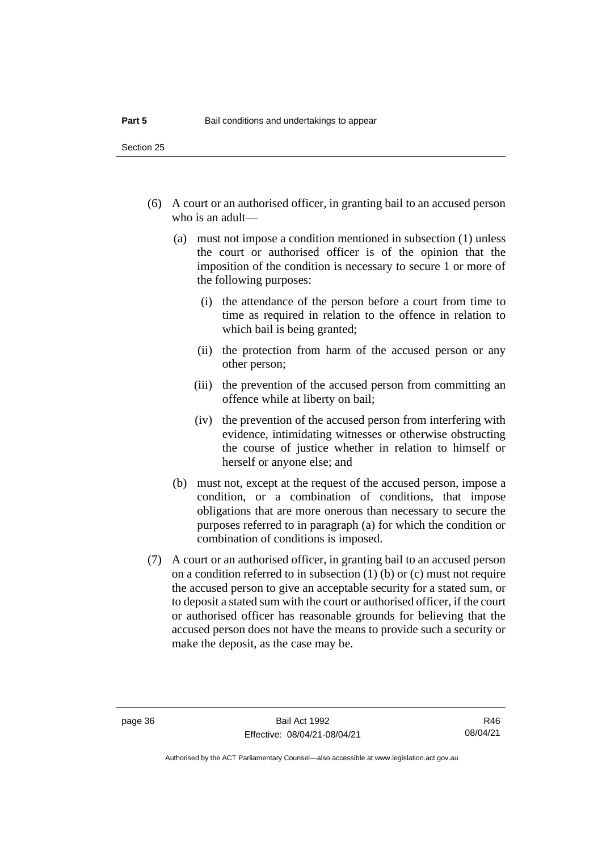- (6) A court or an authorised officer, in granting bail to an accused person who is an adult—
	- (a) must not impose a condition mentioned in subsection (1) unless the court or authorised officer is of the opinion that the imposition of the condition is necessary to secure 1 or more of the following purposes:
		- (i) the attendance of the person before a court from time to time as required in relation to the offence in relation to which bail is being granted;
		- (ii) the protection from harm of the accused person or any other person;
		- (iii) the prevention of the accused person from committing an offence while at liberty on bail;
		- (iv) the prevention of the accused person from interfering with evidence, intimidating witnesses or otherwise obstructing the course of justice whether in relation to himself or herself or anyone else; and
	- (b) must not, except at the request of the accused person, impose a condition, or a combination of conditions, that impose obligations that are more onerous than necessary to secure the purposes referred to in paragraph (a) for which the condition or combination of conditions is imposed.
- (7) A court or an authorised officer, in granting bail to an accused person on a condition referred to in subsection (1) (b) or (c) must not require the accused person to give an acceptable security for a stated sum, or to deposit a stated sum with the court or authorised officer, if the court or authorised officer has reasonable grounds for believing that the accused person does not have the means to provide such a security or make the deposit, as the case may be.

R46 08/04/21

Authorised by the ACT Parliamentary Counsel—also accessible at www.legislation.act.gov.au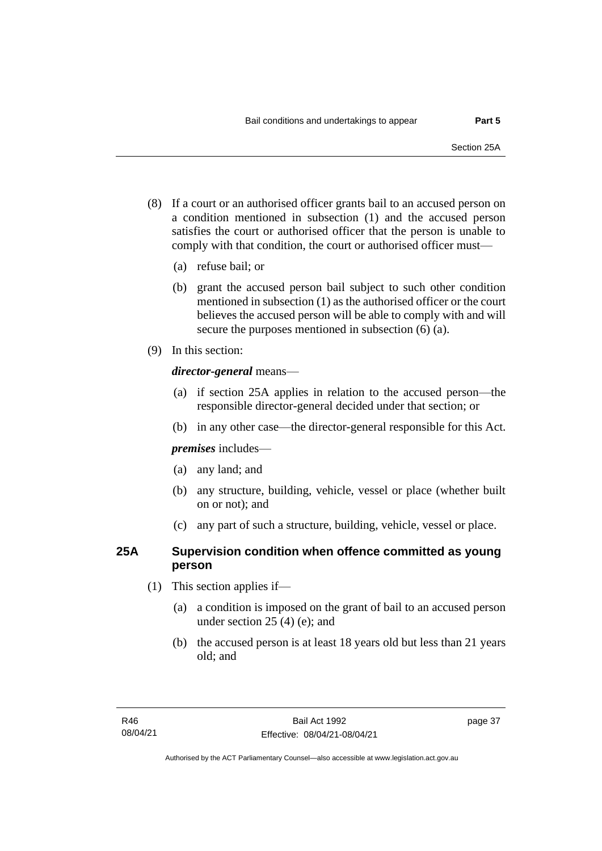- (8) If a court or an authorised officer grants bail to an accused person on a condition mentioned in subsection (1) and the accused person satisfies the court or authorised officer that the person is unable to comply with that condition, the court or authorised officer must—
	- (a) refuse bail; or
	- (b) grant the accused person bail subject to such other condition mentioned in subsection (1) as the authorised officer or the court believes the accused person will be able to comply with and will secure the purposes mentioned in subsection (6) (a).
- (9) In this section:

### *director-general* means—

- (a) if section 25A applies in relation to the accused person—the responsible director-general decided under that section; or
- (b) in any other case—the director-general responsible for this Act.

*premises* includes—

- (a) any land; and
- (b) any structure, building, vehicle, vessel or place (whether built on or not); and
- (c) any part of such a structure, building, vehicle, vessel or place.

## **25A Supervision condition when offence committed as young person**

- (1) This section applies if—
	- (a) a condition is imposed on the grant of bail to an accused person under section 25 (4) (e); and
	- (b) the accused person is at least 18 years old but less than 21 years old; and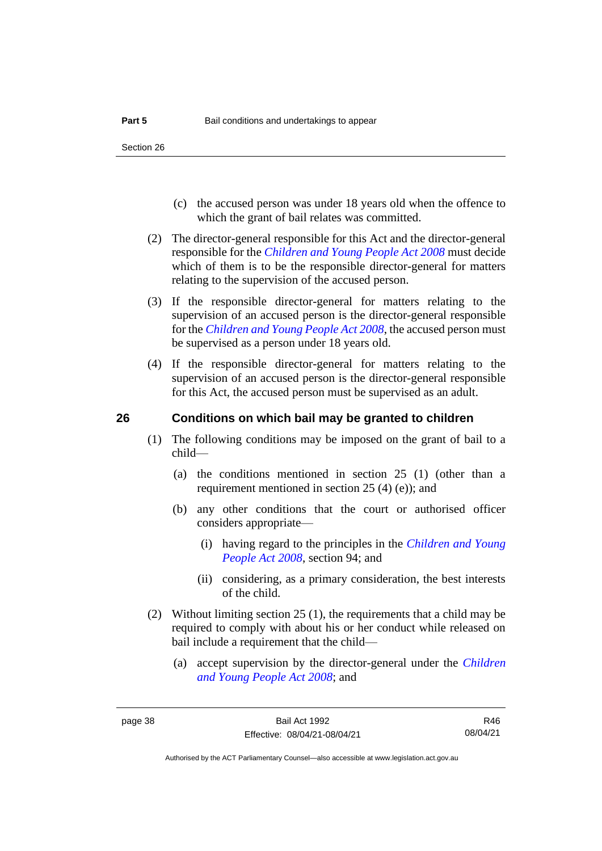- (c) the accused person was under 18 years old when the offence to which the grant of bail relates was committed.
- (2) The director-general responsible for this Act and the director-general responsible for the *[Children and Young People Act 2008](http://www.legislation.act.gov.au/a/2008-19)* must decide which of them is to be the responsible director-general for matters relating to the supervision of the accused person.
- (3) If the responsible director-general for matters relating to the supervision of an accused person is the director-general responsible for the *[Children and Young People Act 2008](http://www.legislation.act.gov.au/a/2008-19)*, the accused person must be supervised as a person under 18 years old.
- (4) If the responsible director-general for matters relating to the supervision of an accused person is the director-general responsible for this Act, the accused person must be supervised as an adult.

### **26 Conditions on which bail may be granted to children**

- (1) The following conditions may be imposed on the grant of bail to a child—
	- (a) the conditions mentioned in section 25 (1) (other than a requirement mentioned in section 25 (4) (e)); and
	- (b) any other conditions that the court or authorised officer considers appropriate—
		- (i) having regard to the principles in the *[Children and Young](http://www.legislation.act.gov.au/a/2008-19)  [People Act 2008](http://www.legislation.act.gov.au/a/2008-19)*, section 94; and
		- (ii) considering, as a primary consideration, the best interests of the child.
- (2) Without limiting section 25 (1), the requirements that a child may be required to comply with about his or her conduct while released on bail include a requirement that the child—
	- (a) accept supervision by the director-general under the *[Children](http://www.legislation.act.gov.au/a/2008-19)  [and Young People Act 2008](http://www.legislation.act.gov.au/a/2008-19)*; and

R46 08/04/21

Authorised by the ACT Parliamentary Counsel—also accessible at www.legislation.act.gov.au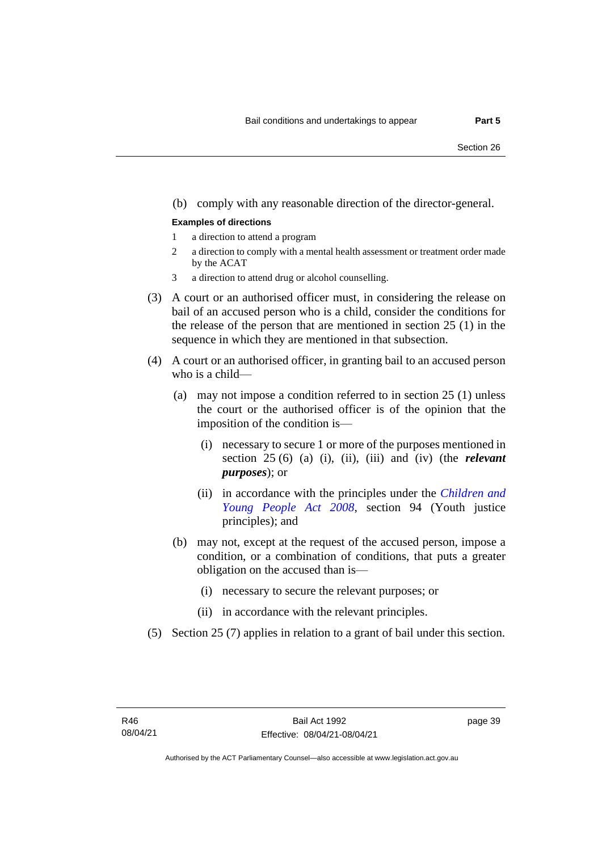#### (b) comply with any reasonable direction of the director-general.

#### **Examples of directions**

- 1 a direction to attend a program
- 2 a direction to comply with a mental health assessment or treatment order made by the ACAT
- 3 a direction to attend drug or alcohol counselling.
- (3) A court or an authorised officer must, in considering the release on bail of an accused person who is a child, consider the conditions for the release of the person that are mentioned in section 25 (1) in the sequence in which they are mentioned in that subsection.
- (4) A court or an authorised officer, in granting bail to an accused person who is a child—
	- (a) may not impose a condition referred to in section 25 (1) unless the court or the authorised officer is of the opinion that the imposition of the condition is—
		- (i) necessary to secure 1 or more of the purposes mentioned in section 25 (6) (a) (i), (ii), (iii) and (iv) (the *relevant purposes*); or
		- (ii) in accordance with the principles under the *[Children and](http://www.legislation.act.gov.au/a/2008-19)  [Young People Act 2008](http://www.legislation.act.gov.au/a/2008-19)*, section 94 (Youth justice principles); and
	- (b) may not, except at the request of the accused person, impose a condition, or a combination of conditions, that puts a greater obligation on the accused than is—
		- (i) necessary to secure the relevant purposes; or
		- (ii) in accordance with the relevant principles.
- (5) Section 25 (7) applies in relation to a grant of bail under this section.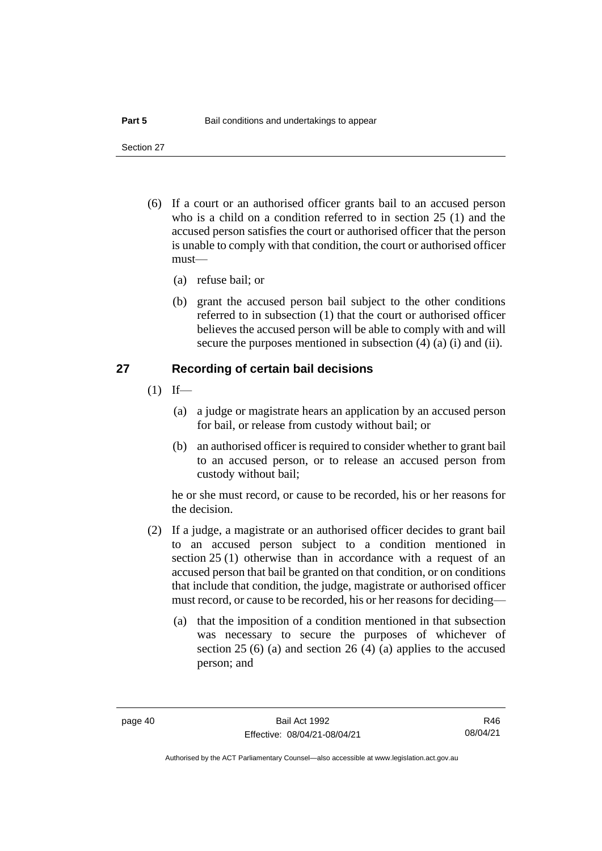Section 27

- (6) If a court or an authorised officer grants bail to an accused person who is a child on a condition referred to in section 25 (1) and the accused person satisfies the court or authorised officer that the person is unable to comply with that condition, the court or authorised officer must—
	- (a) refuse bail; or
	- (b) grant the accused person bail subject to the other conditions referred to in subsection (1) that the court or authorised officer believes the accused person will be able to comply with and will secure the purposes mentioned in subsection (4) (a) (i) and (ii).

### **27 Recording of certain bail decisions**

- $(1)$  If—
	- (a) a judge or magistrate hears an application by an accused person for bail, or release from custody without bail; or
	- (b) an authorised officer is required to consider whether to grant bail to an accused person, or to release an accused person from custody without bail;

he or she must record, or cause to be recorded, his or her reasons for the decision.

- (2) If a judge, a magistrate or an authorised officer decides to grant bail to an accused person subject to a condition mentioned in section 25 (1) otherwise than in accordance with a request of an accused person that bail be granted on that condition, or on conditions that include that condition, the judge, magistrate or authorised officer must record, or cause to be recorded, his or her reasons for deciding—
	- (a) that the imposition of a condition mentioned in that subsection was necessary to secure the purposes of whichever of section 25 (6) (a) and section 26 (4) (a) applies to the accused person; and

R46 08/04/21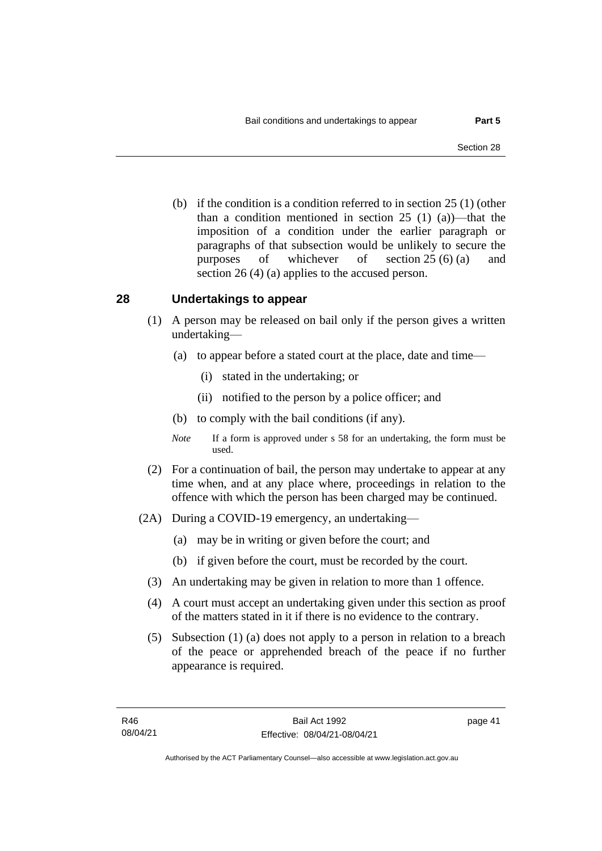(b) if the condition is a condition referred to in section 25 (1) (other than a condition mentioned in section 25 (1) (a))—that the imposition of a condition under the earlier paragraph or paragraphs of that subsection would be unlikely to secure the purposes of whichever of section 25 (6) (a) and section 26 (4) (a) applies to the accused person.

### **28 Undertakings to appear**

- (1) A person may be released on bail only if the person gives a written undertaking—
	- (a) to appear before a stated court at the place, date and time—
		- (i) stated in the undertaking; or
		- (ii) notified to the person by a police officer; and
	- (b) to comply with the bail conditions (if any).
	- *Note* If a form is approved under s 58 for an undertaking, the form must be used.
- (2) For a continuation of bail, the person may undertake to appear at any time when, and at any place where, proceedings in relation to the offence with which the person has been charged may be continued.
- (2A) During a COVID-19 emergency, an undertaking—
	- (a) may be in writing or given before the court; and
	- (b) if given before the court, must be recorded by the court.
	- (3) An undertaking may be given in relation to more than 1 offence.
	- (4) A court must accept an undertaking given under this section as proof of the matters stated in it if there is no evidence to the contrary.
	- (5) Subsection (1) (a) does not apply to a person in relation to a breach of the peace or apprehended breach of the peace if no further appearance is required.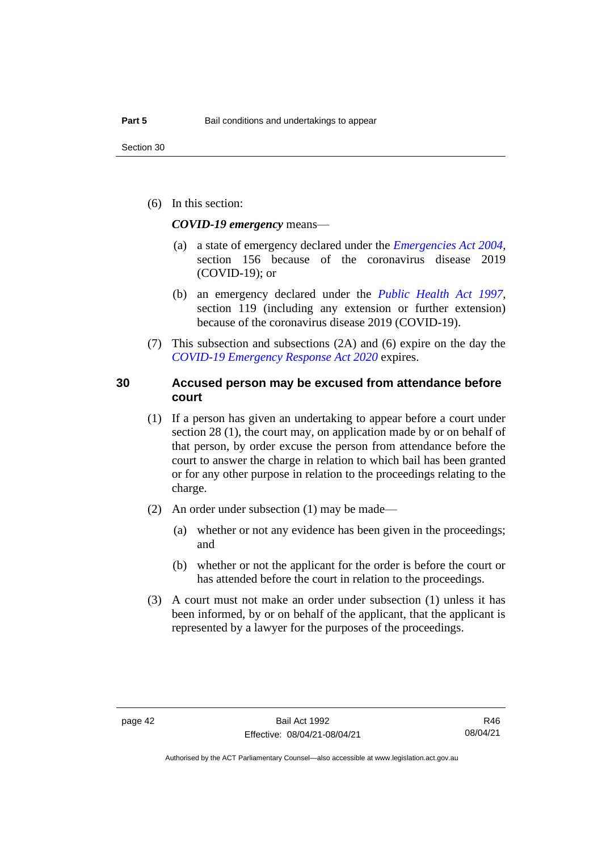(6) In this section:

*COVID-19 emergency* means—

- (a) a state of emergency declared under the *[Emergencies Act 2004](http://www.legislation.act.gov.au/a/2004-28)*, section 156 because of the coronavirus disease 2019 (COVID-19); or
- (b) an emergency declared under the *[Public Health Act 1997](http://www.legislation.act.gov.au/a/1997-69)*, section 119 (including any extension or further extension) because of the coronavirus disease 2019 (COVID-19).
- (7) This subsection and subsections (2A) and (6) expire on the day the *[COVID-19 Emergency Response Act 2020](http://www.legislation.act.gov.au/a/2020-11)* expires.

### **30 Accused person may be excused from attendance before court**

- (1) If a person has given an undertaking to appear before a court under section 28 (1), the court may, on application made by or on behalf of that person, by order excuse the person from attendance before the court to answer the charge in relation to which bail has been granted or for any other purpose in relation to the proceedings relating to the charge.
- (2) An order under subsection (1) may be made—
	- (a) whether or not any evidence has been given in the proceedings; and
	- (b) whether or not the applicant for the order is before the court or has attended before the court in relation to the proceedings.
- (3) A court must not make an order under subsection (1) unless it has been informed, by or on behalf of the applicant, that the applicant is represented by a lawyer for the purposes of the proceedings.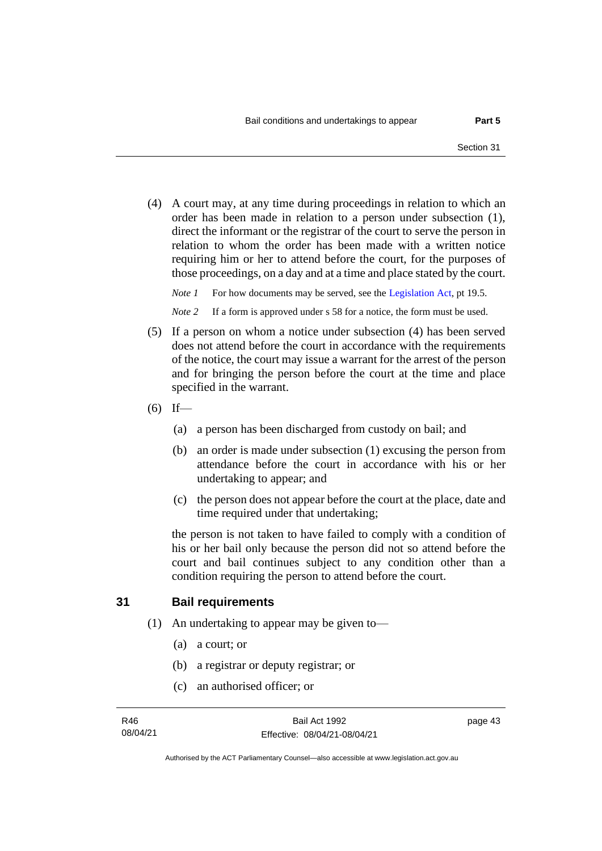(4) A court may, at any time during proceedings in relation to which an order has been made in relation to a person under subsection (1), direct the informant or the registrar of the court to serve the person in relation to whom the order has been made with a written notice requiring him or her to attend before the court, for the purposes of those proceedings, on a day and at a time and place stated by the court.

*Note 1* For how documents may be served, see th[e Legislation Act,](http://www.legislation.act.gov.au/a/2001-14) pt 19.5.

*Note* 2 If a form is approved under s 58 for a notice, the form must be used.

- (5) If a person on whom a notice under subsection (4) has been served does not attend before the court in accordance with the requirements of the notice, the court may issue a warrant for the arrest of the person and for bringing the person before the court at the time and place specified in the warrant.
- $(6)$  If—
	- (a) a person has been discharged from custody on bail; and
	- (b) an order is made under subsection (1) excusing the person from attendance before the court in accordance with his or her undertaking to appear; and
	- (c) the person does not appear before the court at the place, date and time required under that undertaking;

the person is not taken to have failed to comply with a condition of his or her bail only because the person did not so attend before the court and bail continues subject to any condition other than a condition requiring the person to attend before the court.

### **31 Bail requirements**

- (1) An undertaking to appear may be given to—
	- (a) a court; or
	- (b) a registrar or deputy registrar; or
	- (c) an authorised officer; or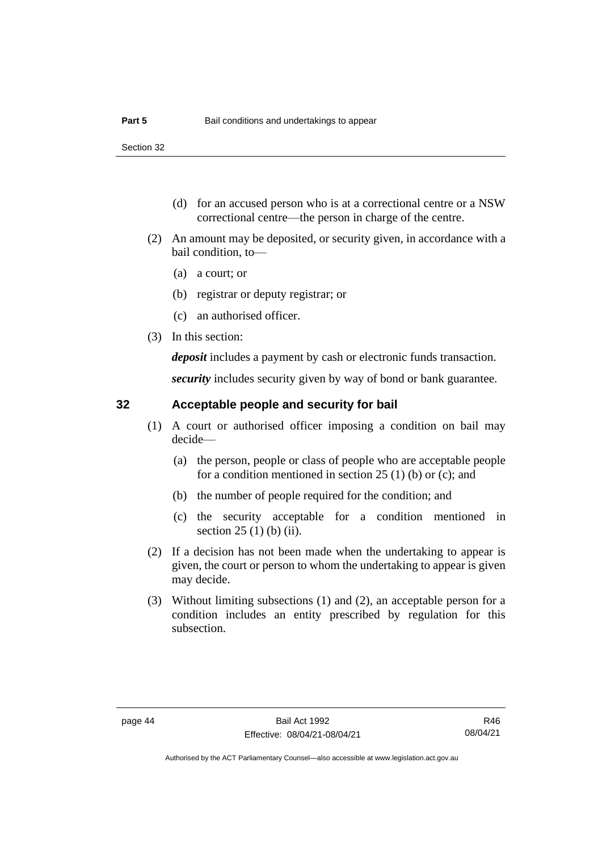- (d) for an accused person who is at a correctional centre or a NSW correctional centre—the person in charge of the centre.
- (2) An amount may be deposited, or security given, in accordance with a bail condition, to—
	- (a) a court; or
	- (b) registrar or deputy registrar; or
	- (c) an authorised officer.
- (3) In this section:

*deposit* includes a payment by cash or electronic funds transaction.

*security* includes security given by way of bond or bank guarantee.

## **32 Acceptable people and security for bail**

- (1) A court or authorised officer imposing a condition on bail may decide—
	- (a) the person, people or class of people who are acceptable people for a condition mentioned in section 25 (1) (b) or (c); and
	- (b) the number of people required for the condition; and
	- (c) the security acceptable for a condition mentioned in section 25 (1) (b) (ii).
- (2) If a decision has not been made when the undertaking to appear is given, the court or person to whom the undertaking to appear is given may decide.
- (3) Without limiting subsections (1) and (2), an acceptable person for a condition includes an entity prescribed by regulation for this subsection.

R46 08/04/21

Authorised by the ACT Parliamentary Counsel—also accessible at www.legislation.act.gov.au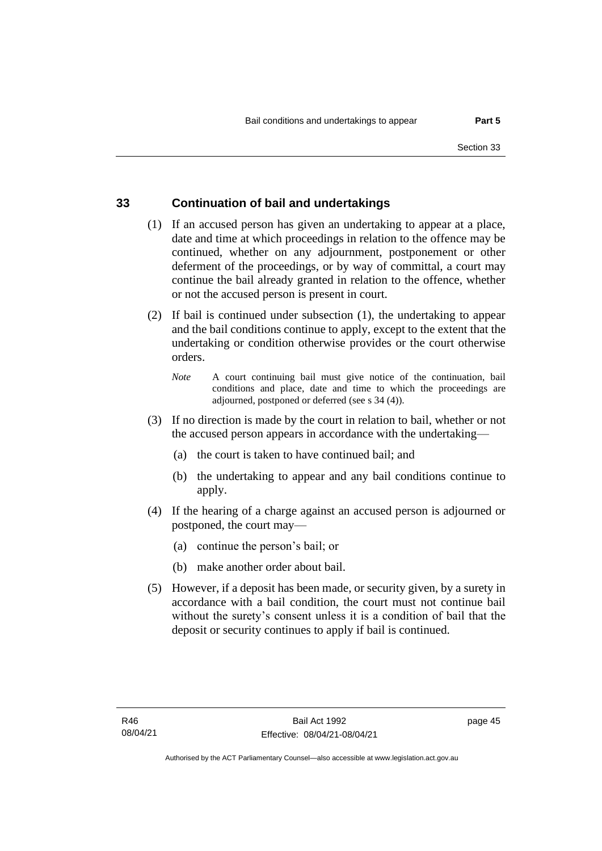### **33 Continuation of bail and undertakings**

- (1) If an accused person has given an undertaking to appear at a place, date and time at which proceedings in relation to the offence may be continued, whether on any adjournment, postponement or other deferment of the proceedings, or by way of committal, a court may continue the bail already granted in relation to the offence, whether or not the accused person is present in court.
- (2) If bail is continued under subsection (1), the undertaking to appear and the bail conditions continue to apply, except to the extent that the undertaking or condition otherwise provides or the court otherwise orders.
	- *Note* A court continuing bail must give notice of the continuation, bail conditions and place, date and time to which the proceedings are adjourned, postponed or deferred (see s 34 (4)).
- (3) If no direction is made by the court in relation to bail, whether or not the accused person appears in accordance with the undertaking—
	- (a) the court is taken to have continued bail; and
	- (b) the undertaking to appear and any bail conditions continue to apply.
- (4) If the hearing of a charge against an accused person is adjourned or postponed, the court may—
	- (a) continue the person's bail; or
	- (b) make another order about bail.
- (5) However, if a deposit has been made, or security given, by a surety in accordance with a bail condition, the court must not continue bail without the surety's consent unless it is a condition of bail that the deposit or security continues to apply if bail is continued.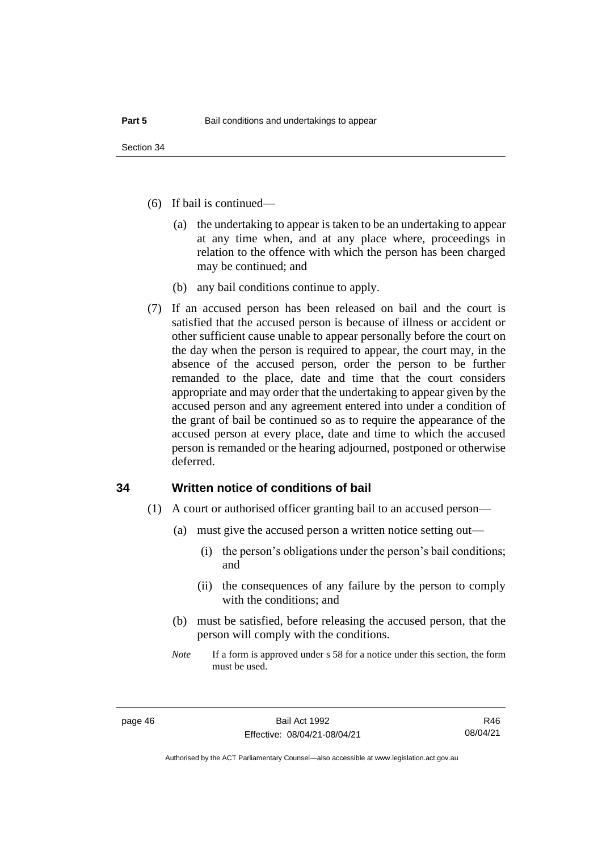- (6) If bail is continued—
	- (a) the undertaking to appear is taken to be an undertaking to appear at any time when, and at any place where, proceedings in relation to the offence with which the person has been charged may be continued; and
	- (b) any bail conditions continue to apply.
- (7) If an accused person has been released on bail and the court is satisfied that the accused person is because of illness or accident or other sufficient cause unable to appear personally before the court on the day when the person is required to appear, the court may, in the absence of the accused person, order the person to be further remanded to the place, date and time that the court considers appropriate and may order that the undertaking to appear given by the accused person and any agreement entered into under a condition of the grant of bail be continued so as to require the appearance of the accused person at every place, date and time to which the accused person is remanded or the hearing adjourned, postponed or otherwise deferred.

### **34 Written notice of conditions of bail**

- (1) A court or authorised officer granting bail to an accused person—
	- (a) must give the accused person a written notice setting out—
		- (i) the person's obligations under the person's bail conditions; and
		- (ii) the consequences of any failure by the person to comply with the conditions; and
	- (b) must be satisfied, before releasing the accused person, that the person will comply with the conditions.
	- *Note* If a form is approved under s 58 for a notice under this section, the form must be used.

R46 08/04/21

Authorised by the ACT Parliamentary Counsel—also accessible at www.legislation.act.gov.au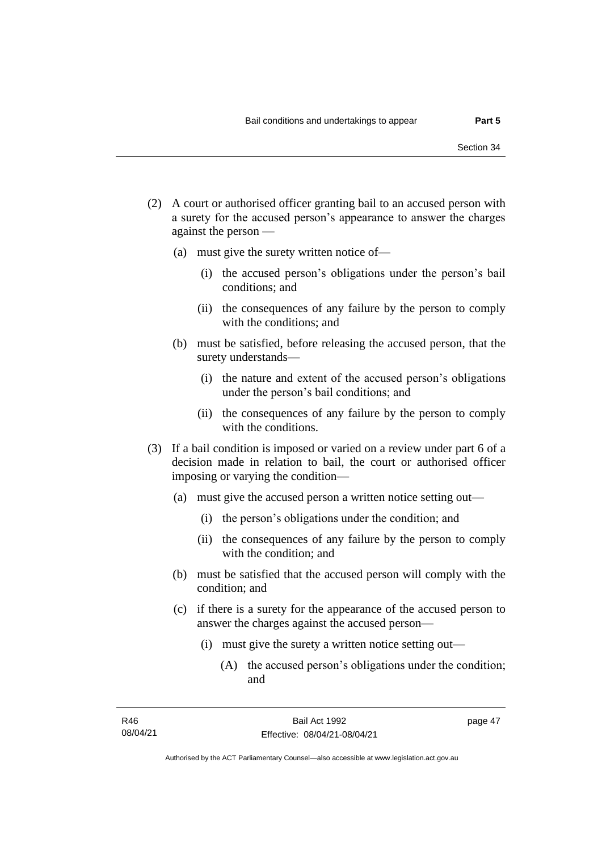- (2) A court or authorised officer granting bail to an accused person with a surety for the accused person's appearance to answer the charges against the person —
	- (a) must give the surety written notice of—
		- (i) the accused person's obligations under the person's bail conditions; and
		- (ii) the consequences of any failure by the person to comply with the conditions; and
	- (b) must be satisfied, before releasing the accused person, that the surety understands—
		- (i) the nature and extent of the accused person's obligations under the person's bail conditions; and
		- (ii) the consequences of any failure by the person to comply with the conditions.
- (3) If a bail condition is imposed or varied on a review under part 6 of a decision made in relation to bail, the court or authorised officer imposing or varying the condition—
	- (a) must give the accused person a written notice setting out—
		- (i) the person's obligations under the condition; and
		- (ii) the consequences of any failure by the person to comply with the condition; and
	- (b) must be satisfied that the accused person will comply with the condition; and
	- (c) if there is a surety for the appearance of the accused person to answer the charges against the accused person—
		- (i) must give the surety a written notice setting out—
			- (A) the accused person's obligations under the condition; and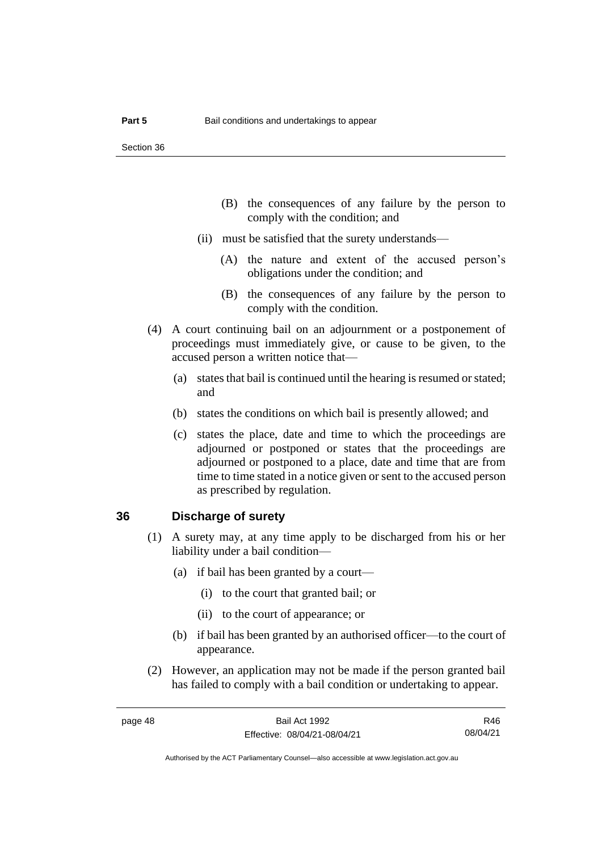- (B) the consequences of any failure by the person to comply with the condition; and
- (ii) must be satisfied that the surety understands—
	- (A) the nature and extent of the accused person's obligations under the condition; and
	- (B) the consequences of any failure by the person to comply with the condition.
- (4) A court continuing bail on an adjournment or a postponement of proceedings must immediately give, or cause to be given, to the accused person a written notice that—
	- (a) states that bail is continued until the hearing is resumed or stated; and
	- (b) states the conditions on which bail is presently allowed; and
	- (c) states the place, date and time to which the proceedings are adjourned or postponed or states that the proceedings are adjourned or postponed to a place, date and time that are from time to time stated in a notice given or sent to the accused person as prescribed by regulation.

### **36 Discharge of surety**

- (1) A surety may, at any time apply to be discharged from his or her liability under a bail condition—
	- (a) if bail has been granted by a court—
		- (i) to the court that granted bail; or
		- (ii) to the court of appearance; or
	- (b) if bail has been granted by an authorised officer—to the court of appearance.
- (2) However, an application may not be made if the person granted bail has failed to comply with a bail condition or undertaking to appear.

R46 08/04/21

Authorised by the ACT Parliamentary Counsel—also accessible at www.legislation.act.gov.au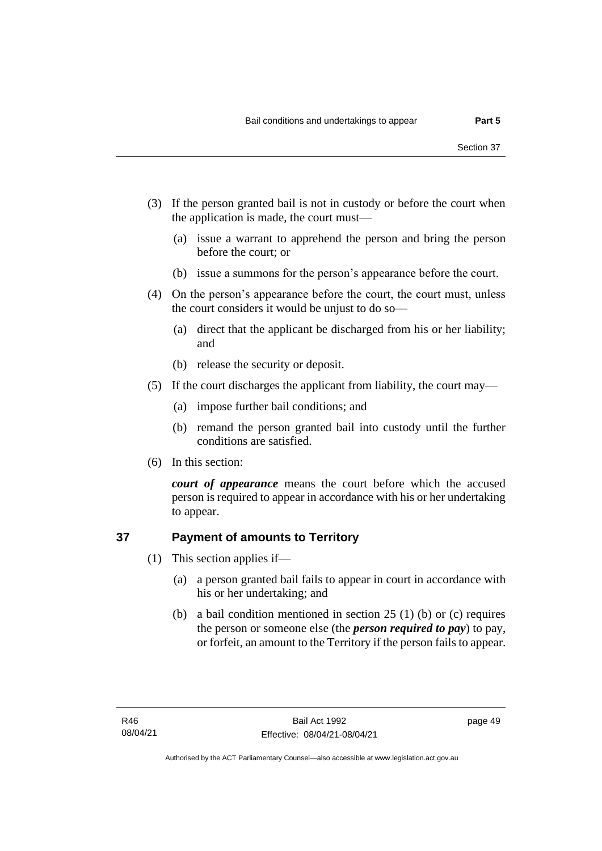- (3) If the person granted bail is not in custody or before the court when the application is made, the court must—
	- (a) issue a warrant to apprehend the person and bring the person before the court; or
	- (b) issue a summons for the person's appearance before the court.
- (4) On the person's appearance before the court, the court must, unless the court considers it would be unjust to do so—
	- (a) direct that the applicant be discharged from his or her liability; and
	- (b) release the security or deposit.
- (5) If the court discharges the applicant from liability, the court may—
	- (a) impose further bail conditions; and
	- (b) remand the person granted bail into custody until the further conditions are satisfied.
- (6) In this section:

*court of appearance* means the court before which the accused person is required to appear in accordance with his or her undertaking to appear.

### **37 Payment of amounts to Territory**

- (1) This section applies if—
	- (a) a person granted bail fails to appear in court in accordance with his or her undertaking; and
	- (b) a bail condition mentioned in section 25 (1) (b) or (c) requires the person or someone else (the *person required to pay*) to pay, or forfeit, an amount to the Territory if the person fails to appear.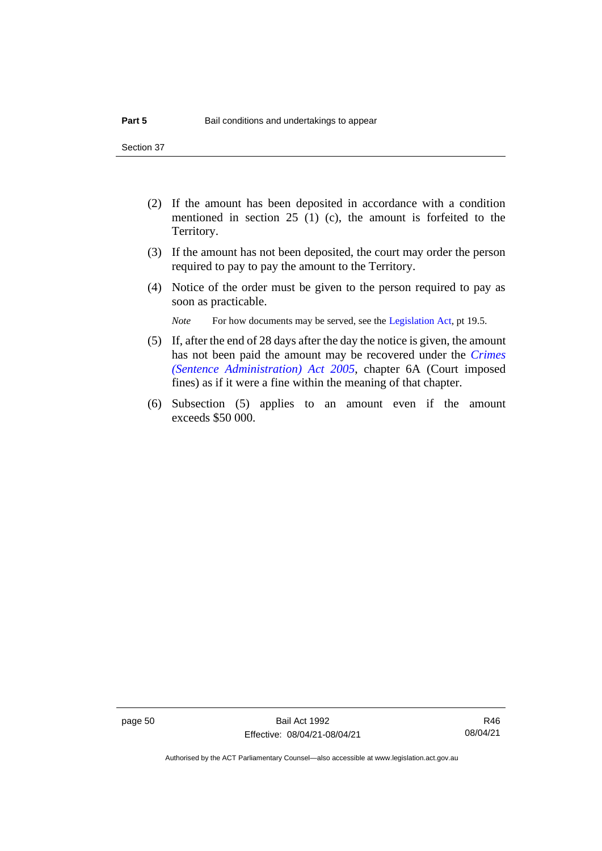- (2) If the amount has been deposited in accordance with a condition mentioned in section 25 (1) (c), the amount is forfeited to the Territory.
- (3) If the amount has not been deposited, the court may order the person required to pay to pay the amount to the Territory.
- (4) Notice of the order must be given to the person required to pay as soon as practicable.

*Note* For how documents may be served, see th[e Legislation Act,](http://www.legislation.act.gov.au/a/2001-14) pt 19.5.

- (5) If, after the end of 28 days after the day the notice is given, the amount has not been paid the amount may be recovered under the *[Crimes](http://www.legislation.act.gov.au/a/2005-59)  [\(Sentence Administration\) Act 2005](http://www.legislation.act.gov.au/a/2005-59)*, chapter 6A (Court imposed fines) as if it were a fine within the meaning of that chapter.
- (6) Subsection (5) applies to an amount even if the amount exceeds \$50 000.

page 50 Bail Act 1992 Effective: 08/04/21-08/04/21

R46 08/04/21

Authorised by the ACT Parliamentary Counsel—also accessible at www.legislation.act.gov.au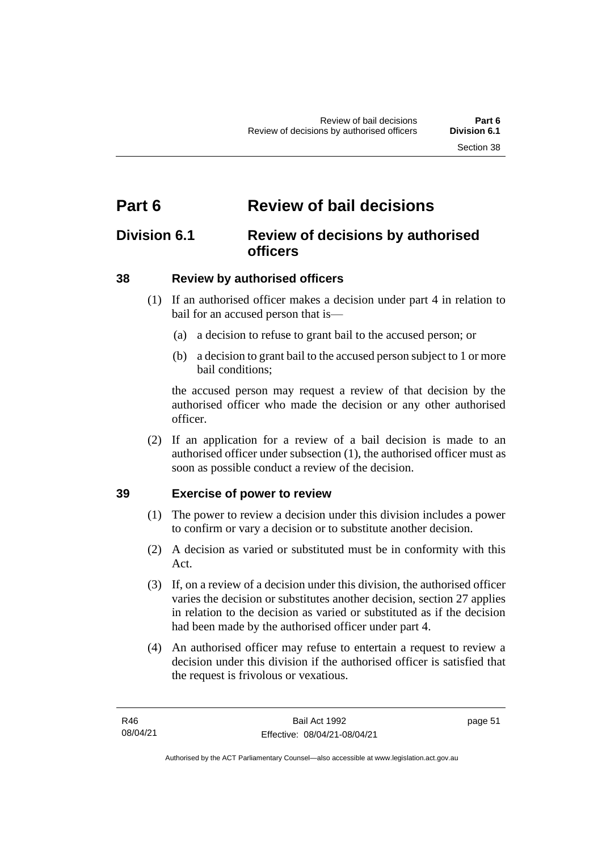# **Part 6 Review of bail decisions**

# **Division 6.1 Review of decisions by authorised officers**

# **38 Review by authorised officers**

- (1) If an authorised officer makes a decision under part 4 in relation to bail for an accused person that is—
	- (a) a decision to refuse to grant bail to the accused person; or
	- (b) a decision to grant bail to the accused person subject to 1 or more bail conditions;

the accused person may request a review of that decision by the authorised officer who made the decision or any other authorised officer.

(2) If an application for a review of a bail decision is made to an authorised officer under subsection (1), the authorised officer must as soon as possible conduct a review of the decision.

# **39 Exercise of power to review**

- (1) The power to review a decision under this division includes a power to confirm or vary a decision or to substitute another decision.
- (2) A decision as varied or substituted must be in conformity with this Act.
- (3) If, on a review of a decision under this division, the authorised officer varies the decision or substitutes another decision, section 27 applies in relation to the decision as varied or substituted as if the decision had been made by the authorised officer under part 4.
- (4) An authorised officer may refuse to entertain a request to review a decision under this division if the authorised officer is satisfied that the request is frivolous or vexatious.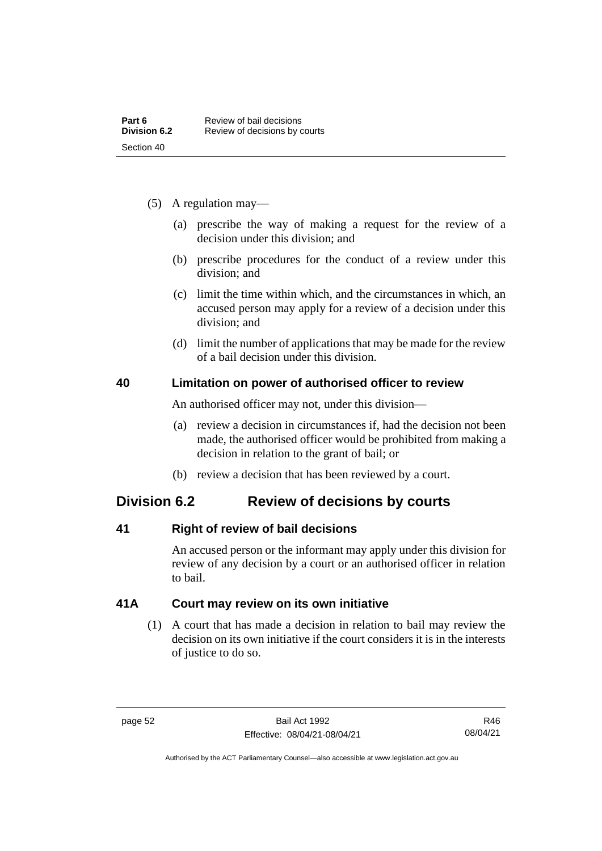- (5) A regulation may—
	- (a) prescribe the way of making a request for the review of a decision under this division; and
	- (b) prescribe procedures for the conduct of a review under this division; and
	- (c) limit the time within which, and the circumstances in which, an accused person may apply for a review of a decision under this division; and
	- (d) limit the number of applications that may be made for the review of a bail decision under this division.

### **40 Limitation on power of authorised officer to review**

An authorised officer may not, under this division—

- (a) review a decision in circumstances if, had the decision not been made, the authorised officer would be prohibited from making a decision in relation to the grant of bail; or
- (b) review a decision that has been reviewed by a court.

# **Division 6.2 Review of decisions by courts**

## **41 Right of review of bail decisions**

An accused person or the informant may apply under this division for review of any decision by a court or an authorised officer in relation to bail.

## **41A Court may review on its own initiative**

(1) A court that has made a decision in relation to bail may review the decision on its own initiative if the court considers it is in the interests of justice to do so.

Authorised by the ACT Parliamentary Counsel—also accessible at www.legislation.act.gov.au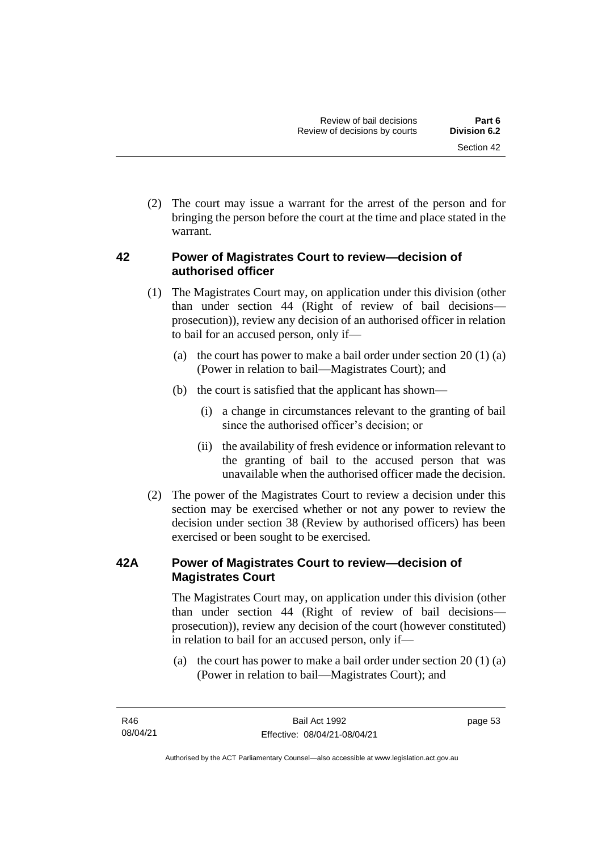(2) The court may issue a warrant for the arrest of the person and for bringing the person before the court at the time and place stated in the warrant.

# **42 Power of Magistrates Court to review—decision of authorised officer**

- (1) The Magistrates Court may, on application under this division (other than under section 44 (Right of review of bail decisions prosecution)), review any decision of an authorised officer in relation to bail for an accused person, only if—
	- (a) the court has power to make a bail order under section  $20(1)(a)$ (Power in relation to bail—Magistrates Court); and
	- (b) the court is satisfied that the applicant has shown—
		- (i) a change in circumstances relevant to the granting of bail since the authorised officer's decision; or
		- (ii) the availability of fresh evidence or information relevant to the granting of bail to the accused person that was unavailable when the authorised officer made the decision.
- (2) The power of the Magistrates Court to review a decision under this section may be exercised whether or not any power to review the decision under section 38 (Review by authorised officers) has been exercised or been sought to be exercised.

# **42A Power of Magistrates Court to review—decision of Magistrates Court**

The Magistrates Court may, on application under this division (other than under section 44 (Right of review of bail decisions prosecution)), review any decision of the court (however constituted) in relation to bail for an accused person, only if—

(a) the court has power to make a bail order under section 20 (1) (a) (Power in relation to bail—Magistrates Court); and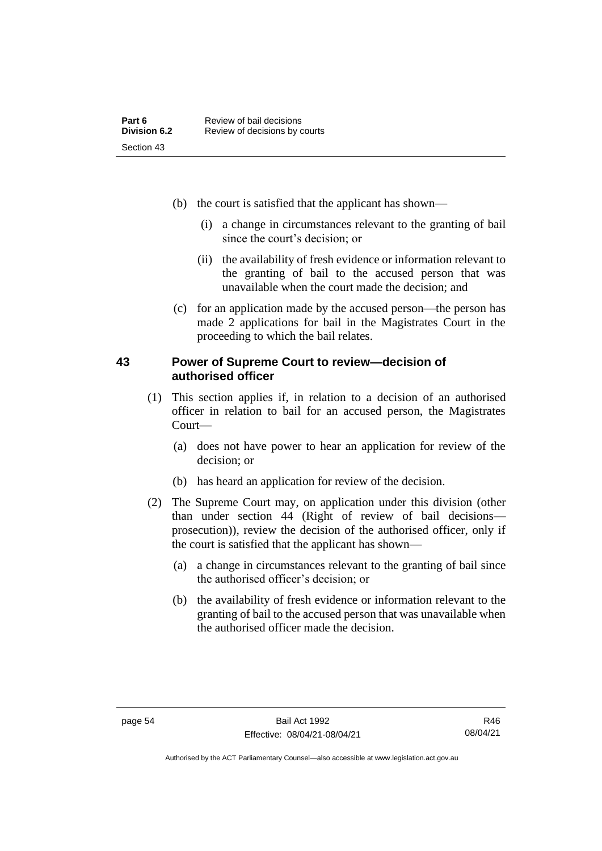- (b) the court is satisfied that the applicant has shown—
	- (i) a change in circumstances relevant to the granting of bail since the court's decision; or
	- (ii) the availability of fresh evidence or information relevant to the granting of bail to the accused person that was unavailable when the court made the decision; and
- (c) for an application made by the accused person—the person has made 2 applications for bail in the Magistrates Court in the proceeding to which the bail relates.

### **43 Power of Supreme Court to review—decision of authorised officer**

- (1) This section applies if, in relation to a decision of an authorised officer in relation to bail for an accused person, the Magistrates Court—
	- (a) does not have power to hear an application for review of the decision; or
	- (b) has heard an application for review of the decision.
- (2) The Supreme Court may, on application under this division (other than under section 44 (Right of review of bail decisions prosecution)), review the decision of the authorised officer, only if the court is satisfied that the applicant has shown—
	- (a) a change in circumstances relevant to the granting of bail since the authorised officer's decision; or
	- (b) the availability of fresh evidence or information relevant to the granting of bail to the accused person that was unavailable when the authorised officer made the decision.

Authorised by the ACT Parliamentary Counsel—also accessible at www.legislation.act.gov.au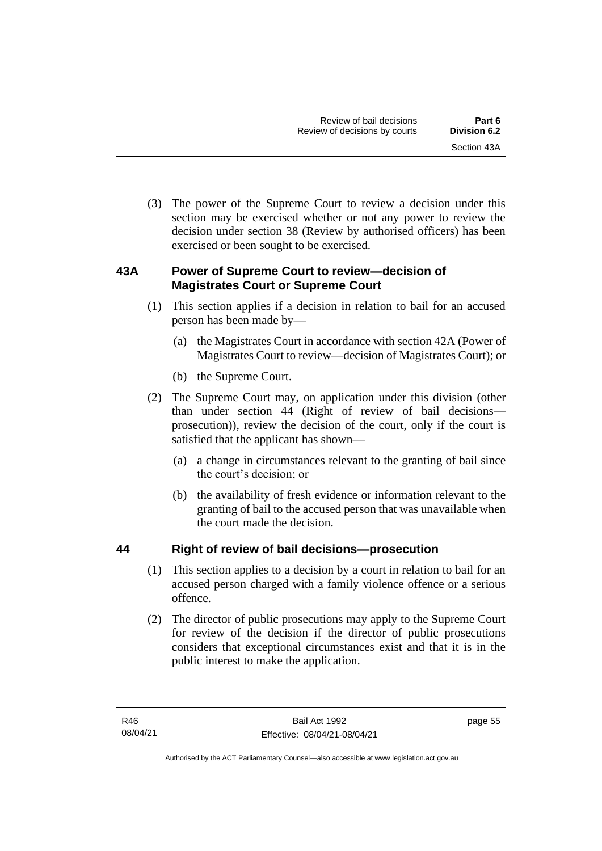(3) The power of the Supreme Court to review a decision under this section may be exercised whether or not any power to review the decision under section 38 (Review by authorised officers) has been exercised or been sought to be exercised.

# **43A Power of Supreme Court to review—decision of Magistrates Court or Supreme Court**

- (1) This section applies if a decision in relation to bail for an accused person has been made by—
	- (a) the Magistrates Court in accordance with section 42A (Power of Magistrates Court to review—decision of Magistrates Court); or
	- (b) the Supreme Court.
- (2) The Supreme Court may, on application under this division (other than under section 44 (Right of review of bail decisions prosecution)), review the decision of the court, only if the court is satisfied that the applicant has shown—
	- (a) a change in circumstances relevant to the granting of bail since the court's decision; or
	- (b) the availability of fresh evidence or information relevant to the granting of bail to the accused person that was unavailable when the court made the decision.

# **44 Right of review of bail decisions—prosecution**

- (1) This section applies to a decision by a court in relation to bail for an accused person charged with a family violence offence or a serious offence.
- (2) The director of public prosecutions may apply to the Supreme Court for review of the decision if the director of public prosecutions considers that exceptional circumstances exist and that it is in the public interest to make the application.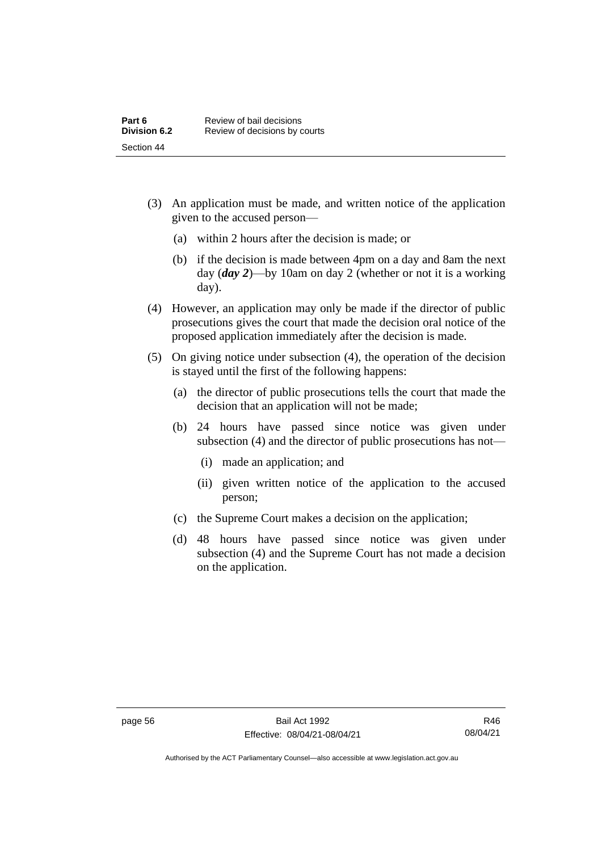- (3) An application must be made, and written notice of the application given to the accused person—
	- (a) within 2 hours after the decision is made; or
	- (b) if the decision is made between 4pm on a day and 8am the next day (*day 2*)—by 10am on day 2 (whether or not it is a working day).
- (4) However, an application may only be made if the director of public prosecutions gives the court that made the decision oral notice of the proposed application immediately after the decision is made.
- (5) On giving notice under subsection (4), the operation of the decision is stayed until the first of the following happens:
	- (a) the director of public prosecutions tells the court that made the decision that an application will not be made;
	- (b) 24 hours have passed since notice was given under subsection (4) and the director of public prosecutions has not—
		- (i) made an application; and
		- (ii) given written notice of the application to the accused person;
	- (c) the Supreme Court makes a decision on the application;
	- (d) 48 hours have passed since notice was given under subsection (4) and the Supreme Court has not made a decision on the application.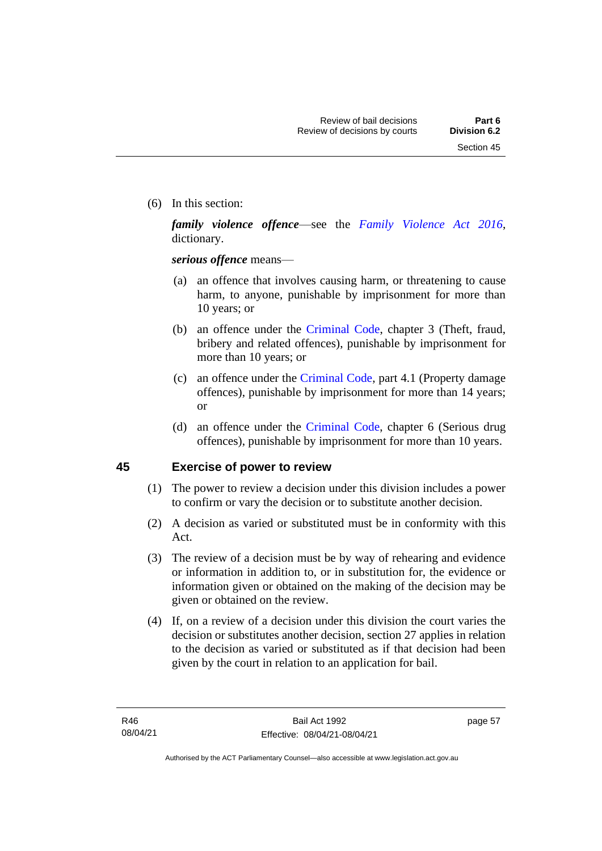(6) In this section:

*family violence offence*—see the *[Family Violence Act 2016](http://www.legislation.act.gov.au/a/2016-42)*, dictionary.

*serious offence* means—

- (a) an offence that involves causing harm, or threatening to cause harm, to anyone, punishable by imprisonment for more than 10 years; or
- (b) an offence under the [Criminal Code,](http://www.legislation.act.gov.au/a/2002-51) chapter 3 (Theft, fraud, bribery and related offences), punishable by imprisonment for more than 10 years; or
- (c) an offence under the [Criminal Code,](http://www.legislation.act.gov.au/a/2002-51) part 4.1 (Property damage offences), punishable by imprisonment for more than 14 years; or
- (d) an offence under the [Criminal Code,](http://www.legislation.act.gov.au/a/2002-51) chapter 6 (Serious drug offences), punishable by imprisonment for more than 10 years.

### **45 Exercise of power to review**

- (1) The power to review a decision under this division includes a power to confirm or vary the decision or to substitute another decision.
- (2) A decision as varied or substituted must be in conformity with this Act.
- (3) The review of a decision must be by way of rehearing and evidence or information in addition to, or in substitution for, the evidence or information given or obtained on the making of the decision may be given or obtained on the review.
- (4) If, on a review of a decision under this division the court varies the decision or substitutes another decision, section 27 applies in relation to the decision as varied or substituted as if that decision had been given by the court in relation to an application for bail.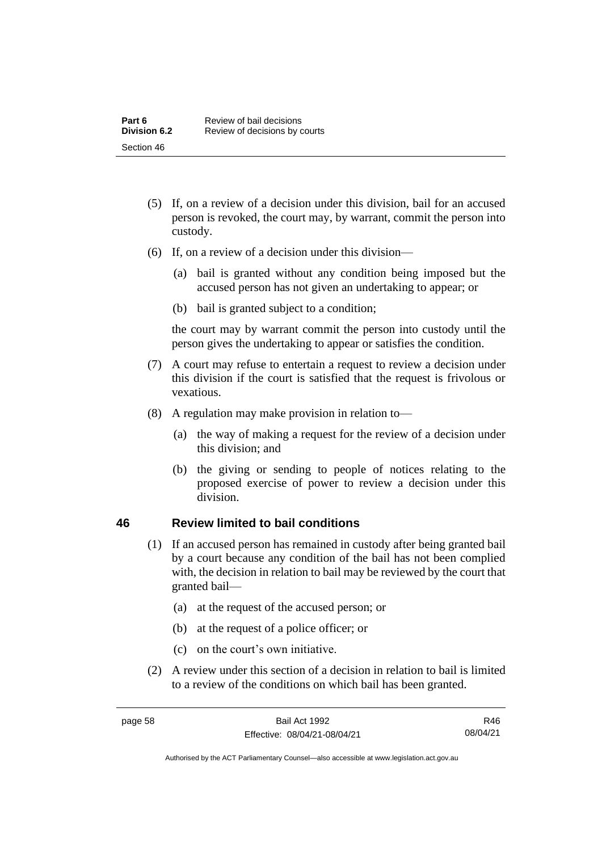- (5) If, on a review of a decision under this division, bail for an accused person is revoked, the court may, by warrant, commit the person into custody.
- (6) If, on a review of a decision under this division—
	- (a) bail is granted without any condition being imposed but the accused person has not given an undertaking to appear; or
	- (b) bail is granted subject to a condition;

the court may by warrant commit the person into custody until the person gives the undertaking to appear or satisfies the condition.

- (7) A court may refuse to entertain a request to review a decision under this division if the court is satisfied that the request is frivolous or vexatious.
- (8) A regulation may make provision in relation to—
	- (a) the way of making a request for the review of a decision under this division; and
	- (b) the giving or sending to people of notices relating to the proposed exercise of power to review a decision under this division.

### **46 Review limited to bail conditions**

- (1) If an accused person has remained in custody after being granted bail by a court because any condition of the bail has not been complied with, the decision in relation to bail may be reviewed by the court that granted bail—
	- (a) at the request of the accused person; or
	- (b) at the request of a police officer; or
	- (c) on the court's own initiative.
- (2) A review under this section of a decision in relation to bail is limited to a review of the conditions on which bail has been granted.

R46 08/04/21

Authorised by the ACT Parliamentary Counsel—also accessible at www.legislation.act.gov.au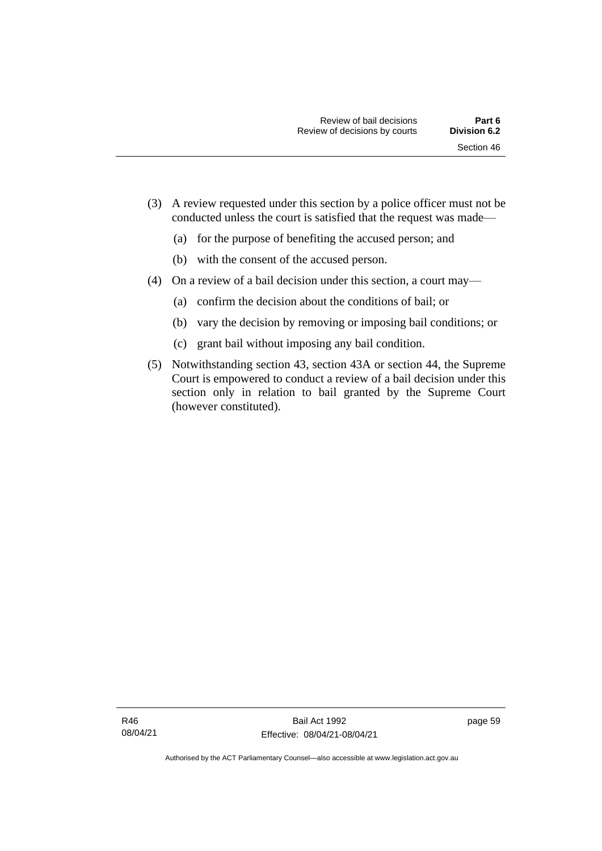- (3) A review requested under this section by a police officer must not be conducted unless the court is satisfied that the request was made—
	- (a) for the purpose of benefiting the accused person; and
	- (b) with the consent of the accused person.
- (4) On a review of a bail decision under this section, a court may—
	- (a) confirm the decision about the conditions of bail; or
	- (b) vary the decision by removing or imposing bail conditions; or
	- (c) grant bail without imposing any bail condition.
- (5) Notwithstanding section 43, section 43A or section 44, the Supreme Court is empowered to conduct a review of a bail decision under this section only in relation to bail granted by the Supreme Court (however constituted).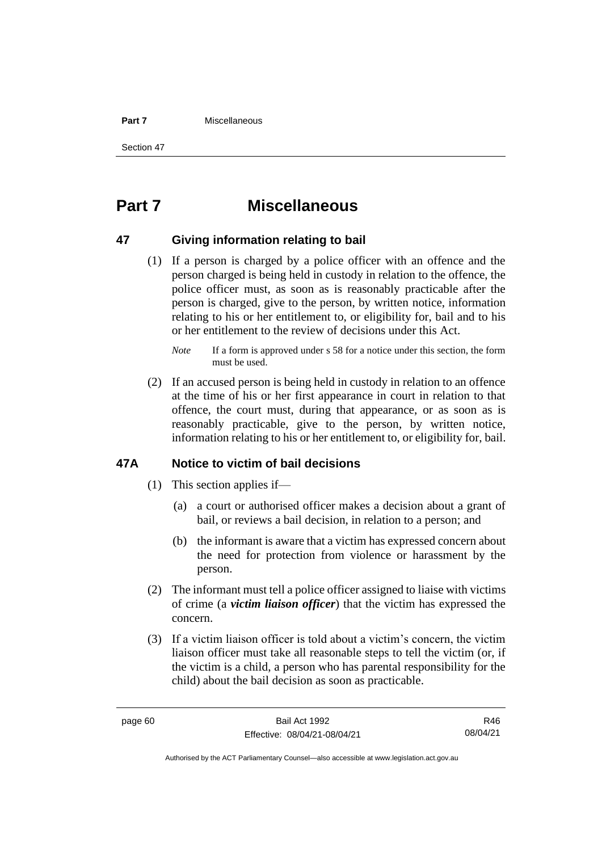#### **Part 7** Miscellaneous

Section 47

# **Part 7 Miscellaneous**

### **47 Giving information relating to bail**

(1) If a person is charged by a police officer with an offence and the person charged is being held in custody in relation to the offence, the police officer must, as soon as is reasonably practicable after the person is charged, give to the person, by written notice, information relating to his or her entitlement to, or eligibility for, bail and to his or her entitlement to the review of decisions under this Act.

(2) If an accused person is being held in custody in relation to an offence at the time of his or her first appearance in court in relation to that offence, the court must, during that appearance, or as soon as is reasonably practicable, give to the person, by written notice, information relating to his or her entitlement to, or eligibility for, bail.

### **47A Notice to victim of bail decisions**

- (1) This section applies if—
	- (a) a court or authorised officer makes a decision about a grant of bail, or reviews a bail decision, in relation to a person; and
	- (b) the informant is aware that a victim has expressed concern about the need for protection from violence or harassment by the person.
- (2) The informant must tell a police officer assigned to liaise with victims of crime (a *victim liaison officer*) that the victim has expressed the concern.
- (3) If a victim liaison officer is told about a victim's concern, the victim liaison officer must take all reasonable steps to tell the victim (or, if the victim is a child, a person who has parental responsibility for the child) about the bail decision as soon as practicable.

R46 08/04/21

*Note* If a form is approved under s 58 for a notice under this section, the form must be used.

Authorised by the ACT Parliamentary Counsel—also accessible at www.legislation.act.gov.au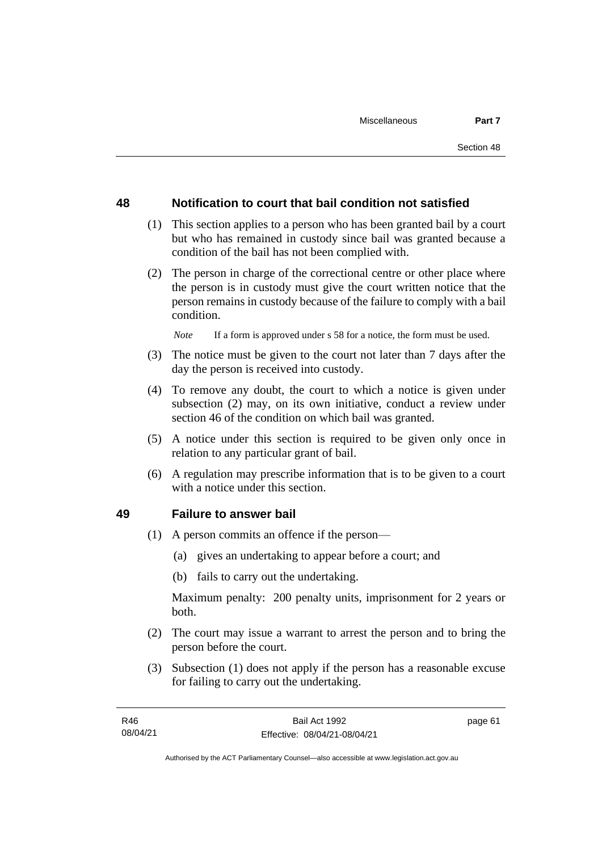### **48 Notification to court that bail condition not satisfied**

- (1) This section applies to a person who has been granted bail by a court but who has remained in custody since bail was granted because a condition of the bail has not been complied with.
- (2) The person in charge of the correctional centre or other place where the person is in custody must give the court written notice that the person remains in custody because of the failure to comply with a bail condition.

*Note* If a form is approved under s 58 for a notice, the form must be used.

- (3) The notice must be given to the court not later than 7 days after the day the person is received into custody.
- (4) To remove any doubt, the court to which a notice is given under subsection (2) may, on its own initiative, conduct a review under section 46 of the condition on which bail was granted.
- (5) A notice under this section is required to be given only once in relation to any particular grant of bail.
- (6) A regulation may prescribe information that is to be given to a court with a notice under this section.

### **49 Failure to answer bail**

- (1) A person commits an offence if the person—
	- (a) gives an undertaking to appear before a court; and
	- (b) fails to carry out the undertaking.

Maximum penalty: 200 penalty units, imprisonment for 2 years or both.

- (2) The court may issue a warrant to arrest the person and to bring the person before the court.
- (3) Subsection (1) does not apply if the person has a reasonable excuse for failing to carry out the undertaking.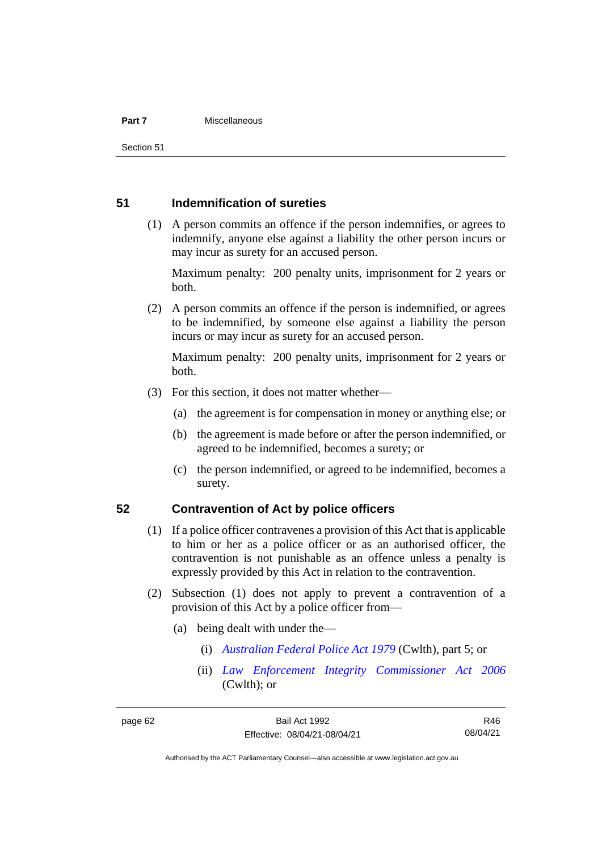#### **Part 7** Miscellaneous

Section 51

### **51 Indemnification of sureties**

(1) A person commits an offence if the person indemnifies, or agrees to indemnify, anyone else against a liability the other person incurs or may incur as surety for an accused person.

Maximum penalty: 200 penalty units, imprisonment for 2 years or both.

(2) A person commits an offence if the person is indemnified, or agrees to be indemnified, by someone else against a liability the person incurs or may incur as surety for an accused person.

Maximum penalty: 200 penalty units, imprisonment for 2 years or both.

- (3) For this section, it does not matter whether—
	- (a) the agreement is for compensation in money or anything else; or
	- (b) the agreement is made before or after the person indemnified, or agreed to be indemnified, becomes a surety; or
	- (c) the person indemnified, or agreed to be indemnified, becomes a surety.

### **52 Contravention of Act by police officers**

- (1) If a police officer contravenes a provision of this Act that is applicable to him or her as a police officer or as an authorised officer, the contravention is not punishable as an offence unless a penalty is expressly provided by this Act in relation to the contravention.
- (2) Subsection (1) does not apply to prevent a contravention of a provision of this Act by a police officer from—
	- (a) being dealt with under the—
		- (i) *[Australian Federal Police Act 1979](http://www.comlaw.gov.au/Series/C2004A02068)* (Cwlth), part 5; or
		- (ii) *[Law Enforcement Integrity Commissioner Act 2006](http://www.comlaw.gov.au/Series/C2006A00085)* (Cwlth); or

R46 08/04/21

Authorised by the ACT Parliamentary Counsel—also accessible at www.legislation.act.gov.au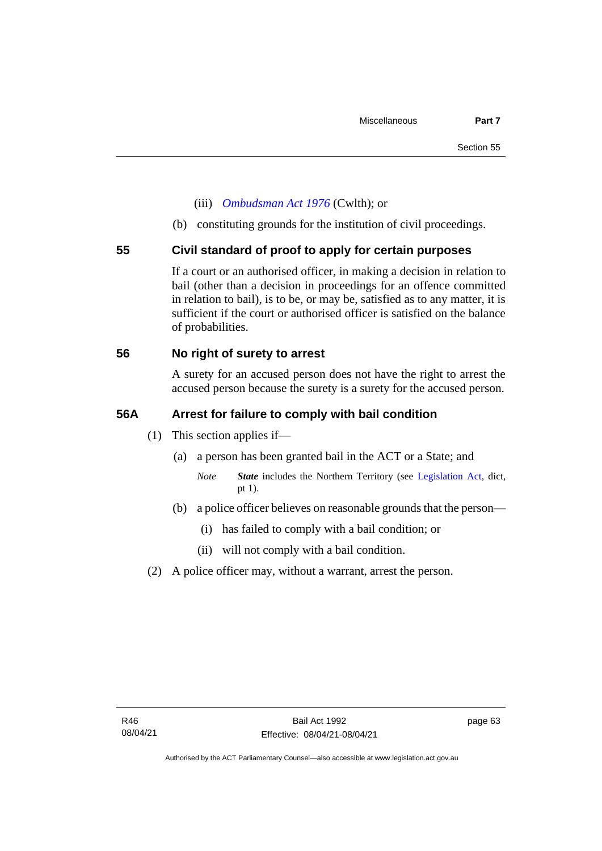- (iii) *[Ombudsman Act 1976](http://www.comlaw.gov.au/Series/C2004A01611)* (Cwlth); or
- (b) constituting grounds for the institution of civil proceedings.

### **55 Civil standard of proof to apply for certain purposes**

If a court or an authorised officer, in making a decision in relation to bail (other than a decision in proceedings for an offence committed in relation to bail), is to be, or may be, satisfied as to any matter, it is sufficient if the court or authorised officer is satisfied on the balance of probabilities.

### **56 No right of surety to arrest**

A surety for an accused person does not have the right to arrest the accused person because the surety is a surety for the accused person.

### **56A Arrest for failure to comply with bail condition**

- (1) This section applies if—
	- (a) a person has been granted bail in the ACT or a State; and
		- *Note State* includes the Northern Territory (see [Legislation Act,](http://www.legislation.act.gov.au/a/2001-14) dict, pt 1).
	- (b) a police officer believes on reasonable grounds that the person—
		- (i) has failed to comply with a bail condition; or
		- (ii) will not comply with a bail condition.
- (2) A police officer may, without a warrant, arrest the person.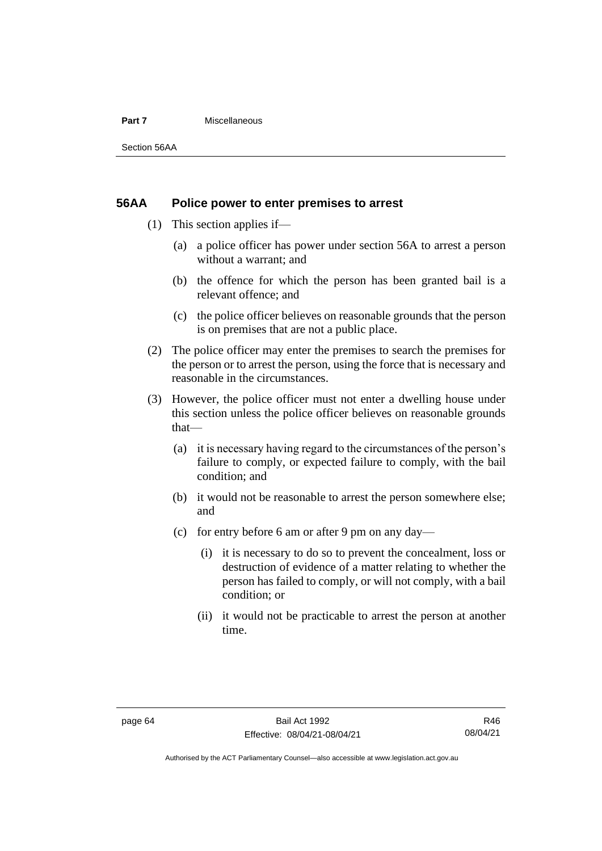#### **Part 7** Miscellaneous

Section 56AA

### **56AA Police power to enter premises to arrest**

- (1) This section applies if—
	- (a) a police officer has power under section 56A to arrest a person without a warrant; and
	- (b) the offence for which the person has been granted bail is a relevant offence; and
	- (c) the police officer believes on reasonable grounds that the person is on premises that are not a public place.
- (2) The police officer may enter the premises to search the premises for the person or to arrest the person, using the force that is necessary and reasonable in the circumstances.
- (3) However, the police officer must not enter a dwelling house under this section unless the police officer believes on reasonable grounds that—
	- (a) it is necessary having regard to the circumstances of the person's failure to comply, or expected failure to comply, with the bail condition; and
	- (b) it would not be reasonable to arrest the person somewhere else; and
	- (c) for entry before 6 am or after 9 pm on any day—
		- (i) it is necessary to do so to prevent the concealment, loss or destruction of evidence of a matter relating to whether the person has failed to comply, or will not comply, with a bail condition; or
		- (ii) it would not be practicable to arrest the person at another time.

Authorised by the ACT Parliamentary Counsel—also accessible at www.legislation.act.gov.au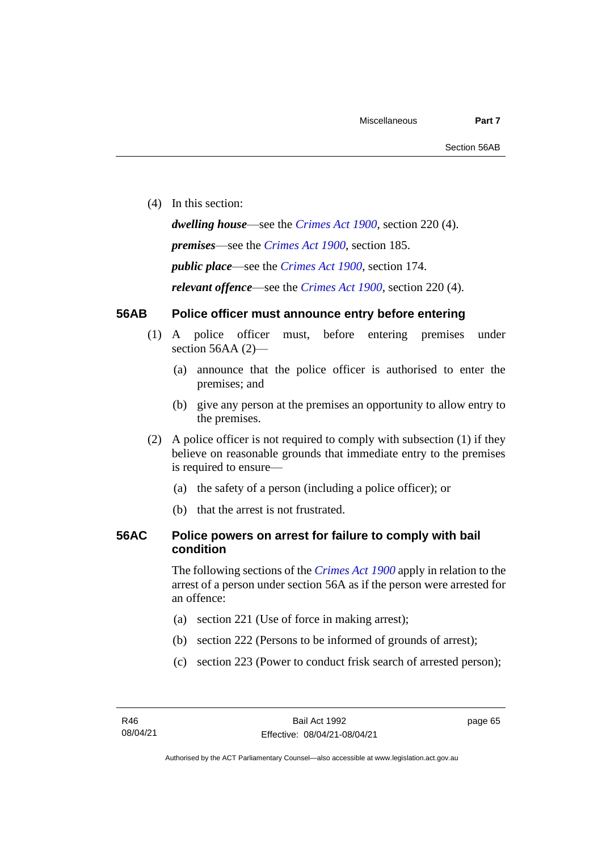(4) In this section:

*dwelling house*—see the *[Crimes Act](http://www.legislation.act.gov.au/a/1900-40) 1900*, section 220 (4). *premises*—see the *[Crimes Act](http://www.legislation.act.gov.au/a/1900-40) 1900*, section 185. *public place*—see the *[Crimes Act](http://www.legislation.act.gov.au/a/1900-40) 1900*, section 174. *relevant offence*—see the *[Crimes Act 1900](http://www.legislation.act.gov.au/a/1900-40)*, section 220 (4).

#### **56AB Police officer must announce entry before entering**

- (1) A police officer must, before entering premises under section 56AA (2)-
	- (a) announce that the police officer is authorised to enter the premises; and
	- (b) give any person at the premises an opportunity to allow entry to the premises.
- (2) A police officer is not required to comply with subsection (1) if they believe on reasonable grounds that immediate entry to the premises is required to ensure—
	- (a) the safety of a person (including a police officer); or
	- (b) that the arrest is not frustrated.

### **56AC Police powers on arrest for failure to comply with bail condition**

The following sections of the *[Crimes Act](http://www.legislation.act.gov.au/a/1900-40) 1900* apply in relation to the arrest of a person under section 56A as if the person were arrested for an offence:

- (a) section 221 (Use of force in making arrest);
- (b) section 222 (Persons to be informed of grounds of arrest);
- (c) section 223 (Power to conduct frisk search of arrested person);

page 65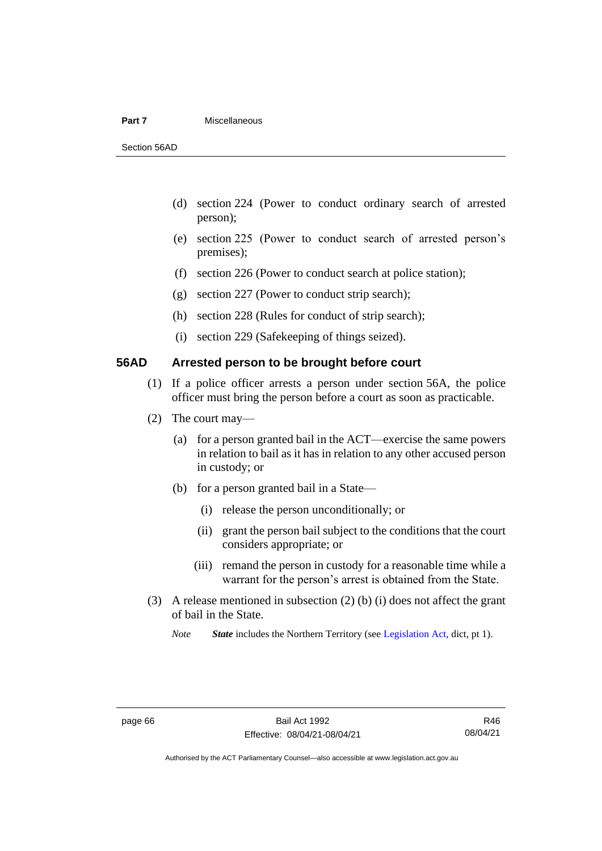#### **Part 7** Miscellaneous

Section 56AD

- (d) section 224 (Power to conduct ordinary search of arrested person);
- (e) section 225 (Power to conduct search of arrested person's premises);
- (f) section 226 (Power to conduct search at police station);
- (g) section 227 (Power to conduct strip search);
- (h) section 228 (Rules for conduct of strip search);
- (i) section 229 (Safekeeping of things seized).

#### **56AD Arrested person to be brought before court**

- (1) If a police officer arrests a person under section 56A, the police officer must bring the person before a court as soon as practicable.
- (2) The court may—
	- (a) for a person granted bail in the ACT—exercise the same powers in relation to bail as it has in relation to any other accused person in custody; or
	- (b) for a person granted bail in a State—
		- (i) release the person unconditionally; or
		- (ii) grant the person bail subject to the conditions that the court considers appropriate; or
		- (iii) remand the person in custody for a reasonable time while a warrant for the person's arrest is obtained from the State.
- (3) A release mentioned in subsection (2) (b) (i) does not affect the grant of bail in the State.

*Note State* includes the Northern Territory (see [Legislation Act,](http://www.legislation.act.gov.au/a/2001-14) dict, pt 1).

Authorised by the ACT Parliamentary Counsel—also accessible at www.legislation.act.gov.au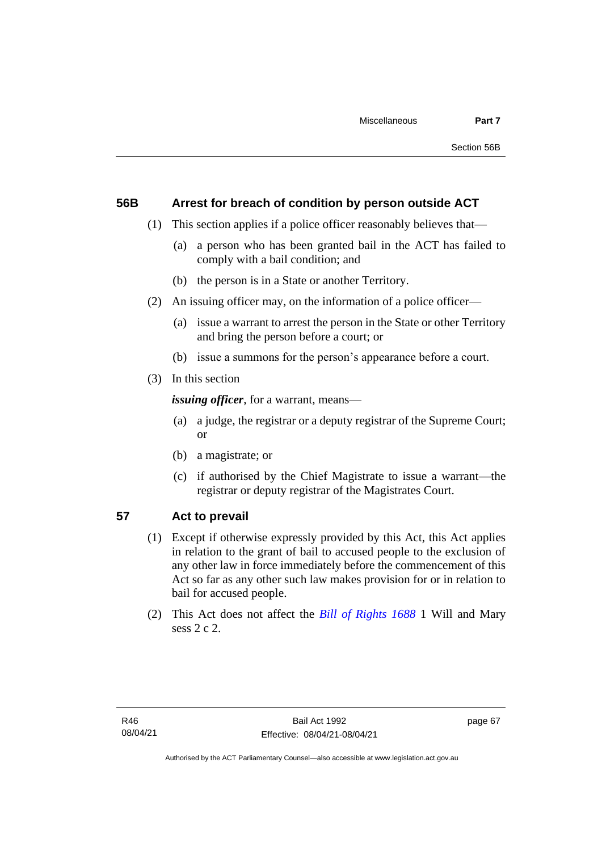#### **56B Arrest for breach of condition by person outside ACT**

- (1) This section applies if a police officer reasonably believes that—
	- (a) a person who has been granted bail in the ACT has failed to comply with a bail condition; and
	- (b) the person is in a State or another Territory.
- (2) An issuing officer may, on the information of a police officer—
	- (a) issue a warrant to arrest the person in the State or other Territory and bring the person before a court; or
	- (b) issue a summons for the person's appearance before a court.
- (3) In this section

*issuing officer*, for a warrant, means—

- (a) a judge, the registrar or a deputy registrar of the Supreme Court; or
- (b) a magistrate; or
- (c) if authorised by the Chief Magistrate to issue a warrant—the registrar or deputy registrar of the Magistrates Court.

### **57 Act to prevail**

- (1) Except if otherwise expressly provided by this Act, this Act applies in relation to the grant of bail to accused people to the exclusion of any other law in force immediately before the commencement of this Act so far as any other such law makes provision for or in relation to bail for accused people.
- (2) This Act does not affect the *[Bill of Rights 1688](http://www.legislation.act.gov.au/a/db_1792/default.asp)* 1 Will and Mary sess 2 c 2.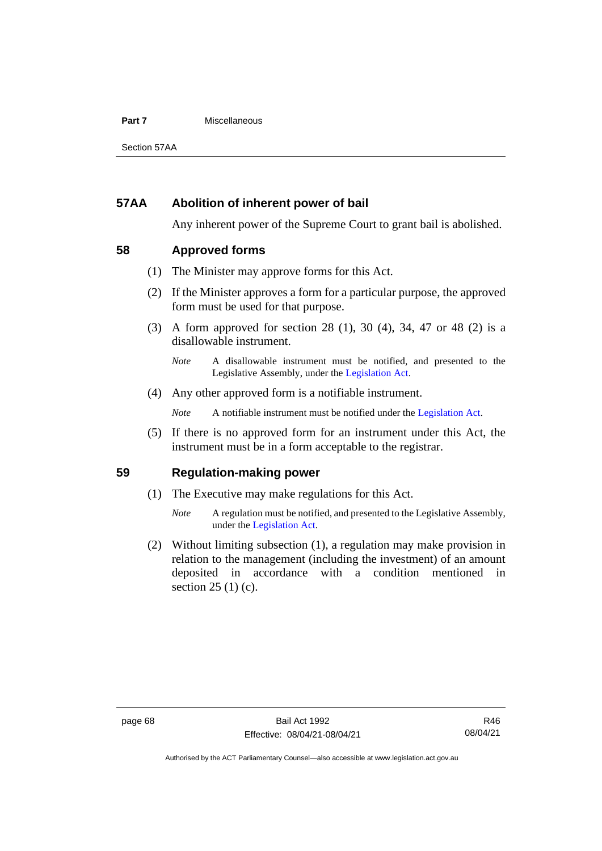#### **Part 7** Miscellaneous

Section 57AA

#### **57AA Abolition of inherent power of bail**

Any inherent power of the Supreme Court to grant bail is abolished.

#### **58 Approved forms**

- (1) The Minister may approve forms for this Act.
- (2) If the Minister approves a form for a particular purpose, the approved form must be used for that purpose.
- (3) A form approved for section 28 (1), 30 (4), 34, 47 or 48 (2) is a disallowable instrument.

(4) Any other approved form is a notifiable instrument.

*Note* A notifiable instrument must be notified under the [Legislation Act.](http://www.legislation.act.gov.au/a/2001-14)

(5) If there is no approved form for an instrument under this Act, the instrument must be in a form acceptable to the registrar.

#### **59 Regulation-making power**

- (1) The Executive may make regulations for this Act.
	- *Note* A regulation must be notified, and presented to the Legislative Assembly, under the [Legislation Act.](http://www.legislation.act.gov.au/a/2001-14)
- (2) Without limiting subsection (1), a regulation may make provision in relation to the management (including the investment) of an amount deposited in accordance with a condition mentioned in section 25 (1) (c).

*Note* A disallowable instrument must be notified, and presented to the Legislative Assembly, under the [Legislation Act.](http://www.legislation.act.gov.au/a/2001-14)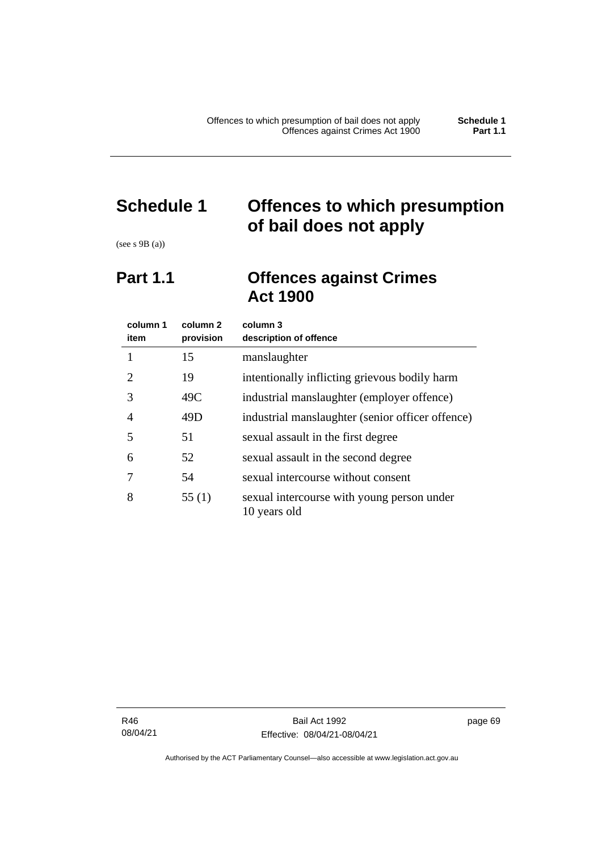### **Schedule 1 Offences to which presumption of bail does not apply**

(see s 9B (a))

### **Part 1.1 Offences against Crimes Act 1900**

| column 1<br>item | column 2<br>provision | column 3<br>description of offence                         |
|------------------|-----------------------|------------------------------------------------------------|
|                  | 15                    | manslaughter                                               |
| 2                | 19                    | intentionally inflicting grievous bodily harm              |
| 3                | 49C                   | industrial manslaughter (employer offence)                 |
| 4                | 49D                   | industrial manslaughter (senior officer offence)           |
| 5                | 51                    | sexual assault in the first degree                         |
| 6                | 52                    | sexual assault in the second degree                        |
|                  | 54                    | sexual intercourse without consent                         |
| 8                | 55(1)                 | sexual intercourse with young person under<br>10 years old |

R46 08/04/21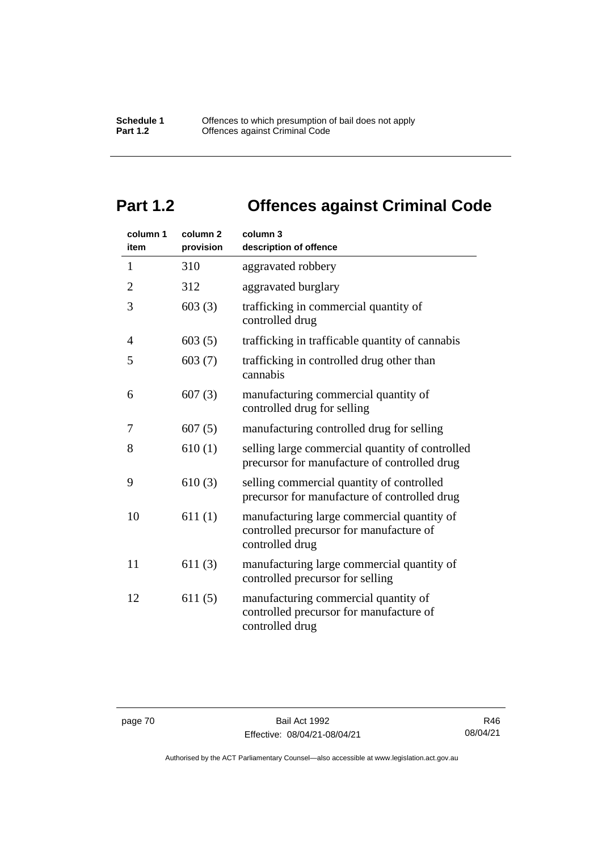## **Part 1.2 Offences against Criminal Code**

| column 1<br>item | column <sub>2</sub><br>provision | column 3<br>description of offence                                                                       |
|------------------|----------------------------------|----------------------------------------------------------------------------------------------------------|
| $\mathbf{1}$     | 310                              | aggravated robbery                                                                                       |
| $\overline{2}$   | 312                              | aggravated burglary                                                                                      |
| 3                | 603(3)                           | trafficking in commercial quantity of<br>controlled drug                                                 |
| 4                | 603(5)                           | trafficking in trafficable quantity of cannabis                                                          |
| 5                | 603(7)                           | trafficking in controlled drug other than<br>cannabis                                                    |
| 6                | 607(3)                           | manufacturing commercial quantity of<br>controlled drug for selling                                      |
| 7                | 607(5)                           | manufacturing controlled drug for selling                                                                |
| 8                | 610(1)                           | selling large commercial quantity of controlled<br>precursor for manufacture of controlled drug          |
| 9                | 610(3)                           | selling commercial quantity of controlled<br>precursor for manufacture of controlled drug                |
| 10               | 611(1)                           | manufacturing large commercial quantity of<br>controlled precursor for manufacture of<br>controlled drug |
| 11               | 611(3)                           | manufacturing large commercial quantity of<br>controlled precursor for selling                           |
| 12               | 611(5)                           | manufacturing commercial quantity of<br>controlled precursor for manufacture of<br>controlled drug       |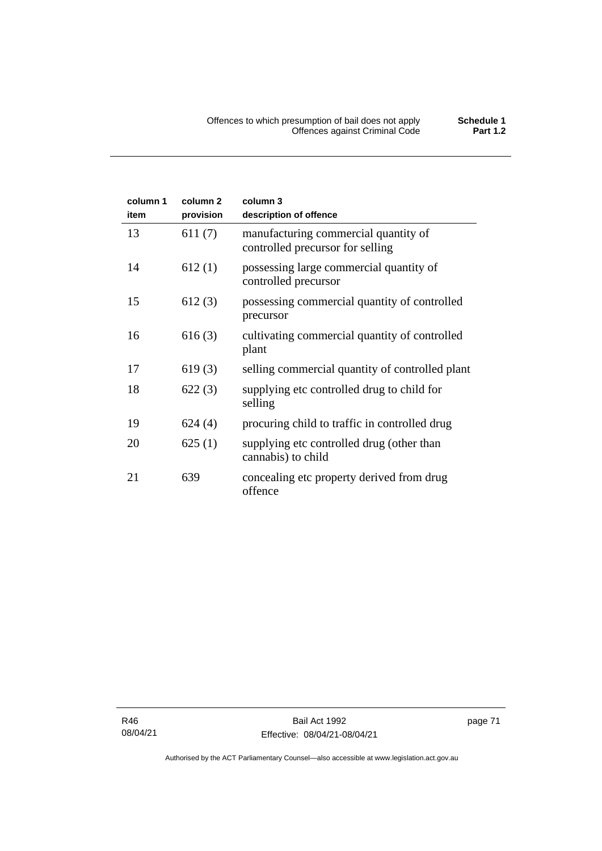| column 1<br>item | column <sub>2</sub><br>provision | column 3<br>description of offence                                       |
|------------------|----------------------------------|--------------------------------------------------------------------------|
| 13               | 611(7)                           | manufacturing commercial quantity of<br>controlled precursor for selling |
| 14               | 612(1)                           | possessing large commercial quantity of<br>controlled precursor          |
| 15               | 612(3)                           | possessing commercial quantity of controlled<br>precursor                |
| 16               | 616(3)                           | cultivating commercial quantity of controlled<br>plant                   |
| 17               | 619(3)                           | selling commercial quantity of controlled plant                          |
| 18               | 622(3)                           | supplying etc controlled drug to child for<br>selling                    |
| 19               | 624(4)                           | procuring child to traffic in controlled drug                            |
| 20               | 625(1)                           | supplying etc controlled drug (other than<br>cannabis) to child          |
| 21               | 639                              | concealing etc property derived from drug<br>offence                     |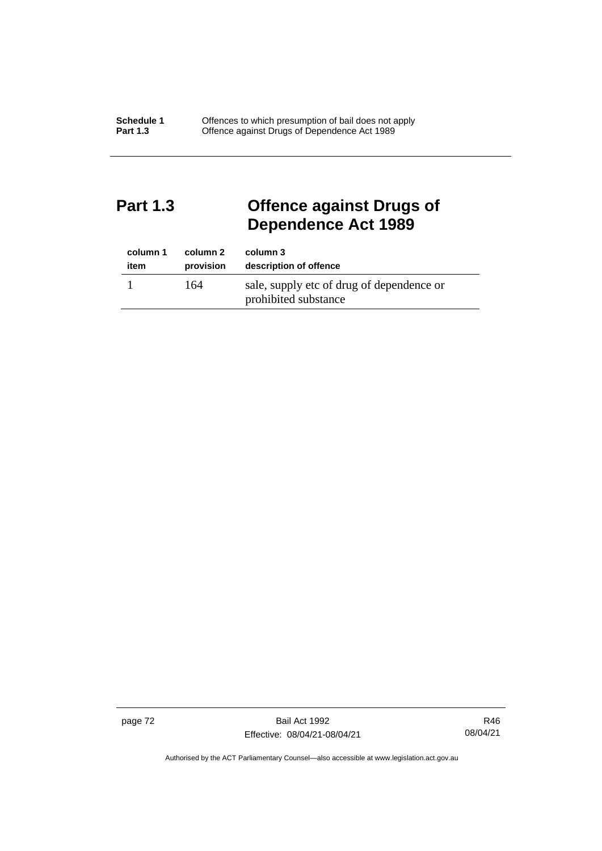### **Part 1.3 Offence against Drugs of Dependence Act 1989**

| column 1 | column 2  | column 3                                                          |
|----------|-----------|-------------------------------------------------------------------|
| item     | provision | description of offence                                            |
|          | 164       | sale, supply etc of drug of dependence or<br>prohibited substance |

page 72 Bail Act 1992 Effective: 08/04/21-08/04/21

R46 08/04/21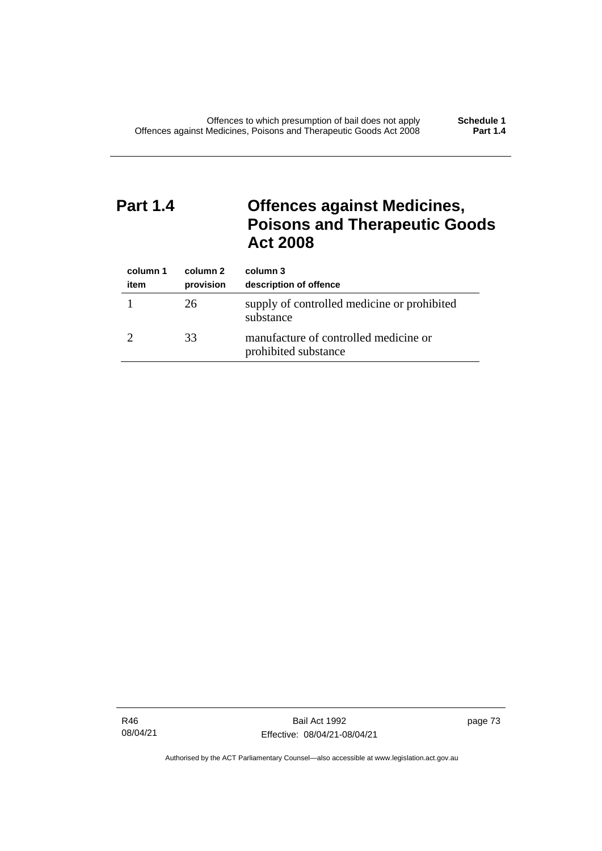### **Part 1.4 Offences against Medicines, Poisons and Therapeutic Goods Act 2008**

| column 1<br>item | column 2<br>provision | column 3<br>description of offence                            |
|------------------|-----------------------|---------------------------------------------------------------|
|                  | 26                    | supply of controlled medicine or prohibited<br>substance      |
|                  | 33                    | manufacture of controlled medicine or<br>prohibited substance |

R46 08/04/21 page 73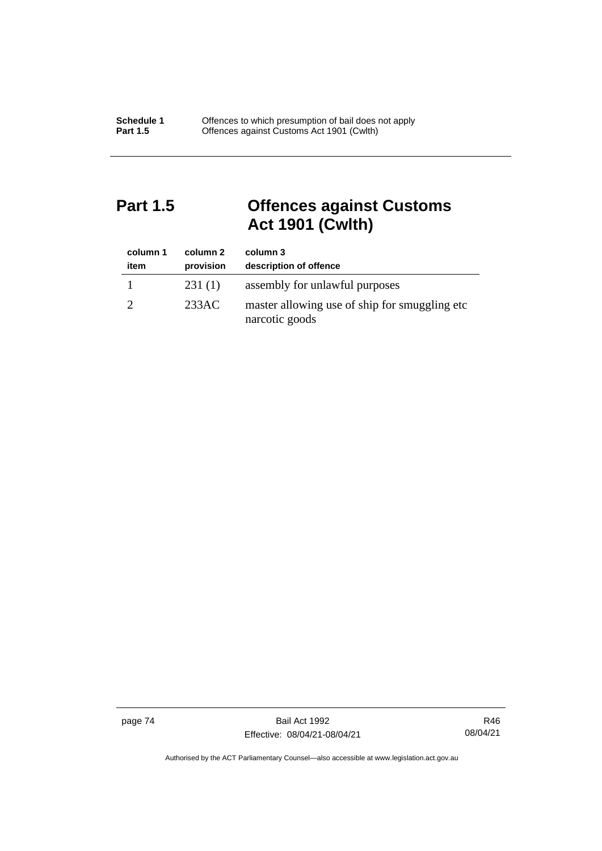### **Part 1.5 Offences against Customs Act 1901 (Cwlth)**

| column 1<br>item | column 2<br>provision | column 3<br>description of offence                               |
|------------------|-----------------------|------------------------------------------------------------------|
|                  | 231(1)                | assembly for unlawful purposes                                   |
|                  | 233AC                 | master allowing use of ship for smuggling etc.<br>narcotic goods |

page 74 Bail Act 1992 Effective: 08/04/21-08/04/21

R46 08/04/21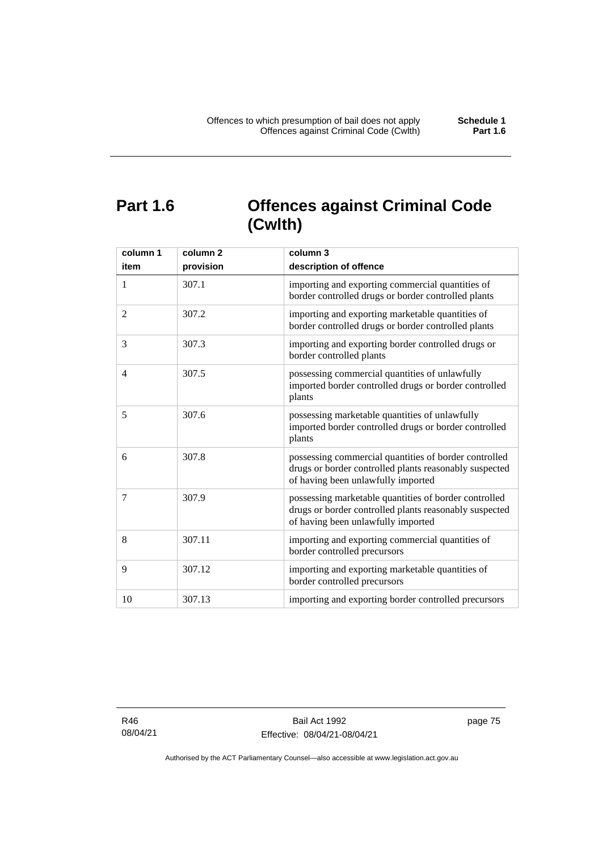### **Part 1.6 Offences against Criminal Code (Cwlth)**

| column 1<br>item | column <sub>2</sub><br>provision | column 3<br>description of offence                                                                                                                    |
|------------------|----------------------------------|-------------------------------------------------------------------------------------------------------------------------------------------------------|
| $\mathbf{1}$     | 307.1                            | importing and exporting commercial quantities of<br>border controlled drugs or border controlled plants                                               |
| 2                | 307.2                            | importing and exporting marketable quantities of<br>border controlled drugs or border controlled plants                                               |
| 3                | 307.3                            | importing and exporting border controlled drugs or<br>border controlled plants                                                                        |
| $\overline{4}$   | 307.5                            | possessing commercial quantities of unlawfully<br>imported border controlled drugs or border controlled<br>plants                                     |
| 5                | 307.6                            | possessing marketable quantities of unlawfully<br>imported border controlled drugs or border controlled<br>plants                                     |
| 6                | 307.8                            | possessing commercial quantities of border controlled<br>drugs or border controlled plants reasonably suspected<br>of having been unlawfully imported |
| 7                | 307.9                            | possessing marketable quantities of border controlled<br>drugs or border controlled plants reasonably suspected<br>of having been unlawfully imported |
| 8                | 307.11                           | importing and exporting commercial quantities of<br>border controlled precursors                                                                      |
| 9                | 307.12                           | importing and exporting marketable quantities of<br>border controlled precursors                                                                      |
| 10               | 307.13                           | importing and exporting border controlled precursors                                                                                                  |

R46 08/04/21 page 75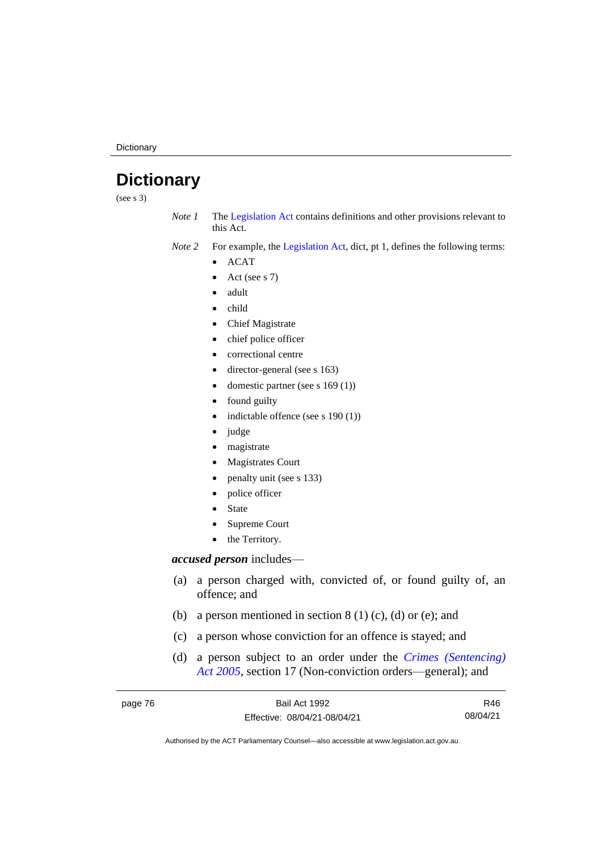**Dictionary** 

### **Dictionary**

(see s 3)

*Note 1* The [Legislation Act](http://www.legislation.act.gov.au/a/2001-14) contains definitions and other provisions relevant to this Act.

*Note 2* For example, the [Legislation Act,](http://www.legislation.act.gov.au/a/2001-14) dict, pt 1, defines the following terms:

- ACAT
- Act (see s 7)
- adult
- child
- Chief Magistrate
- chief police officer
- correctional centre
- director-general (see s 163)
- domestic partner (see s 169 (1))
- found guilty
- indictable offence (see s 190 (1))
- judge
- magistrate
- Magistrates Court
- penalty unit (see s 133)
- police officer
- **State**
- Supreme Court
- the Territory.

#### *accused person* includes—

- (a) a person charged with, convicted of, or found guilty of, an offence; and
- (b) a person mentioned in section  $8(1)(c)$ , (d) or (e); and
- (c) a person whose conviction for an offence is stayed; and
- (d) a person subject to an order under the *[Crimes \(Sentencing\)](http://www.legislation.act.gov.au/a/2005-58)  Act [2005](http://www.legislation.act.gov.au/a/2005-58)*, section 17 (Non-conviction orders—general); and

| page 76 | Bail Act 1992                | R46      |
|---------|------------------------------|----------|
|         | Effective: 08/04/21-08/04/21 | 08/04/21 |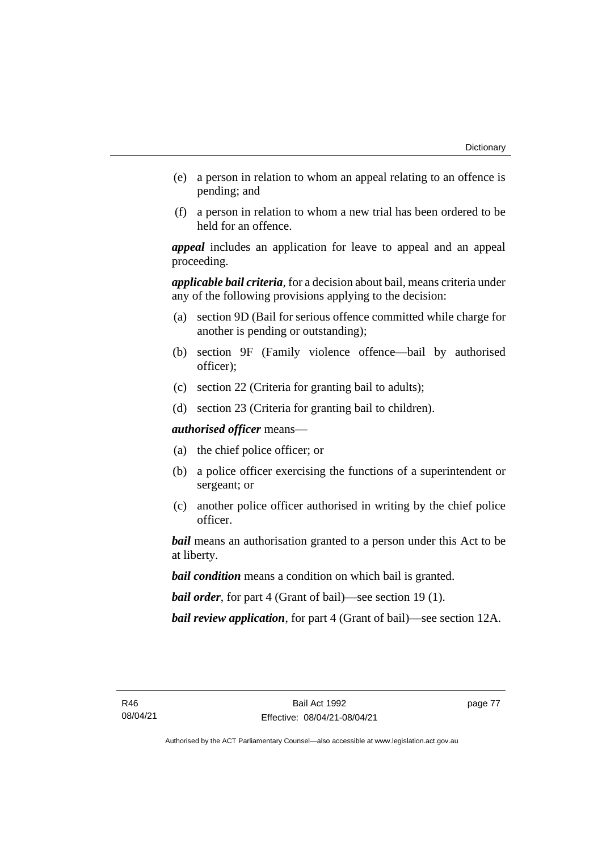- (e) a person in relation to whom an appeal relating to an offence is pending; and
- (f) a person in relation to whom a new trial has been ordered to be held for an offence.

*appeal* includes an application for leave to appeal and an appeal proceeding.

*applicable bail criteria*, for a decision about bail, means criteria under any of the following provisions applying to the decision:

- (a) section 9D (Bail for serious offence committed while charge for another is pending or outstanding);
- (b) section 9F (Family violence offence—bail by authorised officer);
- (c) section 22 (Criteria for granting bail to adults);
- (d) section 23 (Criteria for granting bail to children).

*authorised officer* means—

- (a) the chief police officer; or
- (b) a police officer exercising the functions of a superintendent or sergeant; or
- (c) another police officer authorised in writing by the chief police officer.

*bail* means an authorisation granted to a person under this Act to be at liberty.

*bail condition* means a condition on which bail is granted.

*bail order*, for part 4 (Grant of bail)—see section 19 (1).

*bail review application*, for part 4 (Grant of bail)—see section 12A.

page 77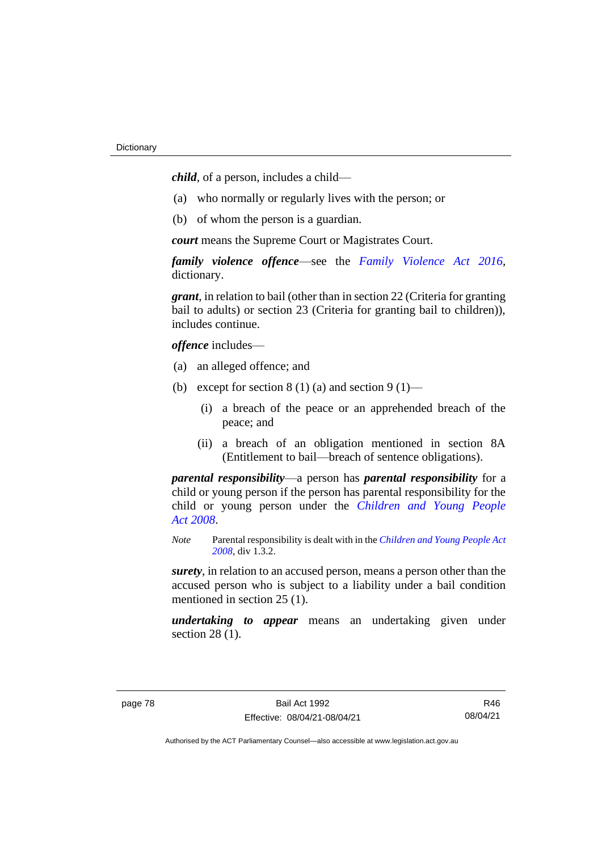*child*, of a person, includes a child—

- (a) who normally or regularly lives with the person; or
- (b) of whom the person is a guardian.

*court* means the Supreme Court or Magistrates Court.

*family violence offence*—see the *Family [Violence Act 2016](http://www.legislation.act.gov.au/a/2016-42)*, dictionary.

*grant*, in relation to bail (other than in section 22 (Criteria for granting bail to adults) or section 23 (Criteria for granting bail to children)), includes continue.

*offence* includes—

- (a) an alleged offence; and
- (b) except for section  $8(1)(a)$  and section  $9(1)$ 
	- (i) a breach of the peace or an apprehended breach of the peace; and
	- (ii) a breach of an obligation mentioned in section 8A (Entitlement to bail—breach of sentence obligations).

*parental responsibility*—a person has *parental responsibility* for a child or young person if the person has parental responsibility for the child or young person under the *[Children and Young People](http://www.legislation.act.gov.au/a/2008-19)  Act [2008](http://www.legislation.act.gov.au/a/2008-19)*.

*Note* Parental responsibility is dealt with in the *[Children and Young People Act](http://www.legislation.act.gov.au/a/2008-19)  [2008](http://www.legislation.act.gov.au/a/2008-19)*, div 1.3.2.

*surety*, in relation to an accused person, means a person other than the accused person who is subject to a liability under a bail condition mentioned in section 25 (1).

*undertaking to appear* means an undertaking given under section 28 (1).

R46 08/04/21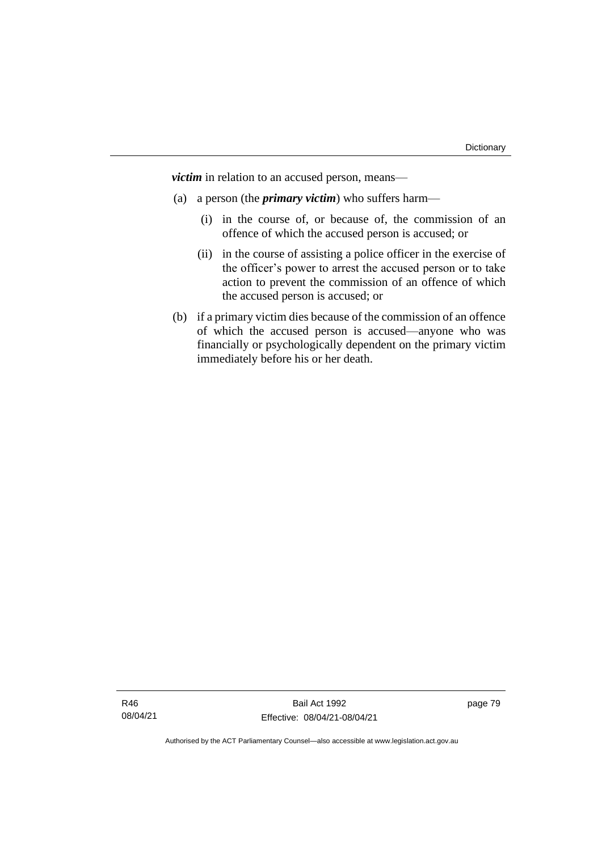*victim* in relation to an accused person, means—

- (a) a person (the *primary victim*) who suffers harm—
	- (i) in the course of, or because of, the commission of an offence of which the accused person is accused; or
	- (ii) in the course of assisting a police officer in the exercise of the officer's power to arrest the accused person or to take action to prevent the commission of an offence of which the accused person is accused; or
- (b) if a primary victim dies because of the commission of an offence of which the accused person is accused—anyone who was financially or psychologically dependent on the primary victim immediately before his or her death.

page 79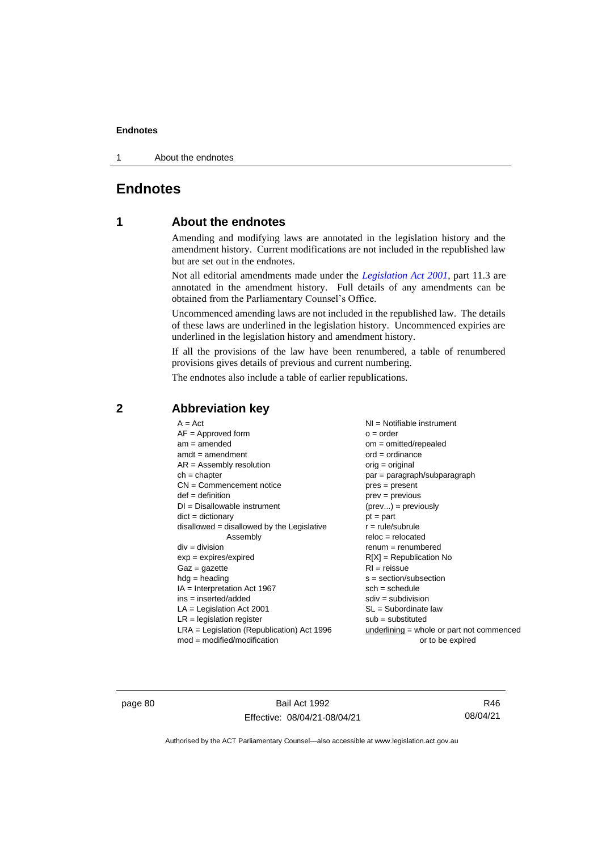1 About the endnotes

### **Endnotes**

#### **1 About the endnotes**

Amending and modifying laws are annotated in the legislation history and the amendment history. Current modifications are not included in the republished law but are set out in the endnotes.

Not all editorial amendments made under the *[Legislation Act 2001](http://www.legislation.act.gov.au/a/2001-14)*, part 11.3 are annotated in the amendment history. Full details of any amendments can be obtained from the Parliamentary Counsel's Office.

Uncommenced amending laws are not included in the republished law. The details of these laws are underlined in the legislation history. Uncommenced expiries are underlined in the legislation history and amendment history.

If all the provisions of the law have been renumbered, a table of renumbered provisions gives details of previous and current numbering.

The endnotes also include a table of earlier republications.

| $A = Act$                                    | $NI =$ Notifiable instrument                |
|----------------------------------------------|---------------------------------------------|
| $AF =$ Approved form                         | $o = order$                                 |
| $am = amended$                               | $om = omitted/repealed$                     |
| $amdt = amendment$                           | $ord = ordinance$                           |
| $AR = Assembly resolution$                   | $orig = original$                           |
| $ch = chapter$                               | par = paragraph/subparagraph                |
| $CN =$ Commencement notice                   |                                             |
|                                              | $pres = present$                            |
| $def = definition$                           | $prev = previous$                           |
| $DI = Disallowable instrument$               | $(\text{prev}) = \text{previously}$         |
| $dict = dictionary$                          | $pt = part$                                 |
| $disallowed = disallowed by the Legislative$ | $r = rule/subrule$                          |
| Assembly                                     | $reloc = relocated$                         |
| $div = division$                             | $renum = renumbered$                        |
| $exp = expires/expired$                      | $R[X]$ = Republication No                   |
| $Gaz = gazette$                              | $RI = reissue$                              |
| $h dq =$ heading                             | $s = section/subsection$                    |
| $IA = Interpretation Act 1967$               | $sch = schedule$                            |
| ins = inserted/added                         | $sdiv = subdivision$                        |
| $LA =$ Legislation Act 2001                  | $SL = Subordinate$ law                      |
| $LR =$ legislation register                  | $sub =$ substituted                         |
| $LRA =$ Legislation (Republication) Act 1996 | $underlining = whole or part not commenced$ |
| $mod = modified/modification$                | or to be expired                            |
|                                              |                                             |

#### **2 Abbreviation key**

page 80 Bail Act 1992 Effective: 08/04/21-08/04/21

R46 08/04/21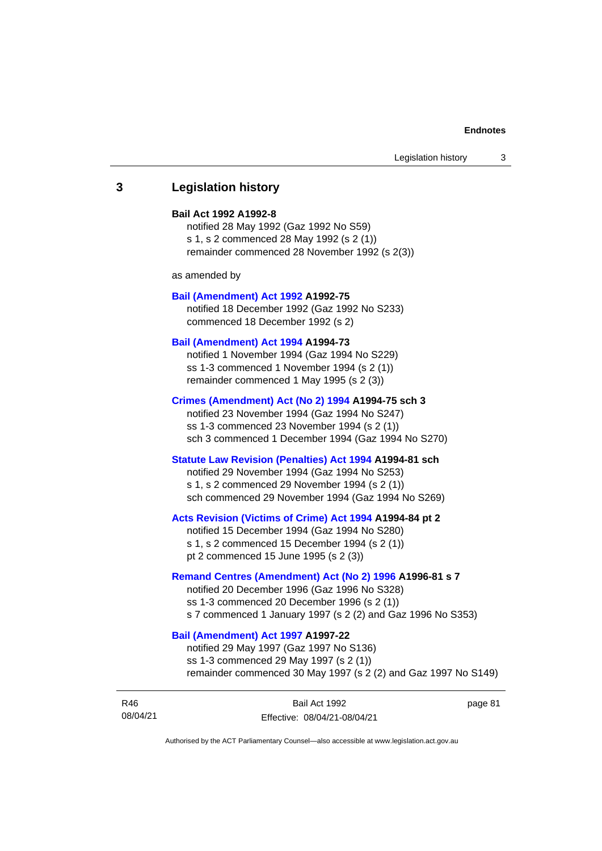#### **3 Legislation history**

#### **Bail Act 1992 A1992-8**

notified 28 May 1992 (Gaz 1992 No S59) s 1, s 2 commenced 28 May 1992 (s 2 (1)) remainder commenced 28 November 1992 (s 2(3))

as amended by

#### **[Bail \(Amendment\) Act 1992](http://www.legislation.act.gov.au/a/1992-75) A1992-75**

notified 18 December 1992 (Gaz 1992 No S233) commenced 18 December 1992 (s 2)

#### **[Bail \(Amendment\) Act 1994](http://www.legislation.act.gov.au/a/1994-73) A1994-73**

notified 1 November 1994 (Gaz 1994 No S229) ss 1-3 commenced 1 November 1994 (s 2 (1)) remainder commenced 1 May 1995 (s 2 (3))

#### **[Crimes \(Amendment\) Act \(No 2\) 1994](http://www.legislation.act.gov.au/a/1994-75) A1994-75 sch 3**

notified 23 November 1994 (Gaz 1994 No S247) ss 1-3 commenced 23 November 1994 (s 2 (1)) sch 3 commenced 1 December 1994 (Gaz 1994 No S270)

#### **[Statute Law Revision \(Penalties\) Act 1994](http://www.legislation.act.gov.au/a/1994-81) A1994-81 sch**

notified 29 November 1994 (Gaz 1994 No S253) s 1, s 2 commenced 29 November 1994 (s 2 (1)) sch commenced 29 November 1994 (Gaz 1994 No S269)

#### **[Acts Revision \(Victims of Crime\) Act 1994](http://www.legislation.act.gov.au/a/1994-84) A1994-84 pt 2**

notified 15 December 1994 (Gaz 1994 No S280) s 1, s 2 commenced 15 December 1994 (s 2 (1)) pt 2 commenced 15 June 1995 (s 2 (3))

#### **[Remand Centres \(Amendment\) Act \(No 2\) 1996](http://www.legislation.act.gov.au/a/1996-81) A1996-81 s 7**

notified 20 December 1996 (Gaz 1996 No S328) ss 1-3 commenced 20 December 1996 (s 2 (1)) s 7 commenced 1 January 1997 (s 2 (2) and Gaz 1996 No S353)

#### **[Bail \(Amendment\) Act 1997](http://www.legislation.act.gov.au/a/1997-22) A1997-22**

notified 29 May 1997 (Gaz 1997 No S136) ss 1-3 commenced 29 May 1997 (s 2 (1)) remainder commenced 30 May 1997 (s 2 (2) and Gaz 1997 No S149)

| R46      | Bail Act 1992                | page 81 |
|----------|------------------------------|---------|
| 08/04/21 | Effective: 08/04/21-08/04/21 |         |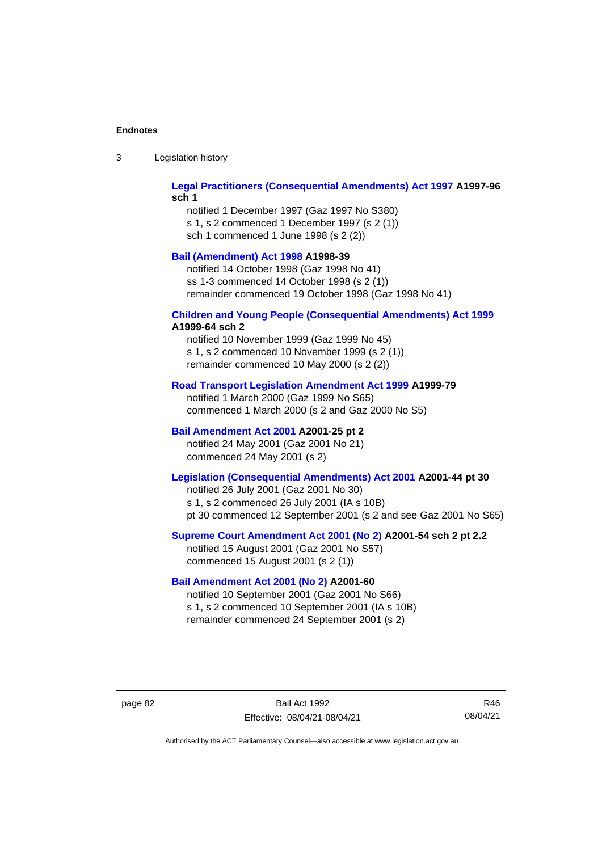| -3 | Legislation history |  |
|----|---------------------|--|
|----|---------------------|--|

#### **[Legal Practitioners \(Consequential Amendments\) Act 1997](http://www.legislation.act.gov.au/a/1997-96) A1997-96 sch 1**

notified 1 December 1997 (Gaz 1997 No S380) s 1, s 2 commenced 1 December 1997 (s 2 (1)) sch 1 commenced 1 June 1998 (s 2 (2))

#### **[Bail \(Amendment\) Act 1998](http://www.legislation.act.gov.au/a/1998-39) A1998-39**

notified 14 October 1998 (Gaz 1998 No 41) ss 1-3 commenced 14 October 1998 (s 2 (1)) remainder commenced 19 October 1998 (Gaz 1998 No 41)

### **[Children and Young People \(Consequential Amendments\) Act 1999](http://www.legislation.act.gov.au/a/1999-64)**

#### **A1999-64 sch 2**

notified 10 November 1999 (Gaz 1999 No 45) s 1, s 2 commenced 10 November 1999 (s 2 (1)) remainder commenced 10 May 2000 (s 2 (2))

#### **[Road Transport Legislation Amendment Act 1999](http://www.legislation.act.gov.au/a/1999-79) A1999-79**

notified 1 March 2000 (Gaz 1999 No S65) commenced 1 March 2000 (s 2 and Gaz 2000 No S5)

#### **[Bail Amendment Act 2001](http://www.legislation.act.gov.au/a/2001-25) A2001-25 pt 2**

notified 24 May 2001 (Gaz 2001 No 21) commenced 24 May 2001 (s 2)

#### **[Legislation \(Consequential Amendments\) Act 2001](http://www.legislation.act.gov.au/a/2001-44) A2001-44 pt 30**

notified 26 July 2001 (Gaz 2001 No 30) s 1, s 2 commenced 26 July 2001 (IA s 10B) pt 30 commenced 12 September 2001 (s 2 and see Gaz 2001 No S65)

#### **[Supreme Court Amendment Act 2001 \(No 2\)](http://www.legislation.act.gov.au/a/2001-54) A2001-54 sch 2 pt 2.2**

notified 15 August 2001 (Gaz 2001 No S57) commenced 15 August 2001 (s 2 (1))

#### **[Bail Amendment Act 2001 \(No 2\)](http://www.legislation.act.gov.au/a/2001-60) A2001-60**

notified 10 September 2001 (Gaz 2001 No S66) s 1, s 2 commenced 10 September 2001 (IA s 10B) remainder commenced 24 September 2001 (s 2)

page 82 Bail Act 1992 Effective: 08/04/21-08/04/21

R46 08/04/21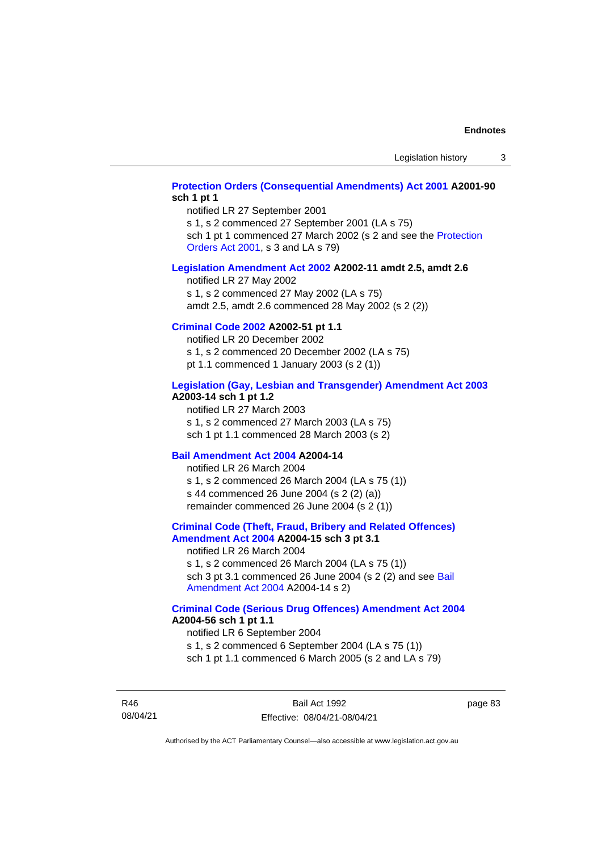#### **[Protection Orders \(Consequential Amendments\) Act 2001](http://www.legislation.act.gov.au/a/2001-90) A2001-90 sch 1 pt 1**

notified LR 27 September 2001

s 1, s 2 commenced 27 September 2001 (LA s 75)

sch 1 pt 1 commenced 27 March 2002 (s 2 and see the Protection [Orders Act 2001,](http://www.legislation.act.gov.au/a/2001-89) s 3 and LA s 79)

#### **[Legislation Amendment Act 2002](http://www.legislation.act.gov.au/a/2002-11) A2002-11 amdt 2.5, amdt 2.6**

notified LR 27 May 2002 s 1, s 2 commenced 27 May 2002 (LA s 75) amdt 2.5, amdt 2.6 commenced 28 May 2002 (s 2 (2))

#### **[Criminal Code 2002](http://www.legislation.act.gov.au/a/2002-51) A2002-51 pt 1.1**

notified LR 20 December 2002 s 1, s 2 commenced 20 December 2002 (LA s 75) pt 1.1 commenced 1 January 2003 (s 2 (1))

#### **[Legislation \(Gay, Lesbian and Transgender\) Amendment Act 2003](http://www.legislation.act.gov.au/a/2003-14) A2003-14 sch 1 pt 1.2**

notified LR 27 March 2003 s 1, s 2 commenced 27 March 2003 (LA s 75) sch 1 pt 1.1 commenced 28 March 2003 (s 2)

#### **[Bail Amendment Act 2004](http://www.legislation.act.gov.au/a/2004-14) A2004-14**

notified LR 26 March 2004 s 1, s 2 commenced 26 March 2004 (LA s 75 (1)) s 44 commenced 26 June 2004 (s 2 (2) (a)) remainder commenced 26 June 2004 (s 2 (1))

#### **[Criminal Code \(Theft, Fraud, Bribery and Related Offences\)](http://www.legislation.act.gov.au/a/2004-15)  [Amendment Act 2004](http://www.legislation.act.gov.au/a/2004-15) A2004-15 sch 3 pt 3.1**

notified LR 26 March 2004 s 1, s 2 commenced 26 March 2004 (LA s 75 (1)) sch 3 pt 3.1 commenced 26 June 2004 (s 2 (2) and see [Bail](http://www.legislation.act.gov.au/a/2004-14)  [Amendment Act 2004](http://www.legislation.act.gov.au/a/2004-14) A2004-14 s 2)

#### **[Criminal Code \(Serious Drug Offences\) Amendment Act 2004](http://www.legislation.act.gov.au/a/2004-56) A2004-56 sch 1 pt 1.1**

notified LR 6 September 2004 s 1, s 2 commenced 6 September 2004 (LA s 75 (1)) sch 1 pt 1.1 commenced 6 March 2005 (s 2 and LA s 79)

R46 08/04/21

Bail Act 1992 Effective: 08/04/21-08/04/21 page 83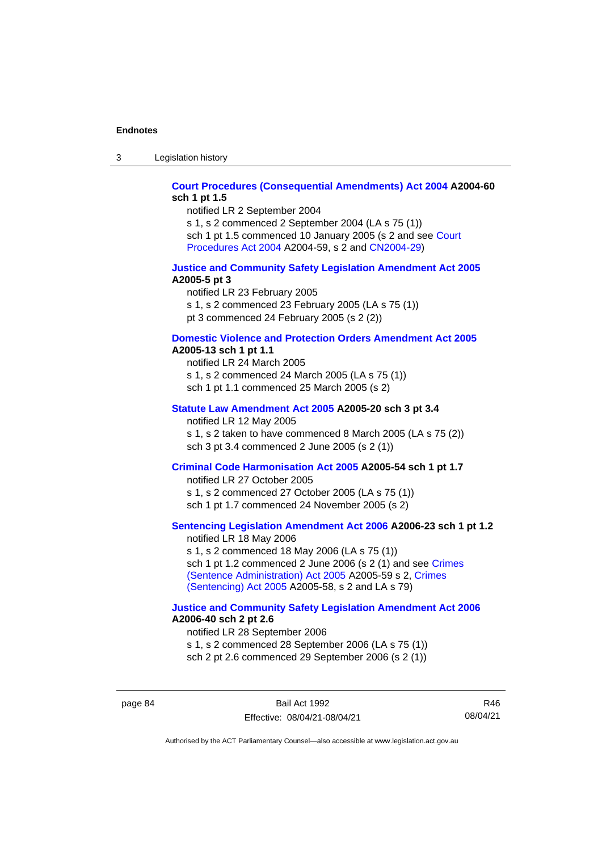3 Legislation history

#### **[Court Procedures \(Consequential Amendments\) Act 2004](http://www.legislation.act.gov.au/a/2004-60) A2004-60 sch 1 pt 1.5**

notified LR 2 September 2004

s 1, s 2 commenced 2 September 2004 (LA s 75 (1)) sch 1 pt 1.5 commenced 10 January 2005 (s 2 and see [Court](http://www.legislation.act.gov.au/a/2004-59)  [Procedures Act](http://www.legislation.act.gov.au/a/2004-59) 2004 A2004-59, s 2 and [CN2004-29\)](http://www.legislation.act.gov.au/cn/2004-29/default.asp)

#### **[Justice and Community Safety Legislation Amendment Act 2005](http://www.legislation.act.gov.au/a/2005-5) A2005-5 pt 3**

notified LR 23 February 2005 s 1, s 2 commenced 23 February 2005 (LA s 75 (1)) pt 3 commenced 24 February 2005 (s 2 (2))

#### **[Domestic Violence and Protection Orders Amendment Act 2005](http://www.legislation.act.gov.au/a/2005-13) A2005-13 sch 1 pt 1.1**

notified LR 24 March 2005 s 1, s 2 commenced 24 March 2005 (LA s 75 (1)) sch 1 pt 1.1 commenced 25 March 2005 (s 2)

#### **[Statute Law Amendment Act 2005](http://www.legislation.act.gov.au/a/2005-20) A2005-20 sch 3 pt 3.4**

notified LR 12 May 2005

s 1, s 2 taken to have commenced 8 March 2005 (LA s 75 (2)) sch 3 pt 3.4 commenced 2 June 2005 (s 2 (1))

#### **[Criminal Code Harmonisation Act 2005](http://www.legislation.act.gov.au/a/2005-54) A2005-54 sch 1 pt 1.7**

notified LR 27 October 2005 s 1, s 2 commenced 27 October 2005 (LA s 75 (1)) sch 1 pt 1.7 commenced 24 November 2005 (s 2)

#### **[Sentencing Legislation Amendment](http://www.legislation.act.gov.au/a/2006-23) Act 2006 A2006-23 sch 1 pt 1.2**

notified LR 18 May 2006 s 1, s 2 commenced 18 May 2006 (LA s 75 (1)) sch 1 pt 1.2 commenced 2 June 2006 (s 2 (1) and see [Crimes](http://www.legislation.act.gov.au/a/2005-59)  [\(Sentence Administration\) Act 2005](http://www.legislation.act.gov.au/a/2005-59) A2005-59 s 2, [Crimes](http://www.legislation.act.gov.au/a/2005-58)  [\(Sentencing\) Act 2005](http://www.legislation.act.gov.au/a/2005-58) A2005-58, s 2 and LA s 79)

#### **[Justice and Community Safety Legislation Amendment Act 2006](http://www.legislation.act.gov.au/a/2006-40) A2006-40 sch 2 pt 2.6**

notified LR 28 September 2006 s 1, s 2 commenced 28 September 2006 (LA s 75 (1)) sch 2 pt 2.6 commenced 29 September 2006 (s 2 (1))

page 84 Bail Act 1992 Effective: 08/04/21-08/04/21

R46 08/04/21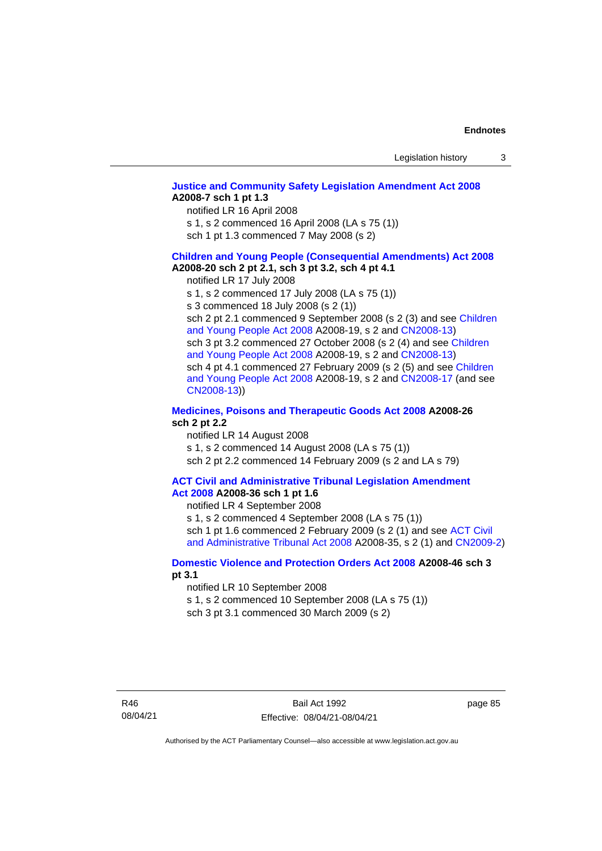#### **[Justice and Community Safety Legislation Amendment Act 2008](http://www.legislation.act.gov.au/a/2008-7) A2008-7 sch 1 pt 1.3**

notified LR 16 April 2008

s 1, s 2 commenced 16 April 2008 (LA s 75 (1))

sch 1 pt 1.3 commenced 7 May 2008 (s 2)

#### **[Children and Young People \(Consequential Amendments\) Act 2008](http://www.legislation.act.gov.au/a/2008-20) A2008-20 sch 2 pt 2.1, sch 3 pt 3.2, sch 4 pt 4.1**

notified LR 17 July 2008

s 1, s 2 commenced 17 July 2008 (LA s 75 (1))

s 3 commenced 18 July 2008 (s 2 (1))

sch 2 pt 2.1 commenced 9 September 2008 (s 2 (3) and see Children [and Young People Act 2008](http://www.legislation.act.gov.au/a/2008-19) A2008-19, s 2 and [CN2008-13\)](http://www.legislation.act.gov.au/cn/2008-13/default.asp) sch 3 pt 3.2 commenced 27 October 2008 (s 2 (4) and see Children [and Young People Act 2008](http://www.legislation.act.gov.au/a/2008-19) A2008-19, s 2 and [CN2008-13\)](http://www.legislation.act.gov.au/cn/2008-13/default.asp) sch 4 pt 4.1 commenced 27 February 2009 (s 2 (5) and see [Children](http://www.legislation.act.gov.au/a/2008-19)  [and Young People Act 2008](http://www.legislation.act.gov.au/a/2008-19) A2008-19, s 2 and [CN2008-17 \(](http://www.legislation.act.gov.au/cn/2008-17/default.asp)and see [CN2008-13\)](http://www.legislation.act.gov.au/cn/2008-13/default.asp))

#### **[Medicines, Poisons and Therapeutic Goods Act](http://www.legislation.act.gov.au/a/2008-26#history) 2008 A2008-26 sch 2 pt 2.2**

notified LR 14 August 2008 s 1, s 2 commenced 14 August 2008 (LA s 75 (1)) sch 2 pt 2.2 commenced 14 February 2009 (s 2 and LA s 79)

#### **[ACT Civil and Administrative Tribunal Legislation Amendment](http://www.legislation.act.gov.au/a/2008-36)  Act [2008](http://www.legislation.act.gov.au/a/2008-36) A2008-36 sch 1 pt 1.6**

notified LR 4 September 2008

s 1, s 2 commenced 4 September 2008 (LA s 75 (1)) sch 1 pt 1.6 commenced 2 February 2009 (s 2 (1) and see ACT Civil [and Administrative Tribunal Act 2008](http://www.legislation.act.gov.au/a/2008-35) A2008-35, s 2 (1) and [CN2009-2\)](http://www.legislation.act.gov.au/cn/2009-2/default.asp)

#### **[Domestic Violence and Protection Orders Act 2008](http://www.legislation.act.gov.au/a/2008-46#history) A2008-46 sch 3 pt 3.1**

notified LR 10 September 2008

s 1, s 2 commenced 10 September 2008 (LA s 75 (1))

sch 3 pt 3.1 commenced 30 March 2009 (s 2)

page 85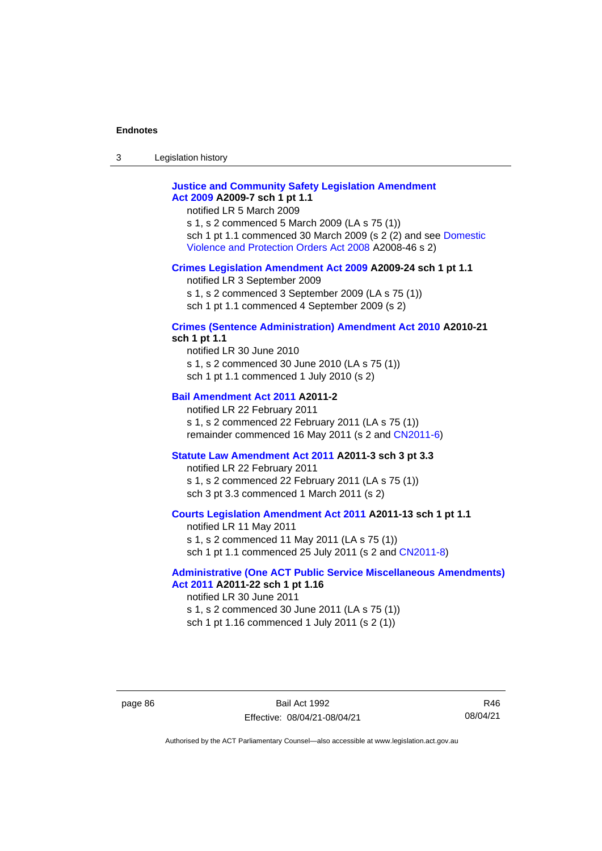3 Legislation history

#### **[Justice and Community Safety Legislation Amendment](http://www.legislation.act.gov.au/a/2009-7)  Act [2009](http://www.legislation.act.gov.au/a/2009-7) A2009-7 sch 1 pt 1.1**

notified LR 5 March 2009

s 1, s 2 commenced 5 March 2009 (LA s 75 (1)) sch 1 pt 1.1 commenced 30 March 2009 (s 2 (2) and see [Domestic](http://www.legislation.act.gov.au/a/2008-46)  [Violence and Protection Orders Act 2008](http://www.legislation.act.gov.au/a/2008-46) A2008-46 s 2)

#### **[Crimes Legislation Amendment Act 2009](http://www.legislation.act.gov.au/a/2009-24) A2009-24 sch 1 pt 1.1**

notified LR 3 September 2009

s 1, s 2 commenced 3 September 2009 (LA s 75 (1))

sch 1 pt 1.1 commenced 4 September 2009 (s 2)

### **[Crimes \(Sentence Administration\) Amendment Act 2010](http://www.legislation.act.gov.au/a/2010-21) A2010-21**

**sch 1 pt 1.1**

notified LR 30 June 2010 s 1, s 2 commenced 30 June 2010 (LA s 75 (1)) sch 1 pt 1.1 commenced 1 July 2010 (s 2)

#### **[Bail Amendment Act 2011](http://www.legislation.act.gov.au/a/2011-2) A2011-2**

notified LR 22 February 2011 s 1, s 2 commenced 22 February 2011 (LA s 75 (1)) remainder commenced 16 May 2011 (s 2 and [CN2011-6\)](http://www.legislation.act.gov.au/cn/2011-6/default.asp)

#### **[Statute Law Amendment Act 2011](http://www.legislation.act.gov.au/a/2011-3) A2011-3 sch 3 pt 3.3**

notified LR 22 February 2011 s 1, s 2 commenced 22 February 2011 (LA s 75 (1)) sch 3 pt 3.3 commenced 1 March 2011 (s 2)

#### **[Courts Legislation Amendment Act 2011](http://www.legislation.act.gov.au/a/2011-13) A2011-13 sch 1 pt 1.1**

notified LR 11 May 2011 s 1, s 2 commenced 11 May 2011 (LA s 75 (1)) sch 1 pt 1.1 commenced 25 July 2011 (s 2 and [CN2011-8\)](http://www.legislation.act.gov.au/cn/2011-8/default.asp)

#### **[Administrative \(One ACT Public Service Miscellaneous Amendments\)](http://www.legislation.act.gov.au/a/2011-22)  Act [2011](http://www.legislation.act.gov.au/a/2011-22) A2011-22 sch 1 pt 1.16**

notified LR 30 June 2011 s 1, s 2 commenced 30 June 2011 (LA s 75 (1)) sch 1 pt 1.16 commenced 1 July 2011 (s 2 (1))

page 86 Bail Act 1992 Effective: 08/04/21-08/04/21

R46 08/04/21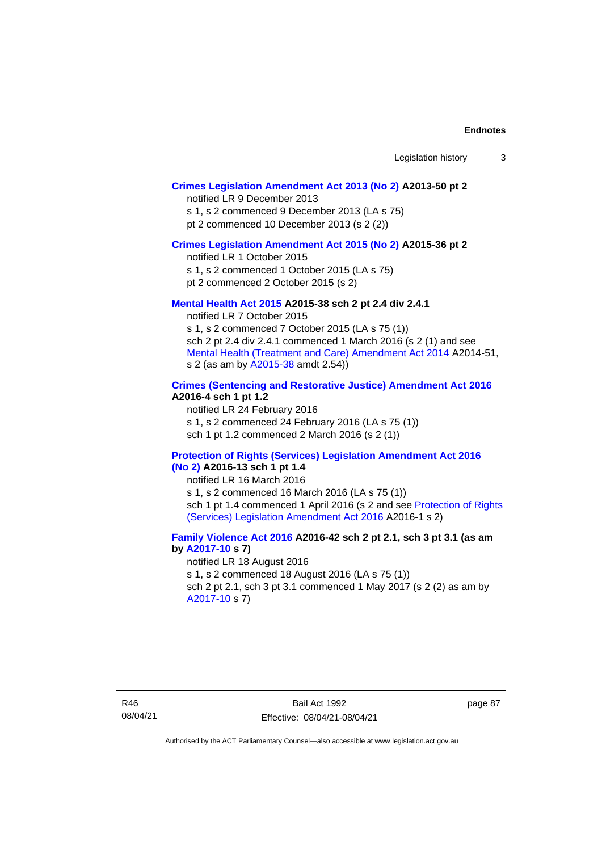#### **[Crimes Legislation Amendment Act 2013 \(No 2\)](http://www.legislation.act.gov.au/a/2013-50) A2013-50 pt 2**

notified LR 9 December 2013

s 1, s 2 commenced 9 December 2013 (LA s 75)

pt 2 commenced 10 December 2013 (s 2 (2))

#### **[Crimes Legislation Amendment Act 2015 \(No 2\)](http://www.legislation.act.gov.au/a/2015-36) A2015-36 pt 2**

notified LR 1 October 2015

s 1, s 2 commenced 1 October 2015 (LA s 75)

pt 2 commenced 2 October 2015 (s 2)

#### **[Mental Health Act 2015](http://www.legislation.act.gov.au/a/2015-38#history) A2015-38 sch 2 pt 2.4 div 2.4.1**

notified LR 7 October 2015 s 1, s 2 commenced 7 October 2015 (LA s 75 (1)) sch 2 pt 2.4 div 2.4.1 commenced 1 March 2016 (s 2 (1) and see [Mental Health \(Treatment and Care\) Amendment Act 2014](http://www.legislation.act.gov.au/a/2014-51/default.asp) A2014-51, s 2 (as am by [A2015-38](http://www.legislation.act.gov.au/a/2015-38) amdt 2.54))

#### **[Crimes \(Sentencing and Restorative Justice\) Amendment Act 2016](http://www.legislation.act.gov.au/a/2016-4/default.asp) A2016-4 sch 1 pt 1.2**

notified LR 24 February 2016 s 1, s 2 commenced 24 February 2016 (LA s 75 (1)) sch 1 pt 1.2 commenced 2 March 2016 (s 2 (1))

#### **[Protection of Rights \(Services\) Legislation Amendment Act 2016](http://www.legislation.act.gov.au/a/2016-13)  [\(No](http://www.legislation.act.gov.au/a/2016-13) 2) A2016-13 sch 1 pt 1.4**

notified LR 16 March 2016

s 1, s 2 commenced 16 March 2016 (LA s 75 (1)) sch 1 pt 1.4 commenced 1 April 2016 (s 2 and see [Protection of Rights](http://www.legislation.act.gov.au/a/2016-1/default.asp)  (Services) Legislation [Amendment Act 2016](http://www.legislation.act.gov.au/a/2016-1/default.asp) A2016-1 s 2)

#### **[Family Violence Act 2016](http://www.legislation.act.gov.au/a/2016-42#history) A2016-42 sch 2 pt 2.1, sch 3 pt 3.1 (as am by [A2017-10](http://www.legislation.act.gov.au/a/2017-10/default.asp) s 7)**

notified LR 18 August 2016 s 1, s 2 commenced 18 August 2016 (LA s 75 (1)) sch 2 pt 2.1, sch 3 pt 3.1 commenced 1 May 2017 (s 2 (2) as am by [A2017-10](http://www.legislation.act.gov.au/a/2017-10/default.asp) s 7)

page 87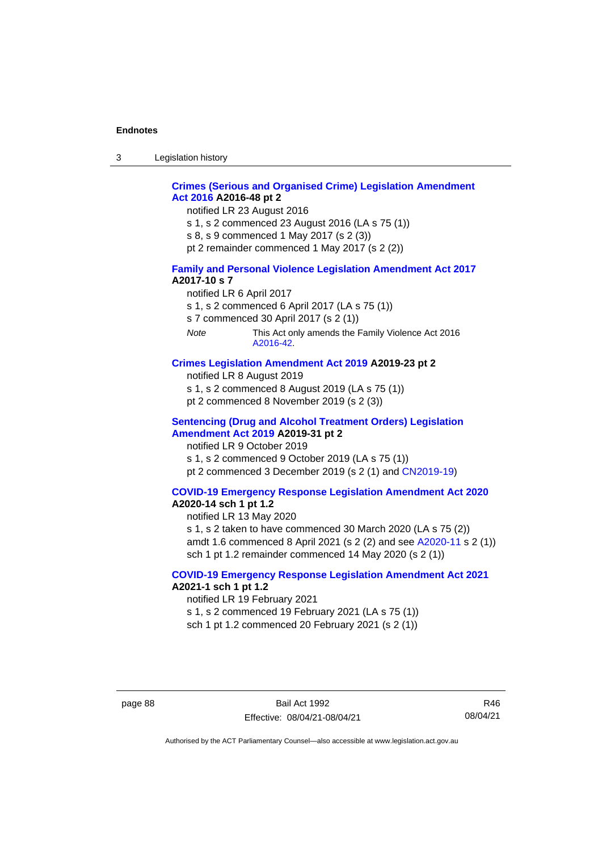3 Legislation history

#### **[Crimes \(Serious and Organised Crime\) Legislation Amendment](http://www.legislation.act.gov.au/a/2016-48/default.asp)  Act [2016](http://www.legislation.act.gov.au/a/2016-48/default.asp) A2016-48 pt 2**

notified LR 23 August 2016

- s 1, s 2 commenced 23 August 2016 (LA s 75 (1))
- s 8, s 9 commenced 1 May 2017 (s 2 (3))
- pt 2 remainder commenced 1 May 2017 (s 2 (2))

#### **[Family and Personal Violence Legislation Amendment Act 2017](http://www.legislation.act.gov.au/a/2017-10/default.asp) A2017-10 s 7**

- notified LR 6 April 2017
- s 1, s 2 commenced 6 April 2017 (LA s 75 (1))
- s 7 commenced 30 April 2017 (s 2 (1))
- *Note* This Act only amends the Family Violence Act 2016 [A2016-42.](http://www.legislation.act.gov.au/a/2016-42/default.asp)

#### **[Crimes Legislation Amendment Act 2019](http://www.legislation.act.gov.au/a/2019-23) A2019-23 pt 2**

- notified LR 8 August 2019
- s 1, s 2 commenced 8 August 2019 (LA s 75 (1))
- pt 2 commenced 8 November 2019 (s 2 (3))

#### **[Sentencing \(Drug and Alcohol Treatment Orders\) Legislation](http://www.legislation.act.gov.au/a/2019-31)  [Amendment Act 2019](http://www.legislation.act.gov.au/a/2019-31) A2019-31 pt 2**

notified LR 9 October 2019 s 1, s 2 commenced 9 October 2019 (LA s 75 (1)) pt 2 commenced 3 December 2019 (s 2 (1) and [CN2019-19\)](https://www.legislation.act.gov.au/cn/2019-19/)

#### **[COVID-19 Emergency Response Legislation Amendment Act 2020](http://www.legislation.act.gov.au/a/2020-14/)**

#### **A2020-14 sch 1 pt 1.2**

notified LR 13 May 2020

s 1, s 2 taken to have commenced 30 March 2020 (LA s 75 (2)) amdt 1.6 commenced 8 April 2021 (s 2 (2) and see [A2020-11](https://www.legislation.act.gov.au/a/2020-11/) s 2 (1)) sch 1 pt 1.2 remainder commenced 14 May 2020 (s 2 (1))

#### **[COVID-19 Emergency Response Legislation Amendment Act 2021](http://www.legislation.act.gov.au/a/2021-1/) A2021-1 sch 1 pt 1.2**

notified LR 19 February 2021

s 1, s 2 commenced 19 February 2021 (LA s 75 (1))

sch 1 pt 1.2 commenced 20 February 2021 (s 2 (1))

page 88 Bail Act 1992 Effective: 08/04/21-08/04/21

R46 08/04/21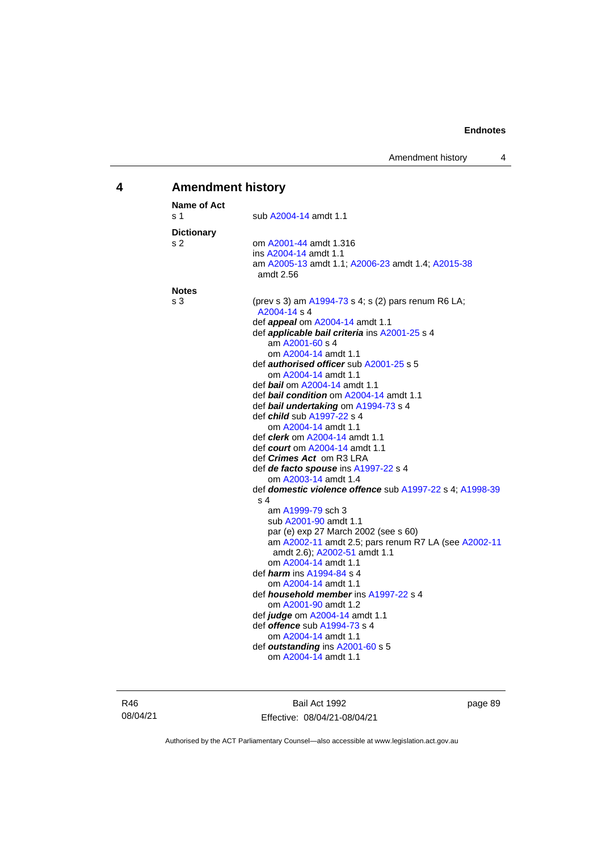### **4 Amendment history**

| Name of Act       |                                                                     |
|-------------------|---------------------------------------------------------------------|
| s 1               | sub A2004-14 amdt 1.1                                               |
| <b>Dictionary</b> |                                                                     |
| s 2               | om A2001-44 amdt 1.316                                              |
|                   | ins A2004-14 amdt 1.1                                               |
|                   | am A2005-13 amdt 1.1; A2006-23 amdt 1.4; A2015-38<br>amdt 2.56      |
| <b>Notes</b>      |                                                                     |
| s 3               | (prev s 3) am A1994-73 s 4; s (2) pars renum R6 LA;<br>A2004-14 s 4 |
|                   | def <b>appeal</b> om A2004-14 amdt 1.1                              |
|                   | def <i>applicable bail criteria</i> ins A2001-25 s 4                |
|                   | am A2001-60 s 4                                                     |
|                   | om A2004-14 amdt 1.1                                                |
|                   | def <i>authorised officer</i> sub A2001-25 s 5                      |
|                   | om A2004-14 amdt 1.1                                                |
|                   | def <i>bail</i> om A2004-14 amdt 1.1                                |
|                   | def <i>bail condition</i> om A2004-14 amdt 1.1                      |
|                   | def bail undertaking om A1994-73 s 4                                |
|                   | def <i>child</i> sub A1997-22 s 4<br>om A2004-14 amdt 1.1           |
|                   | def <i>clerk</i> om A2004-14 amdt 1.1                               |
|                   | def <i>court</i> om A2004-14 amdt 1.1                               |
|                   | def <i>Crimes Act</i> om R3 LRA                                     |
|                   | def de facto spouse ins A1997-22 s 4                                |
|                   | om A2003-14 amdt 1.4                                                |
|                   | def domestic violence offence sub A1997-22 s 4; A1998-39            |
|                   | s 4                                                                 |
|                   | am A1999-79 sch 3                                                   |
|                   | sub A2001-90 amdt 1.1                                               |
|                   | par (e) exp 27 March 2002 (see s 60)                                |
|                   | am A2002-11 amdt 2.5; pars renum R7 LA (see A2002-11                |
|                   | amdt 2.6); A2002-51 amdt 1.1                                        |
|                   | om A2004-14 amdt 1.1                                                |
|                   | def <i><b>harm</b></i> ins A1994-84 s 4                             |
|                   | om A2004-14 amdt 1.1                                                |
|                   | def <b><i>household member</i></b> ins A1997-22 s 4                 |
|                   | om A2001-90 amdt 1.2                                                |
|                   | def <i>judge</i> om A2004-14 amdt 1.1                               |
|                   | def <b><i>offence</i></b> sub A1994-73 s 4                          |
|                   | om A2004-14 amdt 1.1                                                |
|                   | def outstanding ins A2001-60 s 5<br>om A2004-14 amdt 1.1            |
|                   |                                                                     |

R46 08/04/21

Bail Act 1992 Effective: 08/04/21-08/04/21 page 89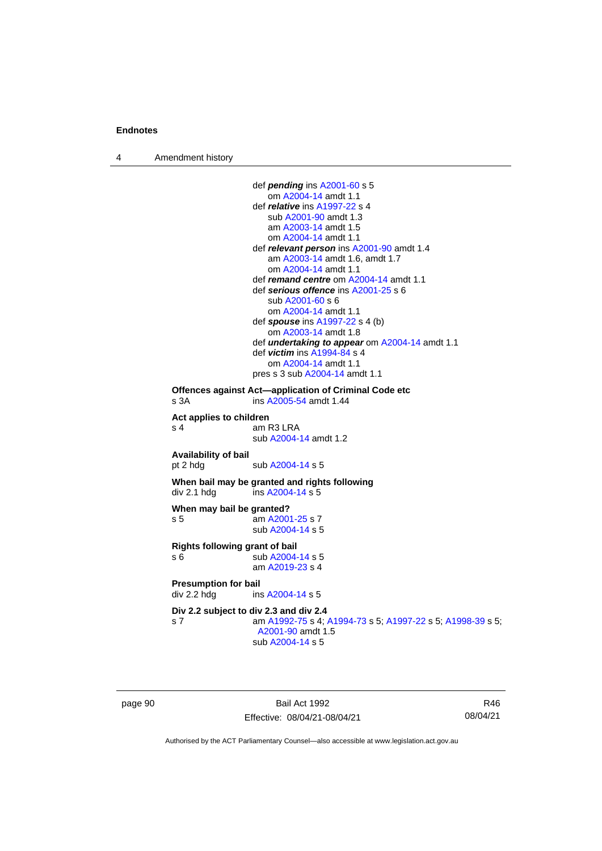4 Amendment history

```
def pending ins A2001-60 s 5
                    om A2004-14 amdt 1.1
                 def relative ins A1997-22 s 4
                    sub A2001-90 amdt 1.3
                    am A2003-14 amdt 1.5
                    om A2004-14 amdt 1.1
                 def relevant person ins A2001-90 amdt 1.4
                    am A2003-14 amdt 1.6, amdt 1.7
                    om A2004-14 amdt 1.1
                 def remand centre om A2004-14 amdt 1.1
                 def serious offence ins A2001-25 s 6
                    sub A2001-60 s 6
                    om A2004-14 amdt 1.1
                 def spouse ins A1997-22 s 4 (b)
                    om A2003-14 amdt 1.8
                 def undertaking to appear om A2004-14 amdt 1.1
                 def victim ins A1994-84 s 4
                    om A2004-14 amdt 1.1
                 pres s 3 sub A2004-14 amdt 1.1
Offences against Act—application of Criminal Code etc
s 3A  A2005-54 amdt 1.44
Act applies to children
s 4 am R3 LRA
                 sub A2004-14 amdt 1.2
Availability of bail
 A2004-14 s 5
When bail may be granted and rights following
div 2.1 hdg ins A2004-14 s 5When may bail be granted?
s 5 am A2001-25 s 7
                 sub A2004-14 s 5
Rights following grant of bail
s 6 sub A2004-14 s 5
                 am A2019-23 s 4
Presumption for bail<br>div 2.2 hdg ins
                  A2004-14 s 5
Div 2.2 subject to div 2.3 and div 2.4
s 7 am A1992-75 s 4; A1994-73 s 5; A1997-22 s 5; A1998-39 s 5; 
                  A2001-90 amdt 1.5
                 sub A2004-14 s 5
```
page 90 Bail Act 1992 Effective: 08/04/21-08/04/21

R46 08/04/21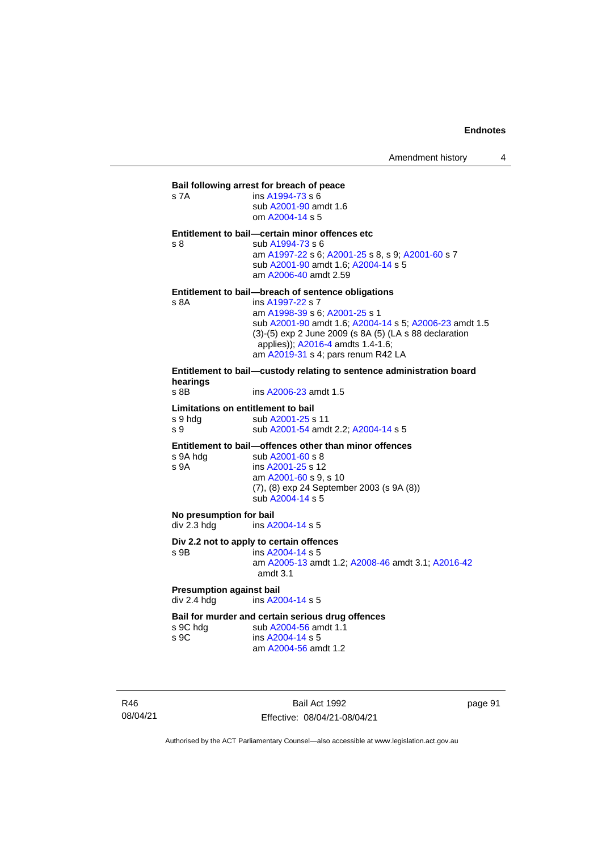| s 7A                                                                              | Bail following arrest for breach of peace<br>ins A1994-73 s 6<br>sub A2001-90 amdt 1.6                                                                                                                                                           |  |  |  |  |
|-----------------------------------------------------------------------------------|--------------------------------------------------------------------------------------------------------------------------------------------------------------------------------------------------------------------------------------------------|--|--|--|--|
|                                                                                   | om A2004-14 s 5                                                                                                                                                                                                                                  |  |  |  |  |
| s <sub>8</sub>                                                                    | Entitlement to bail-certain minor offences etc<br>sub A1994-73 s 6<br>am A1997-22 s 6; A2001-25 s 8, s 9; A2001-60 s 7<br>sub A2001-90 amdt 1.6; A2004-14 s 5<br>am A2006-40 amdt 2.59                                                           |  |  |  |  |
| Entitlement to bail—breach of sentence obligations                                |                                                                                                                                                                                                                                                  |  |  |  |  |
| s 8A                                                                              | ins A1997-22 s 7<br>am A1998-39 s 6; A2001-25 s 1<br>sub A2001-90 amdt 1.6; A2004-14 s 5; A2006-23 amdt 1.5<br>(3)-(5) exp 2 June 2009 (s 8A (5) (LA s 88 declaration<br>applies)); A2016-4 amdts 1.4-1.6;<br>am A2019-31 s 4; pars renum R42 LA |  |  |  |  |
| Entitlement to bail-custody relating to sentence administration board<br>hearings |                                                                                                                                                                                                                                                  |  |  |  |  |
| $s$ 8B                                                                            | ins A2006-23 amdt 1.5                                                                                                                                                                                                                            |  |  |  |  |
| Limitations on entitlement to bail                                                |                                                                                                                                                                                                                                                  |  |  |  |  |
| s 9 hdg                                                                           | sub A2001-25 s 11                                                                                                                                                                                                                                |  |  |  |  |
| s 9                                                                               | sub A2001-54 amdt 2.2; A2004-14 s 5                                                                                                                                                                                                              |  |  |  |  |
|                                                                                   | Entitlement to bail-offences other than minor offences                                                                                                                                                                                           |  |  |  |  |
| s 9A hdg<br>s 9A                                                                  | sub A2001-60 s 8<br>ins A2001-25 s 12                                                                                                                                                                                                            |  |  |  |  |
|                                                                                   | am A2001-60 s 9, s 10                                                                                                                                                                                                                            |  |  |  |  |
|                                                                                   | $(7)$ $(0)$ and $(1)$ Contains 2000 (s 0 $(0)$ )                                                                                                                                                                                                 |  |  |  |  |

(7), (8) exp 24 September 2003 (s 9A (8))

sub [A2004-14](http://www.legislation.act.gov.au/a/2004-14) s 5

**No presumption for bail**<br>div 2.3 hdg ins A2

ins [A2004-14](http://www.legislation.act.gov.au/a/2004-14) s 5

#### **Div 2.2 not to apply to certain offences**

s 9B ins [A2004-14](http://www.legislation.act.gov.au/a/2004-14) s 5

am [A2005-13](http://www.legislation.act.gov.au/a/2005-13) amdt 1.2[; A2008-46](http://www.legislation.act.gov.au/a/2008-46) amdt 3.1; [A2016-42](http://www.legislation.act.gov.au/a/2016-42/default.asp) amdt 3.1

# **Presumption against bail**<br>div 2.4 hdg ins A20

ins [A2004-14](http://www.legislation.act.gov.au/a/2004-14) s 5

# **Bail for murder and certain serious drug offences**<br>s 9C hdg sub A2004-56 amdt 1.1

s 9C hdg sub [A2004-56](http://www.legislation.act.gov.au/a/2004-56) amdt 1.1<br>s 9C ins A2004-14 s 5 ins [A2004-14](http://www.legislation.act.gov.au/a/2004-14) s 5 am [A2004-56](http://www.legislation.act.gov.au/a/2004-56) amdt 1.2

R46 08/04/21

Bail Act 1992 Effective: 08/04/21-08/04/21 page 91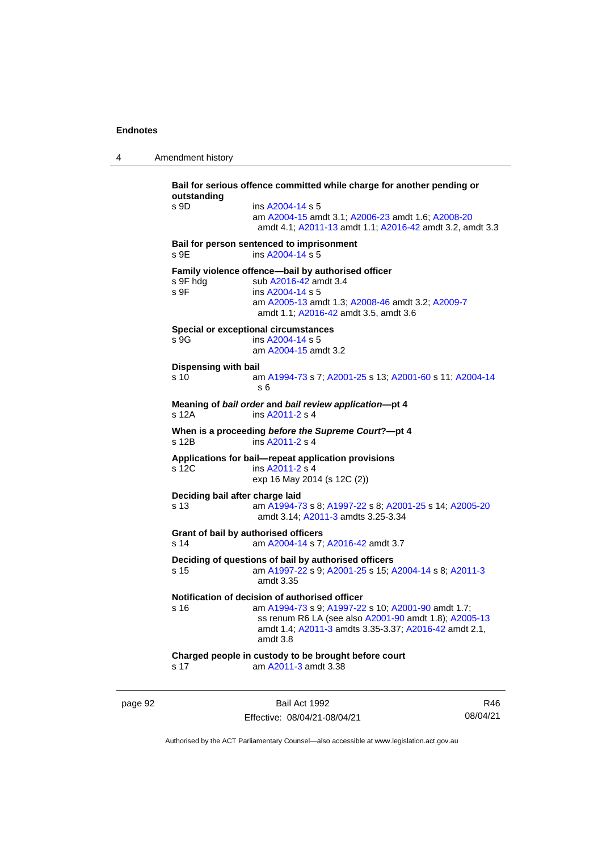4 Amendment history

```
Bail for serious offence committed while charge for another pending or 
outstanding
s 9D ins A2004-14 s 5
                 am A2004-15 amdt 3.1; A2006-23 amdt 1.6; A2008-20
                  amdt 4.1; A2011-13 amdt 1.1; A2016-42 amdt 3.2, amdt 3.3
Bail for person sentenced to imprisonment
 A2004-14 s 5
Family violence offence—bail by authorised officer<br>s 9F hdg sub A2016-42 amdt 3.4
                  A2016-42 amdt 3.4
 A2004-14 s 5
                 am A2005-13 amdt 1.3; A2008-46 amdt 3.2; A2009-7
                  amdt 1.1; A2016-42 amdt 3.5, amdt 3.6
Special or exceptional circumstances
 A2004-14 s 5
                 am A2004-15 amdt 3.2
Dispensing with bail
s 10 am A1994-73 s 7; A2001-25 s 13; A2001-60 s 11; A2004-14
                  s 6
Meaning of bail order and bail review application—pt 4
                  A2011-2 s 4
When is a proceeding before the Supreme Court?—pt 4
s 12B ins A2011-2 s 4
Applications for bail—repeat application provisions
                  A2011-2 s 4
                 exp 16 May 2014 (s 12C (2))
Deciding bail after charge laid
s 13 am A1994-73 s 8; A1997-22 s 8; A2001-25 s 14; A2005-20
                  amdt 3.14; A2011-3 amdts 3.25-3.34
Grant of bail by authorised officers
s 14 am A2004-14 s 7; A2016-42 amdt 3.7
Deciding of questions of bail by authorised officers
s 15 am A1997-22 s 9; A2001-25 s 15; A2004-14 s 8; A2011-3
                  amdt 3.35
Notification of decision of authorised officer<br>s 16 am A1994-73 s 9: A1997-22
                  A1994-73; A1997-22 A2001-90 amdt 1.7;
                  ss renum R6 LA (see also A2001-90 amdt 1.8); A2005-13
                  amdt 1.4; A2011-3 amdts 3.35-3.37; A2016-42 amdt 2.1, 
                  amdt 3.8
Charged people in custody to be brought before court
s 17 am A2011-3 amdt 3.38
```
page 92 Bail Act 1992 Effective: 08/04/21-08/04/21

R46 08/04/21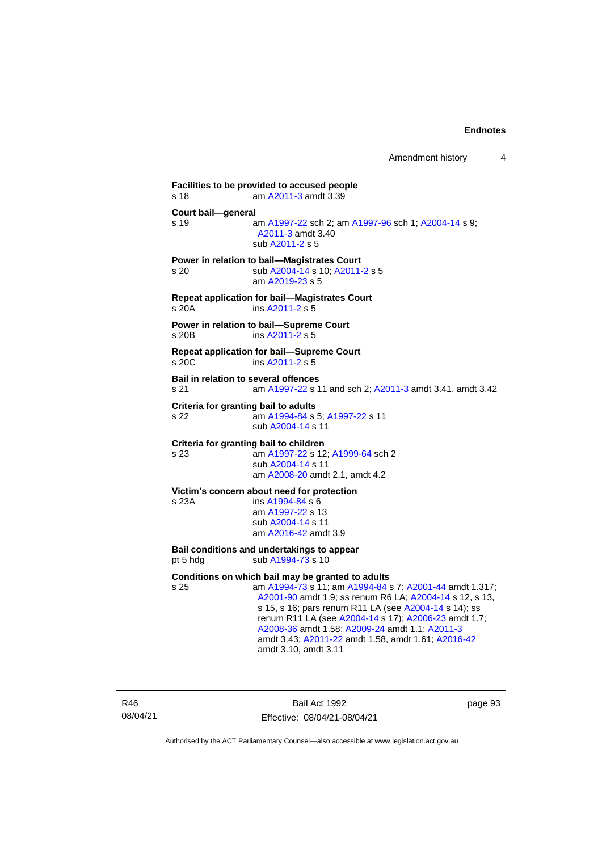**Facilities to be provided to accused people** s 18 am [A2011-3](http://www.legislation.act.gov.au/a/2011-3) amdt 3.39 **Court bail—general** s 19 **am [A1997-22](http://www.legislation.act.gov.au/a/1997-22) sch 2; am [A1997-96](http://www.legislation.act.gov.au/a/1997-96) sch 1; [A2004-14](http://www.legislation.act.gov.au/a/2004-14) s 9;** [A2011-3](http://www.legislation.act.gov.au/a/2011-3) amdt 3.40 sub [A2011-2](http://www.legislation.act.gov.au/a/2011-2) s 5 **Power in relation to bail—Magistrates Court** s 20 sub [A2004-14](http://www.legislation.act.gov.au/a/2004-14) s 10[; A2011-2](http://www.legislation.act.gov.au/a/2011-2) s 5 am [A2019-23](http://www.legislation.act.gov.au/a/2019-23/default.asp) s 5 **Repeat application for bail—Magistrates Court** s 20A ins [A2011-2](http://www.legislation.act.gov.au/a/2011-2) s 5 **Power in relation to bail—Supreme Court** s 20B ins [A2011-2](http://www.legislation.act.gov.au/a/2011-2) s 5 **Repeat application for bail—Supreme Court** s 20C ins [A2011-2](http://www.legislation.act.gov.au/a/2011-2) s 5 **Bail in relation to several offences** s 21 am [A1997-22](http://www.legislation.act.gov.au/a/1997-22) s 11 and sch 2; [A2011-3](http://www.legislation.act.gov.au/a/2011-3) amdt 3.41, amdt 3.42 **Criteria for granting bail to adults** s 22 am [A1994-84](http://www.legislation.act.gov.au/a/1994-84) s 5[; A1997-22](http://www.legislation.act.gov.au/a/1997-22) s 11 sub [A2004-14](http://www.legislation.act.gov.au/a/2004-14) s 11 **Criteria for granting bail to children** s 23 am [A1997-22](http://www.legislation.act.gov.au/a/1997-22) s 12[; A1999-64](http://www.legislation.act.gov.au/a/1999-64) sch 2 sub [A2004-14](http://www.legislation.act.gov.au/a/2004-14) s 11 am [A2008-20](http://www.legislation.act.gov.au/a/2008-20) amdt 2.1, amdt 4.2 **Victim's concern about need for protection** s 23A ins [A1994-84](http://www.legislation.act.gov.au/a/1994-84) s 6 am [A1997-22](http://www.legislation.act.gov.au/a/1997-22) s 13 sub [A2004-14](http://www.legislation.act.gov.au/a/2004-14) s 11 am [A2016-42](http://www.legislation.act.gov.au/a/2016-42/default.asp) amdt 3.9 **Bail conditions and undertakings to appear** pt 5 hdg sub  $A1994-73$  s 10 **Conditions on which bail may be granted to adults** s 25 am [A1994-73](http://www.legislation.act.gov.au/a/1994-73) s 11; a[m A1994-84](http://www.legislation.act.gov.au/a/1994-84) s 7; [A2001-44](http://www.legislation.act.gov.au/a/2001-44) amdt 1.317; [A2001-90](http://www.legislation.act.gov.au/a/2001-90) amdt 1.9; ss renum R6 LA; [A2004-14](http://www.legislation.act.gov.au/a/2004-14) s 12, s 13, s 15, s 16; pars renum R11 LA (see [A2004-14](http://www.legislation.act.gov.au/a/2004-14) s 14); ss renum R11 LA (see [A2004-14](http://www.legislation.act.gov.au/a/2004-14) s 17); [A2006-23](http://www.legislation.act.gov.au/a/2006-23) amdt 1.7; [A2008-36](http://www.legislation.act.gov.au/a/2008-36) amdt 1.58[; A2009-24](http://www.legislation.act.gov.au/a/2009-24) amdt 1.1; [A2011-3](http://www.legislation.act.gov.au/a/2011-3) amdt 3.43; [A2011-22](http://www.legislation.act.gov.au/a/2011-22) amdt 1.58, amdt 1.61[; A2016-42](http://www.legislation.act.gov.au/a/2016-42/default.asp)

amdt 3.10, amdt 3.11

R46 08/04/21

Bail Act 1992 Effective: 08/04/21-08/04/21 page 93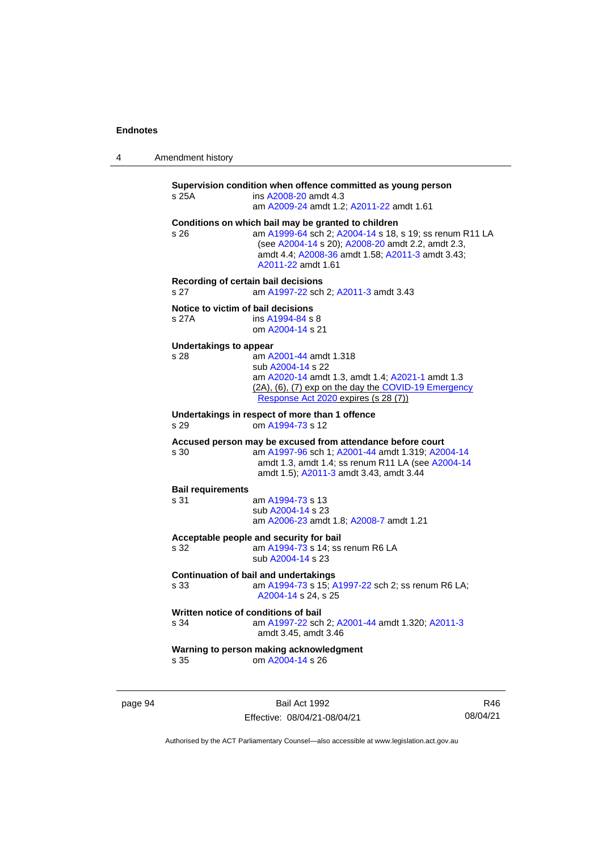| 4 | Amendment history |
|---|-------------------|
|---|-------------------|

**Supervision condition when offence committed as young person** s 25A ins [A2008-20](http://www.legislation.act.gov.au/a/2008-20) amdt 4.3 am [A2009-24](http://www.legislation.act.gov.au/a/2009-24) amdt 1.2[; A2011-22](http://www.legislation.act.gov.au/a/2011-22) amdt 1.61 **Conditions on which bail may be granted to children** s 26 am [A1999-64](http://www.legislation.act.gov.au/a/1999-64) sch 2; [A2004-14](http://www.legislation.act.gov.au/a/2004-14) s 18, s 19; ss renum R11 LA (see [A2004-14](http://www.legislation.act.gov.au/a/2004-14) s 20)[; A2008-20](http://www.legislation.act.gov.au/a/2008-20) amdt 2.2, amdt 2.3, amdt 4.4; [A2008-36](http://www.legislation.act.gov.au/a/2008-36) amdt 1.58[; A2011-3](http://www.legislation.act.gov.au/a/2011-3) amdt 3.43; [A2011-22](http://www.legislation.act.gov.au/a/2011-22) amdt 1.61 **Recording of certain bail decisions** s 27 am [A1997-22](http://www.legislation.act.gov.au/a/1997-22) sch 2; [A2011-3](http://www.legislation.act.gov.au/a/2011-3) amdt 3.43 **Notice to victim of bail decisions** s 27A ins [A1994-84](http://www.legislation.act.gov.au/a/1994-84) s 8 om [A2004-14](http://www.legislation.act.gov.au/a/2004-14) s 21 **Undertakings to appear** s 28 **am [A2001-44](http://www.legislation.act.gov.au/a/2001-44) amdt 1.318** sub [A2004-14](http://www.legislation.act.gov.au/a/2004-14) s 22 am [A2020-14](http://www.legislation.act.gov.au/a/2020-14/) amdt 1.3, amdt 1.4[; A2021-1](http://www.legislation.act.gov.au/a/2021-1/) amdt 1.3 (2A), (6), (7) exp on the day the [COVID-19 Emergency](http://www.legislation.act.gov.au/a/2020-11)  [Response Act 2020](http://www.legislation.act.gov.au/a/2020-11) expires (s 28 (7)) **Undertakings in respect of more than 1 offence** s 29 om [A1994-73](http://www.legislation.act.gov.au/a/1994-73) s 12 **Accused person may be excused from attendance before court** s 30 am [A1997-96](http://www.legislation.act.gov.au/a/1997-96) sch 1; [A2001-44](http://www.legislation.act.gov.au/a/2001-44) amdt 1.319[; A2004-14](http://www.legislation.act.gov.au/a/2004-14) amdt 1.3, amdt 1.4; ss renum R11 LA (see [A2004-14](http://www.legislation.act.gov.au/a/2004-14) amdt 1.5); [A2011-3](http://www.legislation.act.gov.au/a/2011-3) amdt 3.43, amdt 3.44 **Bail requirements** s 31 am [A1994-73](http://www.legislation.act.gov.au/a/1994-73) s 13 sub [A2004-14](http://www.legislation.act.gov.au/a/2004-14) s 23 am [A2006-23](http://www.legislation.act.gov.au/a/2006-23) amdt 1.8[; A2008-7](http://www.legislation.act.gov.au/a/2008-7) amdt 1.21 **Acceptable people and security for bail** am  $A1994-73$  s 14; ss renum R6 LA sub [A2004-14](http://www.legislation.act.gov.au/a/2004-14) s 23 **Continuation of bail and undertakings** s 33 am [A1994-73](http://www.legislation.act.gov.au/a/1994-73) s 15[; A1997-22](http://www.legislation.act.gov.au/a/1997-22) sch 2; ss renum R6 LA; [A2004-14](http://www.legislation.act.gov.au/a/2004-14) s 24, s 25 **Written notice of conditions of bail** s 34 am [A1997-22](http://www.legislation.act.gov.au/a/1997-22) sch 2; [A2001-44](http://www.legislation.act.gov.au/a/2001-44) amdt 1.320[; A2011-3](http://www.legislation.act.gov.au/a/2011-3) amdt 3.45, amdt 3.46 **Warning to person making acknowledgment** s 35 om [A2004-14](http://www.legislation.act.gov.au/a/2004-14) s 26

page 94 Bail Act 1992 Effective: 08/04/21-08/04/21

R46 08/04/21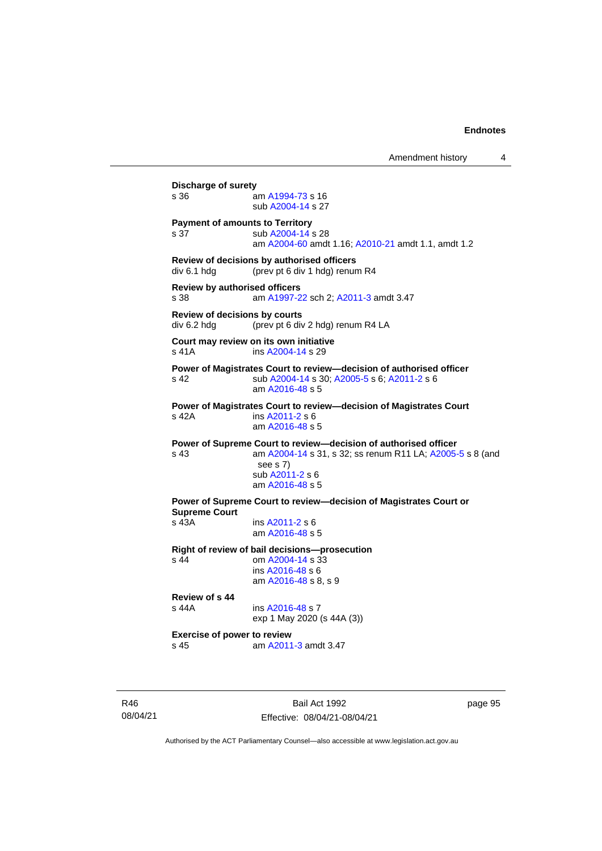Amendment history 4 **Discharge of surety** s 36 am [A1994-73](http://www.legislation.act.gov.au/a/1994-73) s 16 sub [A2004-14](http://www.legislation.act.gov.au/a/2004-14) s 27 **Payment of amounts to Territory** s 37 sub [A2004-14](http://www.legislation.act.gov.au/a/2004-14) s 28 am [A2004-60](http://www.legislation.act.gov.au/a/2004-60) amdt 1.16[; A2010-21](http://www.legislation.act.gov.au/a/2010-21) amdt 1.1, amdt 1.2 **Review of decisions by authorised officers** div 6.1 hdg (prev pt 6 div 1 hdg) renum R4 **Review by authorised officers** s 38 am [A1997-22](http://www.legislation.act.gov.au/a/1997-22) sch 2; [A2011-3](http://www.legislation.act.gov.au/a/2011-3) amdt 3.47 **Review of decisions by courts** div 6.2 hdg (prev pt 6 div 2 hdg) renum R4 LA **Court may review on its own initiative** s 41A **ins [A2004-14](http://www.legislation.act.gov.au/a/2004-14) s 29 Power of Magistrates Court to review—decision of authorised officer** s 42 sub [A2004-14](http://www.legislation.act.gov.au/a/2004-14) s 30[; A2005-5](http://www.legislation.act.gov.au/a/2005-5) s 6; [A2011-2](http://www.legislation.act.gov.au/a/2011-2) s 6 am [A2016-48](http://www.legislation.act.gov.au/a/2016-48/default.asp) s 5 **Power of Magistrates Court to review—decision of Magistrates Court** s 42A ins [A2011-2](http://www.legislation.act.gov.au/a/2011-2) s 6 am [A2016-48](http://www.legislation.act.gov.au/a/2016-48/default.asp) s 5 **Power of Supreme Court to review—decision of authorised officer** s 43 am [A2004-14](http://www.legislation.act.gov.au/a/2004-14) s 31, s 32; ss renum R11 LA; [A2005-5](http://www.legislation.act.gov.au/a/2005-5) s 8 (and see s 7) sub [A2011-2](http://www.legislation.act.gov.au/a/2011-2) s 6 am [A2016-48](http://www.legislation.act.gov.au/a/2016-48/default.asp) s 5 **Power of Supreme Court to review—decision of Magistrates Court or Supreme Court** s 43A ins [A2011-2](http://www.legislation.act.gov.au/a/2011-2) s 6 am [A2016-48](http://www.legislation.act.gov.au/a/2016-48/default.asp) s 5 **Right of review of bail decisions—prosecution** om  $A2004 - 14$  s  $33$ ins [A2016-48](http://www.legislation.act.gov.au/a/2016-48/default.asp) s 6 am [A2016-48](http://www.legislation.act.gov.au/a/2016-48/default.asp) s 8, s 9 **Review of s 44** ins [A2016-48](http://www.legislation.act.gov.au/a/2016-48/default.asp) s 7 exp 1 May 2020 (s 44A (3)) **Exercise of power to review** s 45 am [A2011-3](http://www.legislation.act.gov.au/a/2011-3) amdt 3.47

R46 08/04/21

Bail Act 1992 Effective: 08/04/21-08/04/21 page 95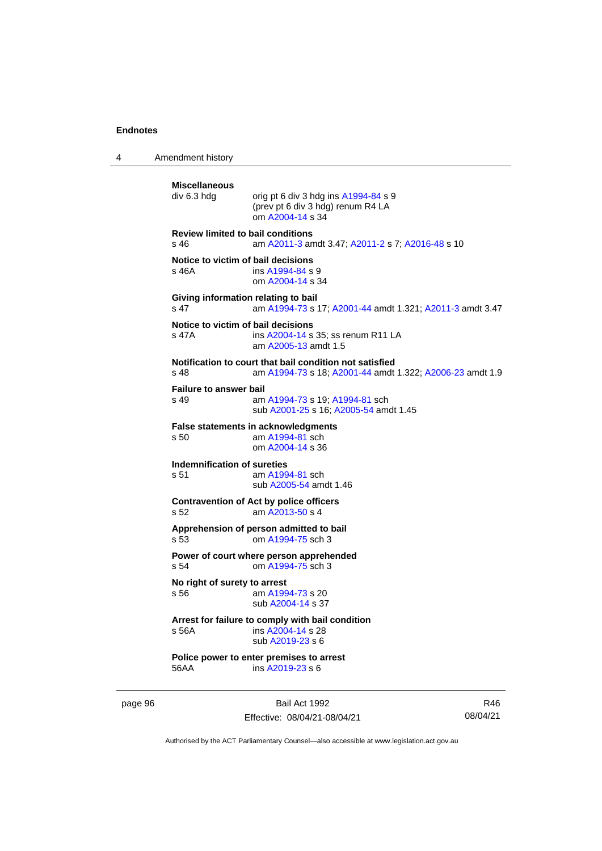4 Amendment history

```
Miscellaneous
                 orig pt 6 div 3 hdg ins A1994-84 s 9
                 (prev pt 6 div 3 hdg) renum R4 LA
                 om A2004-14 s 34
Review limited to bail conditions
s 46 am A2011-3 amdt 3.47; A2011-2 s 7; A2016-48 s 10
Notice to victim of bail decisions
s 46A  A1994-84 s 9
                om A2004-14 s 34
Giving information relating to bail
s 47 am A1994-73 s 17; A2001-44 amdt 1.321; A2011-3 amdt 3.47
Notice to victim of bail decisions
s 47A ins A2004-14 s 35; ss renum R11 LA
                 am A2005-13 amdt 1.5
Notification to court that bail condition not satisfied
s 48 am A1994-73 s 18; A2001-44 amdt 1.322; A2006-23 amdt 1.9
Failure to answer bail
s 49 am A1994-73 s 19; A1994-81 sch
                sub A2001-25 s 16; A2005-54 amdt 1.45
False statements in acknowledgments<br>s 50 am A1994-81 sch
                 am A1994-81 sch
                 om A2004-14 s 36
Indemnification of sureties
s 51 am A1994-81 sch
                sub A2005-54 amdt 1.46
Contravention of Act by police officers
s 52 am A2013-50 s 4
Apprehension of person admitted to bail
s 53 om A1994-75 sch 3
Power of court where person apprehended
s 54 om A1994-75 sch 3
No right of surety to arrest<br>s 56 am A199
                  A1994-73 s 20
                 sub A2004-14 s 37
Arrest for failure to comply with bail condition
s 56A ins A2004-14 s 28
                 sub A2019-23 s 6
Police power to enter premises to arrest
56AA ins A2019-23 s 6
```
page 96 Bail Act 1992 Effective: 08/04/21-08/04/21

R46 08/04/21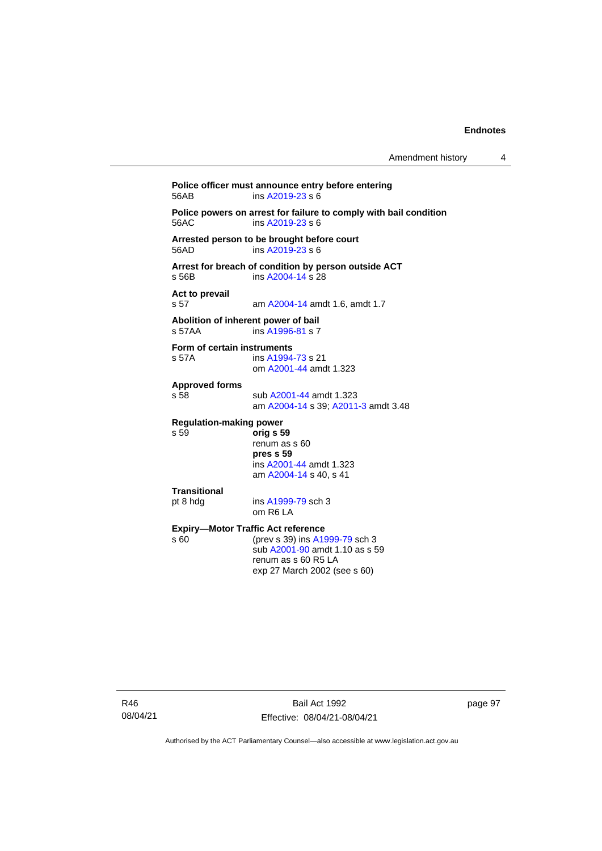**Police officer must announce entry before entering**<br>56AB **post ins A2019-23** s 6  $ins$  [A2019-23](http://www.legislation.act.gov.au/a/2019-23/default.asp) s 6 **Police powers on arrest for failure to comply with bail condition** 56AC ins [A2019-23](http://www.legislation.act.gov.au/a/2019-23/default.asp) s 6 **Arrested person to be brought before court** ins  $A2019-23 s 6$ **Arrest for breach of condition by person outside ACT** s 56B ins [A2004-14](http://www.legislation.act.gov.au/a/2004-14) s 28 **Act to prevail** s 57 am [A2004-14](http://www.legislation.act.gov.au/a/2004-14) amdt 1.6, amdt 1.7 **Abolition of inherent power of bail** s 57AA ins [A1996-81](http://www.legislation.act.gov.au/a/1996-81) s 7 **Form of certain instruments**<br>s 57A **ins A1994** ins [A1994-73](http://www.legislation.act.gov.au/a/1994-73) s 21 om [A2001-44](http://www.legislation.act.gov.au/a/2001-44) amdt 1.323 **Approved forms** s 58 sub [A2001-44](http://www.legislation.act.gov.au/a/2001-44) amdt 1.323 am [A2004-14](http://www.legislation.act.gov.au/a/2004-14) s 39[; A2011-3](http://www.legislation.act.gov.au/a/2011-3) amdt 3.48 **Regulation-making power** s 59 **orig s 59** renum as s 60 **pres s 59** ins [A2001-44](http://www.legislation.act.gov.au/a/2001-44) amdt 1.323 am [A2004-14](http://www.legislation.act.gov.au/a/2004-14) s 40, s 41 **Transitional** pt 8 hdg ins [A1999-79](http://www.legislation.act.gov.au/a/1999-79) sch 3 om R6 LA **Expiry—Motor Traffic Act reference**<br>s 60 (prev s 39) ins A19 (prev s 39) in[s A1999-79](http://www.legislation.act.gov.au/a/1999-79) sch 3 sub [A2001-90](http://www.legislation.act.gov.au/a/2001-90) amdt 1.10 as s 59 renum as s 60 R5 LA exp 27 March 2002 (see s 60)

page 97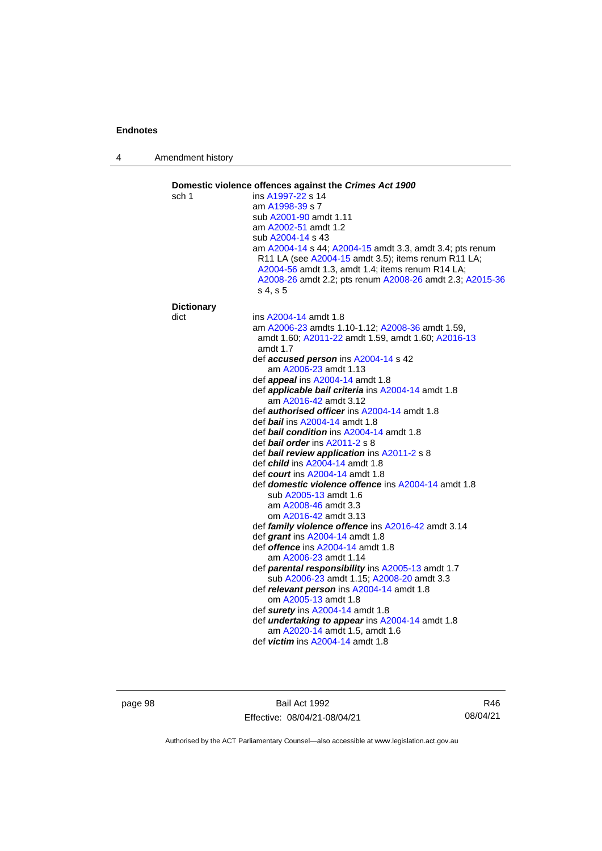4 Amendment history

| sch 1             | Domestic violence offences against the Crimes Act 1900<br>ins A1997-22 s 14                                                                                                                                                                 |
|-------------------|---------------------------------------------------------------------------------------------------------------------------------------------------------------------------------------------------------------------------------------------|
|                   | am A1998-39 s 7                                                                                                                                                                                                                             |
|                   | sub A2001-90 amdt 1.11                                                                                                                                                                                                                      |
|                   | am A2002-51 amdt 1.2                                                                                                                                                                                                                        |
|                   | sub A2004-14 s 43                                                                                                                                                                                                                           |
|                   | am A2004-14 s 44; A2004-15 amdt 3.3, amdt 3.4; pts renum<br>R11 LA (see A2004-15 amdt 3.5); items renum R11 LA;<br>A2004-56 amdt 1.3, amdt 1.4; items renum R14 LA;<br>A2008-26 amdt 2.2; pts renum A2008-26 amdt 2.3; A2015-36<br>s 4, s 5 |
| <b>Dictionary</b> |                                                                                                                                                                                                                                             |
| dict              | ins A2004-14 amdt 1.8                                                                                                                                                                                                                       |
|                   | am A2006-23 amdts 1.10-1.12; A2008-36 amdt 1.59,<br>amdt 1.60; A2011-22 amdt 1.59, amdt 1.60; A2016-13<br>amdt 1.7                                                                                                                          |
|                   | def accused person ins A2004-14 s 42                                                                                                                                                                                                        |
|                   | am A2006-23 amdt 1.13                                                                                                                                                                                                                       |
|                   | def appeal ins A2004-14 amdt 1.8                                                                                                                                                                                                            |
|                   | def applicable bail criteria ins A2004-14 amdt 1.8                                                                                                                                                                                          |
|                   | am A2016-42 amdt 3.12                                                                                                                                                                                                                       |
|                   | def <b>authorised officer</b> ins A2004-14 amdt 1.8                                                                                                                                                                                         |
|                   | def <b>bail</b> ins A2004-14 amdt 1.8                                                                                                                                                                                                       |
|                   | def bail condition ins A2004-14 amdt 1.8<br>def <b>bail order</b> ins $A2011-2 s 8$                                                                                                                                                         |
|                   | def bail review application ins A2011-2 s 8                                                                                                                                                                                                 |
|                   | def <i>child</i> ins A2004-14 amdt 1.8                                                                                                                                                                                                      |
|                   | def <i>court</i> ins A2004-14 amdt 1.8                                                                                                                                                                                                      |
|                   | def <b>domestic violence offence</b> ins A2004-14 amdt 1.8                                                                                                                                                                                  |
|                   | sub A2005-13 amdt 1.6                                                                                                                                                                                                                       |
|                   | am A2008-46 amdt 3.3                                                                                                                                                                                                                        |
|                   | om A2016-42 amdt 3.13                                                                                                                                                                                                                       |
|                   | def family violence offence ins A2016-42 amdt 3.14                                                                                                                                                                                          |
|                   | def grant ins A2004-14 amdt 1.8<br>def <i>offence</i> ins A2004-14 amdt 1.8                                                                                                                                                                 |
|                   | am A2006-23 amdt 1.14                                                                                                                                                                                                                       |
|                   | def parental responsibility ins A2005-13 amdt 1.7                                                                                                                                                                                           |
|                   | sub A2006-23 amdt 1.15; A2008-20 amdt 3.3                                                                                                                                                                                                   |
|                   | def relevant person ins A2004-14 amdt 1.8                                                                                                                                                                                                   |
|                   | om A2005-13 amdt 1.8                                                                                                                                                                                                                        |
|                   | def surety ins A2004-14 amdt 1.8                                                                                                                                                                                                            |
|                   | def <i>undertaking to appear</i> ins A2004-14 amdt 1.8                                                                                                                                                                                      |
|                   | am A2020-14 amdt 1.5, amdt 1.6                                                                                                                                                                                                              |
|                   | def victim ins A2004-14 amdt 1.8                                                                                                                                                                                                            |

page 98 Bail Act 1992 Effective: 08/04/21-08/04/21

R46 08/04/21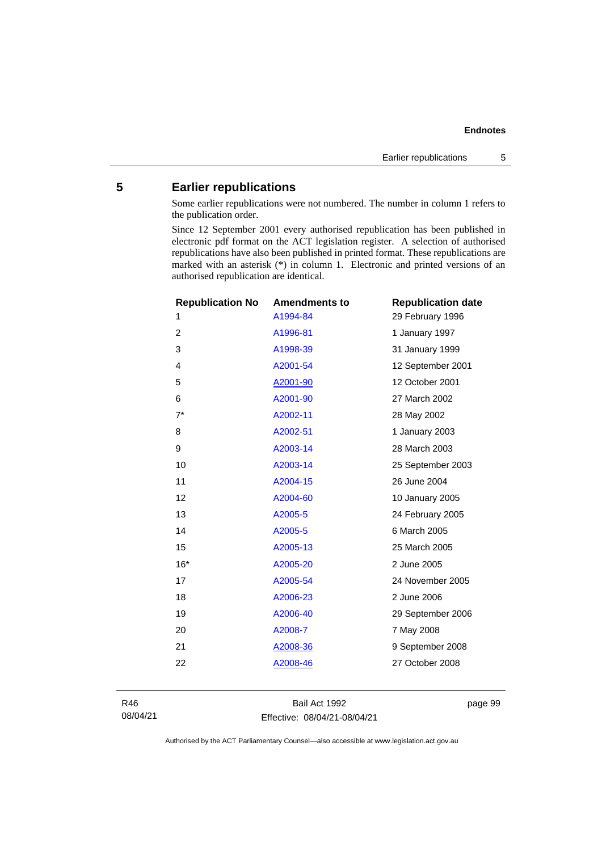#### **5 Earlier republications**

Some earlier republications were not numbered. The number in column 1 refers to the publication order.

Since 12 September 2001 every authorised republication has been published in electronic pdf format on the ACT legislation register. A selection of authorised republications have also been published in printed format. These republications are marked with an asterisk (\*) in column 1. Electronic and printed versions of an authorised republication are identical.

| <b>Republication No</b> | <b>Amendments to</b> | <b>Republication date</b> |
|-------------------------|----------------------|---------------------------|
| 1                       | A1994-84             | 29 February 1996          |
| $\overline{c}$          | A1996-81             | 1 January 1997            |
| 3                       | A1998-39             | 31 January 1999           |
| 4                       | A2001-54             | 12 September 2001         |
| 5                       | A2001-90             | 12 October 2001           |
| 6                       | A2001-90             | 27 March 2002             |
| $7^*$                   | A2002-11             | 28 May 2002               |
| 8                       | A2002-51             | 1 January 2003            |
| 9                       | A2003-14             | 28 March 2003             |
| 10                      | A2003-14             | 25 September 2003         |
| 11                      | A2004-15             | 26 June 2004              |
| 12                      | A2004-60             | 10 January 2005           |
| 13                      | A2005-5              | 24 February 2005          |
| 14                      | A2005-5              | 6 March 2005              |
| 15                      | A2005-13             | 25 March 2005             |
| $16*$                   | A2005-20             | 2 June 2005               |
| 17                      | A2005-54             | 24 November 2005          |
| 18                      | A2006-23             | 2 June 2006               |
| 19                      | A2006-40             | 29 September 2006         |
| 20                      | A2008-7              | 7 May 2008                |
| 21                      | A2008-36             | 9 September 2008          |
| 22                      | A2008-46             | 27 October 2008           |
|                         |                      |                           |

R46 08/04/21

Bail Act 1992 Effective: 08/04/21-08/04/21 page 99